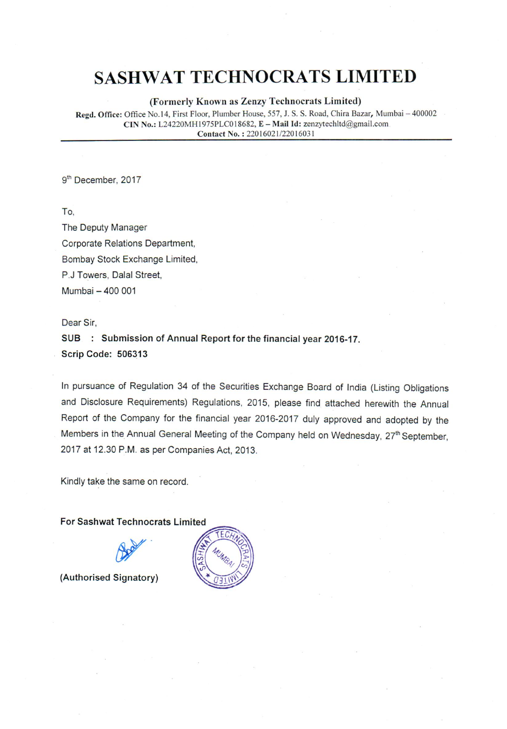(Formerly Known as Zenzy Technocrats Limited)

Regd. Office: Office No.14, First Floor, Plumber House, 557, J. S. S. Road, Chira Bazar, Mumbai - 400002 CIN No.: L24220MH1975PLC018682, E - Mail Id: zenzytechltd@gmail.com. Contact No.: 22016021/22016031

9<sup>th</sup> December, 2017

To. The Deputy Manager Corporate Relations Department, Bombay Stock Exchange Limited, P.J Towers, Dalal Street, Mumbai - 400 001

Dear Sir. SUB : Submission of Annual Report for the financial year 2016-17. **Scrip Code: 506313** 

In pursuance of Regulation 34 of the Securities Exchange Board of India (Listing Obligations and Disclosure Requirements) Regulations, 2015, please find attached herewith the Annual Report of the Company for the financial year 2016-2017 duly approved and adopted by the Members in the Annual General Meeting of the Company held on Wednesday, 27<sup>th</sup> September, 2017 at 12.30 P.M. as per Companies Act, 2013.

Kindly take the same on record.

**For Sashwat Technocrats Limited** 

(Authorised Signatory)

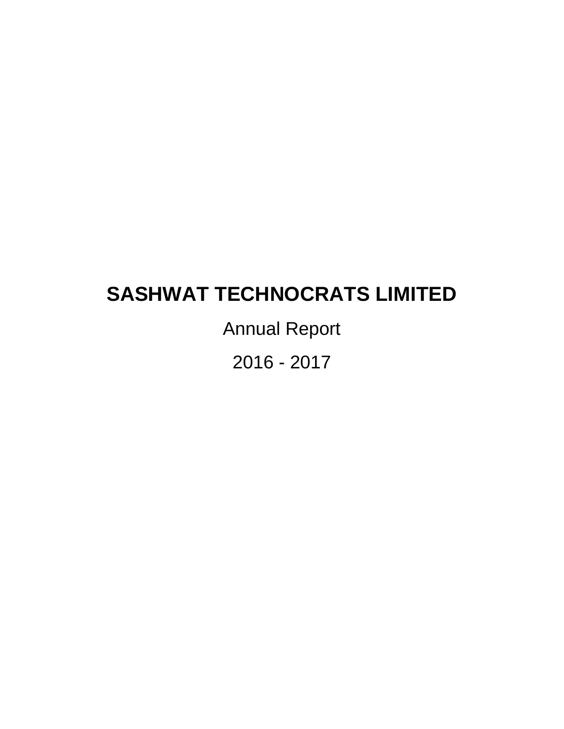Annual Report

2016 - 2017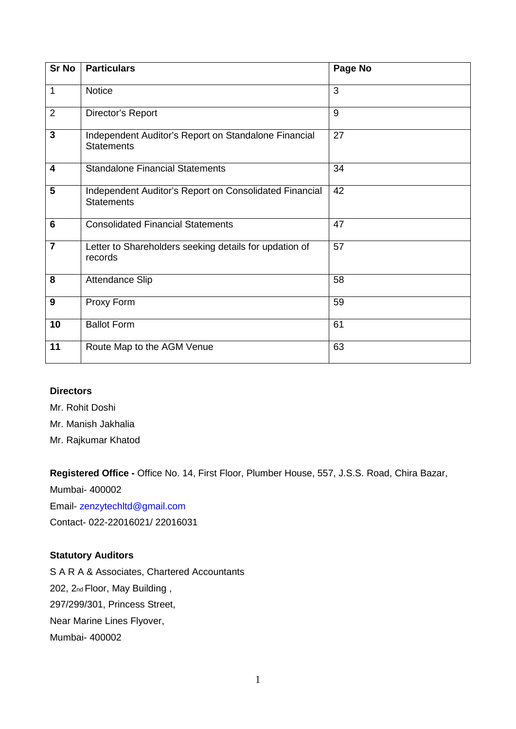| <b>Sr No</b>            | <b>Particulars</b>                                                          | Page No        |
|-------------------------|-----------------------------------------------------------------------------|----------------|
| $\mathbf{1}$            | <b>Notice</b>                                                               | $\overline{3}$ |
| 2                       | Director's Report                                                           | 9              |
| 3                       | Independent Auditor's Report on Standalone Financial<br><b>Statements</b>   | 27             |
| $\overline{\mathbf{4}}$ | <b>Standalone Financial Statements</b>                                      | 34             |
| 5                       | Independent Auditor's Report on Consolidated Financial<br><b>Statements</b> | 42             |
| 6                       | <b>Consolidated Financial Statements</b>                                    | 47             |
| $\overline{7}$          | Letter to Shareholders seeking details for updation of<br>records           | 57             |
| 8                       | <b>Attendance Slip</b>                                                      | 58             |
| 9                       | Proxy Form                                                                  | 59             |
| 10                      | <b>Ballot Form</b>                                                          | 61             |
| 11                      | Route Map to the AGM Venue                                                  | 63             |

#### **Directors**

Mr. Rohit Doshi

Mr. Manish Jakhalia

Mr. Rajkumar Khatod

**Registered Office -** Office No. 14, First Floor, Plumber House, 557, J.S.S. Road, Chira Bazar, Mumbai- 400002

Email- zenzytechltd@gmail.com Contact- 022-22016021/ 22016031

# **Statutory Auditors**

S A R A & Associates, Chartered Accountants 202, 2nd Floor, May Building, 297/299/301, Princess Street, Near Marine Lines Flyover, Mumbai- 400002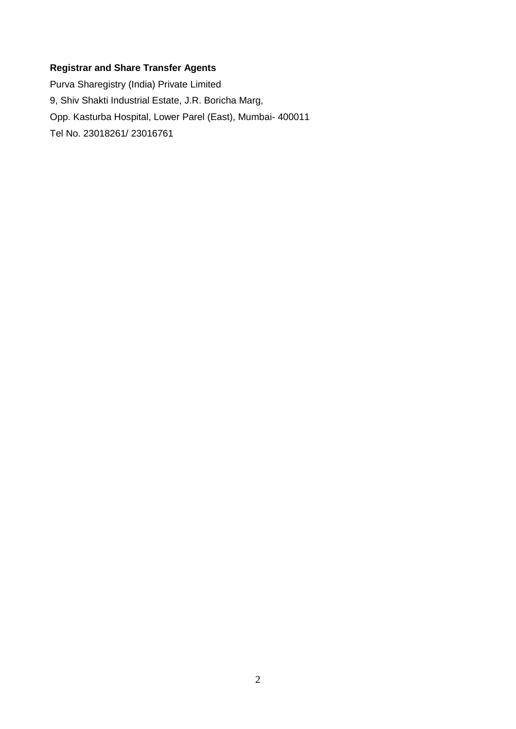# **Registrar and Share Transfer Agents**

Purva Sharegistry (India) Private Limited 9, Shiv Shakti Industrial Estate, J.R. Boricha Marg, Opp. Kasturba Hospital, Lower Parel (East), Mumbai- 400011 Tel No. 23018261/ 23016761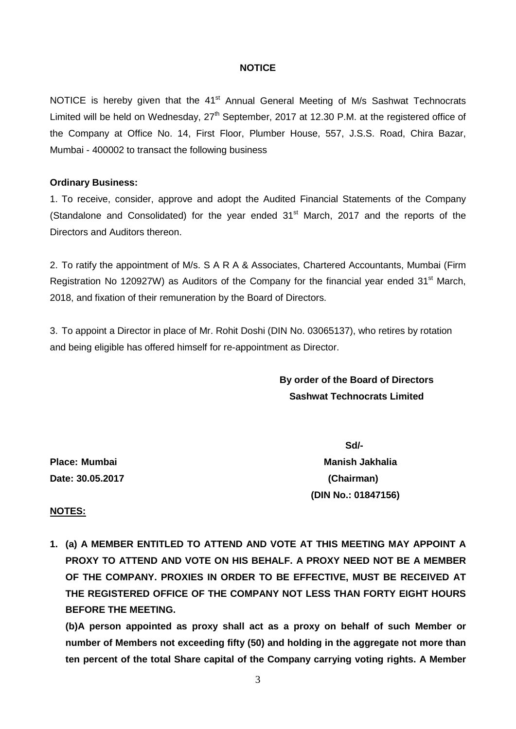#### **NOTICE**

NOTICE is hereby given that the 41<sup>st</sup> Annual General Meeting of M/s Sashwat Technocrats Limited will be held on Wednesday,  $27<sup>th</sup>$  September, 2017 at 12.30 P.M. at the registered office of the Company at Office No. 14, First Floor, Plumber House, 557, J.S.S. Road, Chira Bazar, Mumbai - 400002 to transact the following business

#### **Ordinary Business:**

1. To receive, consider, approve and adopt the Audited Financial Statements of the Company (Standalone and Consolidated) for the year ended  $31<sup>st</sup>$  March, 2017 and the reports of the Directors and Auditors thereon.

2. To ratify the appointment of M/s. S A R A & Associates, Chartered Accountants, Mumbai (Firm Registration No 120927W) as Auditors of the Company for the financial year ended 31<sup>st</sup> March, 2018, and fixation of their remuneration by the Board of Directors.

3. To appoint a Director in place of Mr. Rohit Doshi (DIN No. 03065137), who retires by rotation and being eligible has offered himself for re-appointment as Director.

> **By order of the Board of Directors Sashwat Technocrats Limited**

**Date: 30.05.2017 (Chairman)**

**Sd/-Place: Mumbai Manish Jakhalia (DIN No.: [01847156\)](http://www.mca.gov.in/mcafoportal/companyLLPMasterData.do)**

#### **NOTES:**

**1. (a) A MEMBER ENTITLED TO ATTEND AND VOTE AT THIS MEETING MAY APPOINT A PROXY TO ATTEND AND VOTE ON HIS BEHALF. A PROXY NEED NOT BE A MEMBER OF THE COMPANY. PROXIES IN ORDER TO BE EFFECTIVE, MUST BE RECEIVED AT THE REGISTERED OFFICE OF THE COMPANY NOT LESS THAN FORTY EIGHT HOURS BEFORE THE MEETING.**

**(b)A person appointed as proxy shall act as a proxy on behalf of such Member or number of Members not exceeding fifty (50) and holding in the aggregate not more than ten percent of the total Share capital of the Company carrying voting rights. A Member**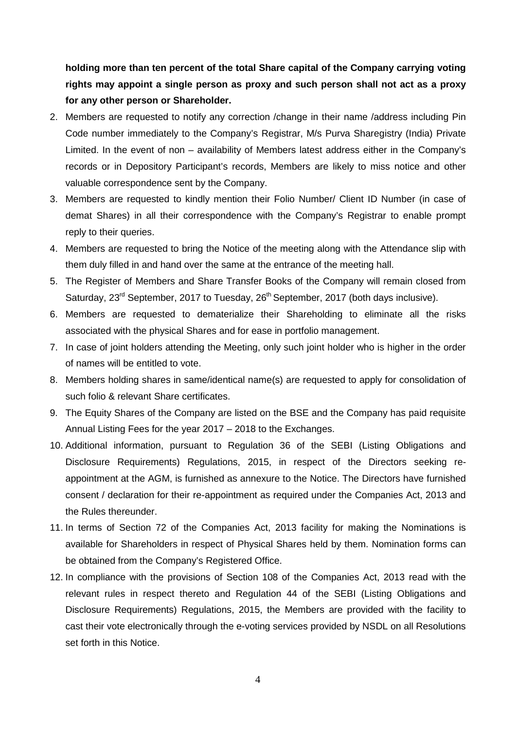**holding more than ten percent of the total Share capital of the Company carrying voting rights may appoint a single person as proxy and such person shall not act as a proxy for any other person or Shareholder.**

- 2. Members are requested to notify any correction /change in their name /address including Pin Code number immediately to the Company's Registrar, M/s Purva Sharegistry (India) Private Limited. In the event of non – availability of Members latest address either in the Company's records or in Depository Participant's records, Members are likely to miss notice and other valuable correspondence sent by the Company.
- 3. Members are requested to kindly mention their Folio Number/ Client ID Number (in case of demat Shares) in all their correspondence with the Company's Registrar to enable prompt reply to their queries.
- 4. Members are requested to bring the Notice of the meeting along with the Attendance slip with them duly filled in and hand over the same at the entrance of the meeting hall.
- 5. The Register of Members and Share Transfer Books of the Company will remain closed from Saturday, 23<sup>rd</sup> September, 2017 to Tuesday, 26<sup>th</sup> September, 2017 (both days inclusive).
- 6. Members are requested to dematerialize their Shareholding to eliminate all the risks associated with the physical Shares and for ease in portfolio management.
- 7. In case of joint holders attending the Meeting, only such joint holder who is higher in the order of names will be entitled to vote.
- 8. Members holding shares in same/identical name(s) are requested to apply for consolidation of such folio & relevant Share certificates.
- 9. The Equity Shares of the Company are listed on the BSE and the Company has paid requisite Annual Listing Fees for the year 2017 – 2018 to the Exchanges.
- 10. Additional information, pursuant to Regulation 36 of the SEBI (Listing Obligations and Disclosure Requirements) Regulations, 2015, in respect of the Directors seeking reappointment at the AGM, is furnished as annexure to the Notice. The Directors have furnished consent / declaration for their re-appointment as required under the Companies Act, 2013 and the Rules thereunder.
- 11. In terms of Section 72 of the Companies Act, 2013 facility for making the Nominations is available for Shareholders in respect of Physical Shares held by them. Nomination forms can be obtained from the Company's Registered Office.
- 12. In compliance with the provisions of Section 108 of the Companies Act, 2013 read with the relevant rules in respect thereto and Regulation 44 of the SEBI (Listing Obligations and Disclosure Requirements) Regulations, 2015, the Members are provided with the facility to cast their vote electronically through the e-voting services provided by NSDL on all Resolutions set forth in this Notice.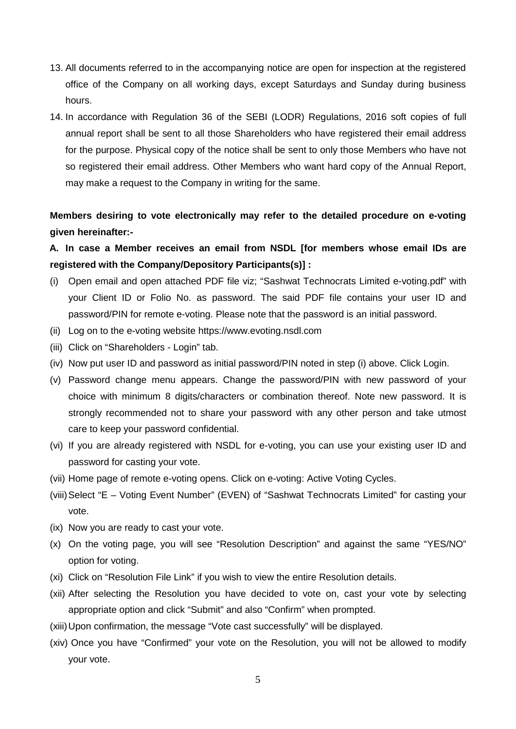- 13. All documents referred to in the accompanying notice are open for inspection at the registered office of the Company on all working days, except Saturdays and Sunday during business hours.
- 14. In accordance with Regulation 36 of the SEBI (LODR) Regulations, 2016 soft copies of full annual report shall be sent to all those Shareholders who have registered their email address for the purpose. Physical copy of the notice shall be sent to only those Members who have not so registered their email address. Other Members who want hard copy of the Annual Report, may make a request to the Company in writing for the same.

**Members desiring to vote electronically may refer to the detailed procedure on e-voting given hereinafter:-**

# **A. In case a Member receives an email from NSDL [for members whose email IDs are registered with the Company/Depository Participants(s)] :**

- (i) Open email and open attached PDF file viz; "Sashwat Technocrats Limited e-voting.pdf" with your Client ID or Folio No. as password. The said PDF file contains your user ID and password/PIN for remote e-voting. Please note that the password is an initial password.
- (ii) Log on to the e-voting website https://www.evoting.nsdl.com
- (iii) Click on "Shareholders Login" tab.
- (iv) Now put user ID and password as initial password/PIN noted in step (i) above. Click Login.
- (v) Password change menu appears. Change the password/PIN with new password of your choice with minimum 8 digits/characters or combination thereof. Note new password. It is strongly recommended not to share your password with any other person and take utmost care to keep your password confidential.
- (vi) If you are already registered with NSDL for e-voting, you can use your existing user ID and password for casting your vote.
- (vii) Home page of remote e-voting opens. Click on e-voting: Active Voting Cycles.
- (viii)Select "E Voting Event Number" (EVEN) of "Sashwat Technocrats Limited" for casting your vote.
- (ix) Now you are ready to cast your vote.
- (x) On the voting page, you will see "Resolution Description" and against the same "YES/NO" option for voting.
- (xi) Click on "Resolution File Link" if you wish to view the entire Resolution details.
- (xii) After selecting the Resolution you have decided to vote on, cast your vote by selecting appropriate option and click "Submit" and also "Confirm" when prompted.
- (xiii)Upon confirmation, the message "Vote cast successfully" will be displayed.
- (xiv) Once you have "Confirmed" your vote on the Resolution, you will not be allowed to modify your vote.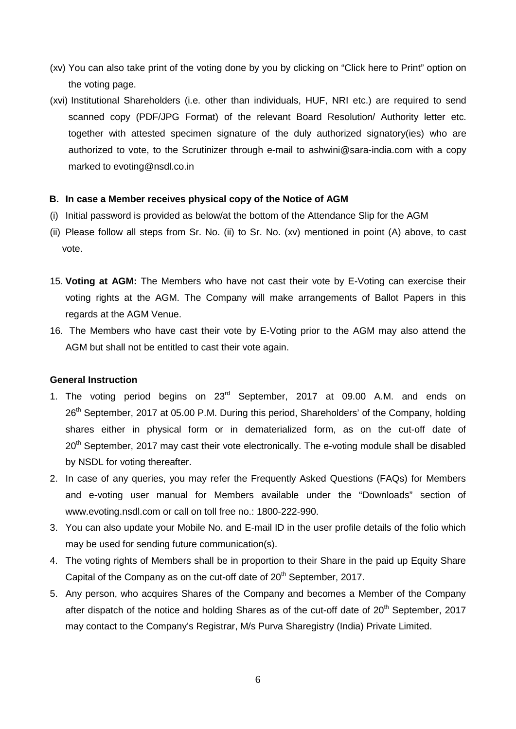- (xv) You can also take print of the voting done by you by clicking on "Click here to Print" option on the voting page.
- (xvi) Institutional Shareholders (i.e. other than individuals, HUF, NRI etc.) are required to send scanned copy (PDF/JPG Format) of the relevant Board Resolution/ Authority letter etc. together with attested specimen signature of the duly authorized signatory(ies) who are authorized to vote, to the Scrutinizer through e-mail to ashwini@sara-india.com with a copy marked to [evoting@nsdl.co.in](mailto:evoting@nsdl.co.in)

#### **B. In case a Member receives physical copy of the Notice of AGM**

- (i) Initial password is provided as below/at the bottom of the Attendance Slip for the AGM
- (ii) Please follow all steps from Sr. No. (ii) to Sr. No. (xv) mentioned in point (A) above, to cast vote.
- 15. **Voting at AGM:** The Members who have not cast their vote by E-Voting can exercise their voting rights at the AGM. The Company will make arrangements of Ballot Papers in this regards at the AGM Venue.
- 16. The Members who have cast their vote by E-Voting prior to the AGM may also attend the AGM but shall not be entitled to cast their vote again.

#### **General Instruction**

- 1. The voting period begins on 23rd September, 2017 at 09.00 A.M. and ends on 26<sup>th</sup> September, 2017 at 05.00 P.M. During this period, Shareholders' of the Company, holding shares either in physical form or in dematerialized form, as on the cut-off date of 20<sup>th</sup> September, 2017 may cast their vote electronically. The e-voting module shall be disabled by NSDL for voting thereafter.
- 2. In case of any queries, you may refer the Frequently Asked Questions (FAQs) for Members and e-voting user manual for Members available under the "Downloads" section of [www.evoting.nsdl.com](http://www.evoting.nsdl.com/) or call on toll free no.: 1800-222-990.
- 3. You can also update your Mobile No. and E-mail ID in the user profile details of the folio which may be used for sending future communication(s).
- 4. The voting rights of Members shall be in proportion to their Share in the paid up Equity Share Capital of the Company as on the cut-off date of 20<sup>th</sup> September, 2017.
- 5. Any person, who acquires Shares of the Company and becomes a Member of the Company after dispatch of the notice and holding Shares as of the cut-off date of 20<sup>th</sup> September, 2017 may contact to the Company's Registrar, M/s Purva Sharegistry (India) Private Limited.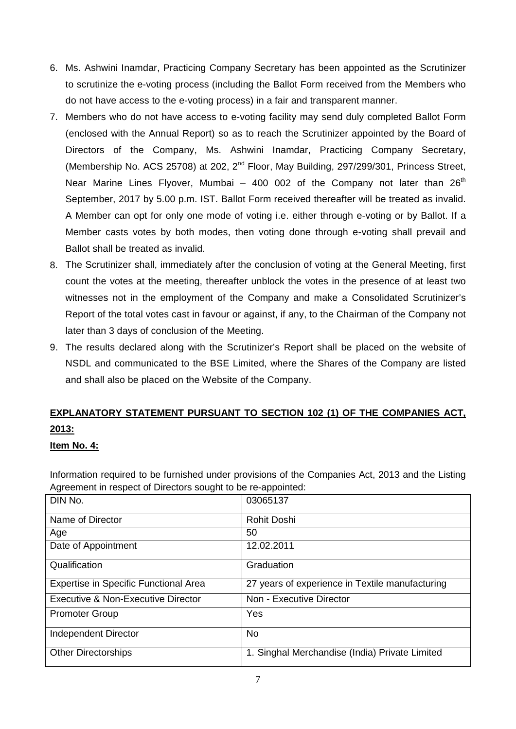- 6. Ms. Ashwini Inamdar, Practicing Company Secretary has been appointed as the Scrutinizer to scrutinize the e-voting process (including the Ballot Form received from the Members who do not have access to the e-voting process) in a fair and transparent manner.
- 7. Members who do not have access to e-voting facility may send duly completed Ballot Form (enclosed with the Annual Report) so as to reach the Scrutinizer appointed by the Board of Directors of the Company, Ms. Ashwini Inamdar, Practicing Company Secretary, (Membership No. ACS 25708) at 202, 2<sup>nd</sup> Floor, May Building, 297/299/301, Princess Street, Near Marine Lines Flyover, Mumbai – 400 002 of the Company not later than  $26<sup>th</sup>$ September, 2017 by 5.00 p.m. IST. Ballot Form received thereafter will be treated as invalid. A Member can opt for only one mode of voting i.e. either through e-voting or by Ballot. If a Member casts votes by both modes, then voting done through e-voting shall prevail and Ballot shall be treated as invalid.
- 8. The Scrutinizer shall, immediately after the conclusion of voting at the General Meeting, first count the votes at the meeting, thereafter unblock the votes in the presence of at least two witnesses not in the employment of the Company and make a Consolidated Scrutinizer's Report of the total votes cast in favour or against, if any, to the Chairman of the Company not later than 3 days of conclusion of the Meeting.
- 9. The results declared along with the Scrutinizer's Report shall be placed on the website of NSDL and communicated to the BSE Limited, where the Shares of the Company are listed and shall also be placed on the Website of the Company.

# **EXPLANATORY STATEMENT PURSUANT TO SECTION 102 (1) OF THE COMPANIES ACT, 2013:**

# **Item No. 4:**

Information required to be furnished under provisions of the Companies Act, 2013 and the Listing Agreement in respect of Directors sought to be re-appointed:

| DIN No.                               | 03065137                                        |
|---------------------------------------|-------------------------------------------------|
| Name of Director                      | Rohit Doshi                                     |
| Age                                   | 50                                              |
| Date of Appointment                   | 12.02.2011                                      |
| Qualification                         | Graduation                                      |
| Expertise in Specific Functional Area | 27 years of experience in Textile manufacturing |
| Executive & Non-Executive Director    | Non - Executive Director                        |
| <b>Promoter Group</b>                 | Yes                                             |
| <b>Independent Director</b>           | <b>No</b>                                       |
| <b>Other Directorships</b>            | 1. Singhal Merchandise (India) Private Limited  |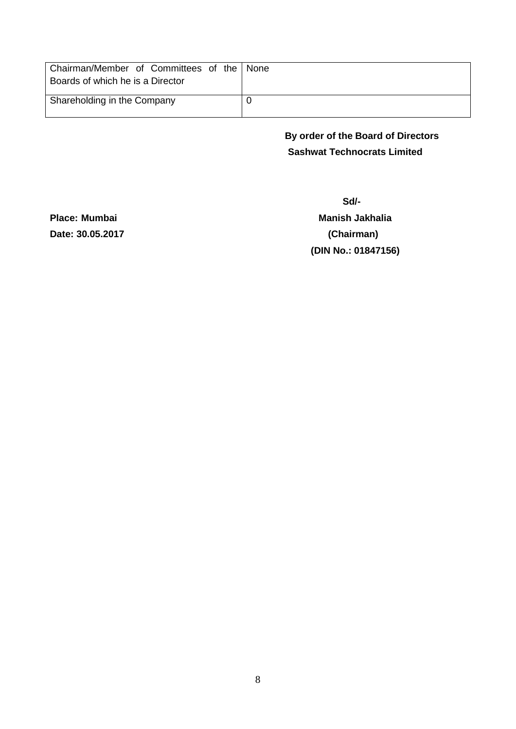| Chairman/Member of Committees of the None<br>Boards of which he is a Director |  |
|-------------------------------------------------------------------------------|--|
| Shareholding in the Company                                                   |  |

 **By order of the Board of Directors Sashwat Technocrats Limited**

**Date: 30.05.2017 (Chairman)**

 **Sd/- Place: Mumbai Manish Jakhalia (DIN No.: [01847156\)](http://www.mca.gov.in/mcafoportal/companyLLPMasterData.do)**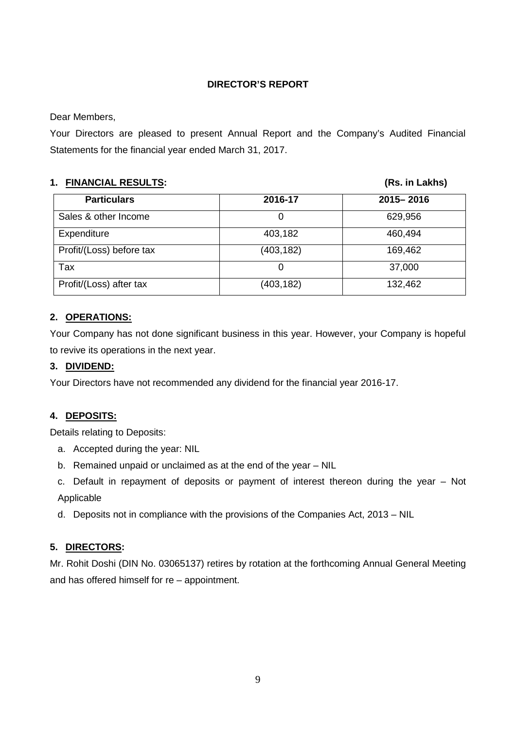# **DIRECTOR'S REPORT**

Dear Members,

Your Directors are pleased to present Annual Report and the Company's Audited Financial Statements for the financial year ended March 31, 2017.

#### **1. FINANCIAL RESULTS**

| (Rs. in Lakhs) |
|----------------|
|                |

| <b>Particulars</b>       | 2016-17    | $2015 - 2016$ |
|--------------------------|------------|---------------|
| Sales & other Income     |            | 629,956       |
| Expenditure              | 403,182    | 460,494       |
| Profit/(Loss) before tax | (403, 182) | 169,462       |
| Tax                      |            | 37,000        |
| Profit/(Loss) after tax  | (403, 182) | 132,462       |

# **2. OPERATIONS:**

Your Company has not done significant business in this year. However, your Company is hopeful to revive its operations in the next year.

# **3. DIVIDEND:**

Your Directors have not recommended any dividend for the financial year 2016-17.

# **4. DEPOSITS:**

Details relating to Deposits:

- a. Accepted during the year: NIL
- b. Remained unpaid or unclaimed as at the end of the year NIL
- c. Default in repayment of deposits or payment of interest thereon during the year Not Applicable
- d. Deposits not in compliance with the provisions of the Companies Act, 2013 NIL

# **5. DIRECTORS :**

Mr. Rohit Doshi (DIN No. 03065137) retires by rotation at the forthcoming Annual General Meeting and has offered himself for re – appointment.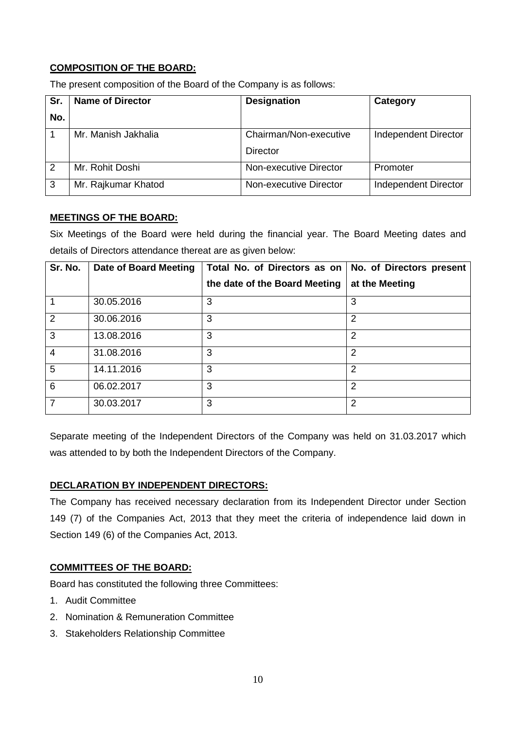# **COMPOSITION OF THE BOARD:**

| Sr.            | <b>Name of Director</b> | <b>Designation</b>                        | Category             |
|----------------|-------------------------|-------------------------------------------|----------------------|
| No.            |                         |                                           |                      |
|                | Mr. Manish Jakhalia     | Chairman/Non-executive<br><b>Director</b> | Independent Director |
| $\overline{2}$ | Mr. Rohit Doshi         | Non-executive Director                    | Promoter             |
| 3              | Mr. Rajkumar Khatod     | Non-executive Director                    | Independent Director |

The present composition of the Board of the Company is as follows:

# **MEETINGS OF THE BOARD:**

Six Meetings of the Board were held during the financial year. The Board Meeting dates and details of Directors attendance thereat are as given below:

| Sr. No.        | <b>Date of Board Meeting</b> | Total No. of Directors as on  | No. of Directors present |
|----------------|------------------------------|-------------------------------|--------------------------|
|                |                              | the date of the Board Meeting | at the Meeting           |
|                | 30.05.2016                   | 3                             | 3                        |
| 2              | 30.06.2016                   | 3                             | $\overline{2}$           |
| 3              | 13.08.2016                   | 3                             | 2                        |
| $\overline{4}$ | 31.08.2016                   | 3                             | $\overline{2}$           |
| 5              | 14.11.2016                   | 3                             | $\overline{2}$           |
| 6              | 06.02.2017                   | 3                             | $\overline{2}$           |
| $\overline{7}$ | 30.03.2017                   | 3                             | $\overline{2}$           |

Separate meeting of the Independent Directors of the Company was held on 31.03.2017 which was attended to by both the Independent Directors of the Company.

# **DECLARATION BY INDEPENDENT DIRECTORS:**

The Company has received necessary declaration from its Independent Director under Section 149 (7) of the Companies Act, 2013 that they meet the criteria of independence laid down in Section 149 (6) of the Companies Act, 2013.

# **COMMITTEES OF THE BOARD:**

Board has constituted the following three Committees:

- 1. Audit Committee
- 2. Nomination & Remuneration Committee
- 3. Stakeholders Relationship Committee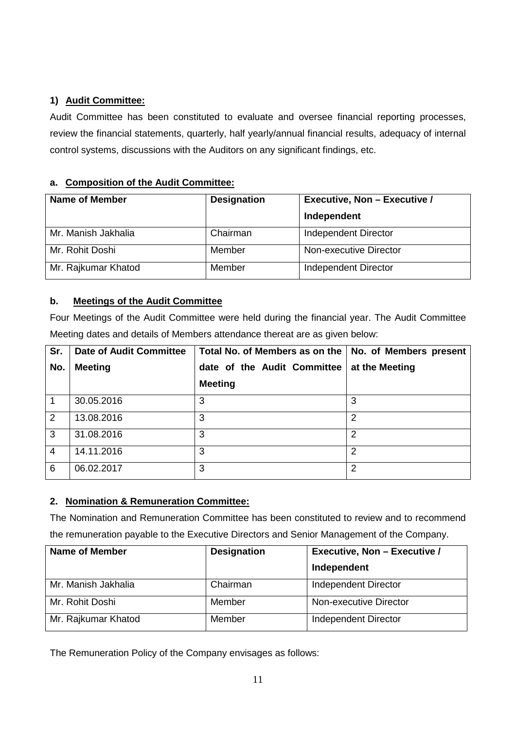# **1) Audit Committee:**

Audit Committee has been constituted to evaluate and oversee financial reporting processes, review the financial statements, quarterly, half yearly/annual financial results, adequacy of internal control systems, discussions with the Auditors on any significant findings, etc.

# **a. Composition of the Audit Committee:**

| <b>Name of Member</b> | <b>Designation</b> | Executive, Non - Executive / |  |
|-----------------------|--------------------|------------------------------|--|
|                       |                    | Independent                  |  |
| Mr. Manish Jakhalia   | Chairman           | <b>Independent Director</b>  |  |
| Mr. Rohit Doshi       | Member             | Non-executive Director       |  |
| Mr. Rajkumar Khatod   | Member             | <b>Independent Director</b>  |  |

#### **b. Meetings of the Audit Committee**

Four Meetings of the Audit Committee were held during the financial year. The Audit Committee Meeting dates and details of Members attendance thereat are as given below:

| Sr.            | <b>Date of Audit Committee</b> | Total No. of Members as on the   No. of Members present |                |
|----------------|--------------------------------|---------------------------------------------------------|----------------|
| No.            | <b>Meeting</b>                 | date of the Audit Committee                             | at the Meeting |
|                |                                | <b>Meeting</b>                                          |                |
|                | 30.05.2016                     | 3                                                       | 3              |
| 2              | 13.08.2016                     | 3                                                       | 2              |
| 3              | 31.08.2016                     | 3                                                       | 2              |
| $\overline{4}$ | 14.11.2016                     | 3                                                       | 2              |
| 6              | 06.02.2017                     | 3                                                       | 2              |

# **2. Nomination & Remuneration Committee:**

The Nomination and Remuneration Committee has been constituted to review and to recommend the remuneration payable to the Executive Directors and Senior Management of the Company.

| <b>Name of Member</b> | <b>Designation</b> | Executive, Non - Executive / |
|-----------------------|--------------------|------------------------------|
|                       |                    | Independent                  |
| Mr. Manish Jakhalia   | Chairman           | Independent Director         |
| Mr. Rohit Doshi       | Member             | Non-executive Director       |
| Mr. Rajkumar Khatod   | Member             | <b>Independent Director</b>  |

The Remuneration Policy of the Company envisages as follows: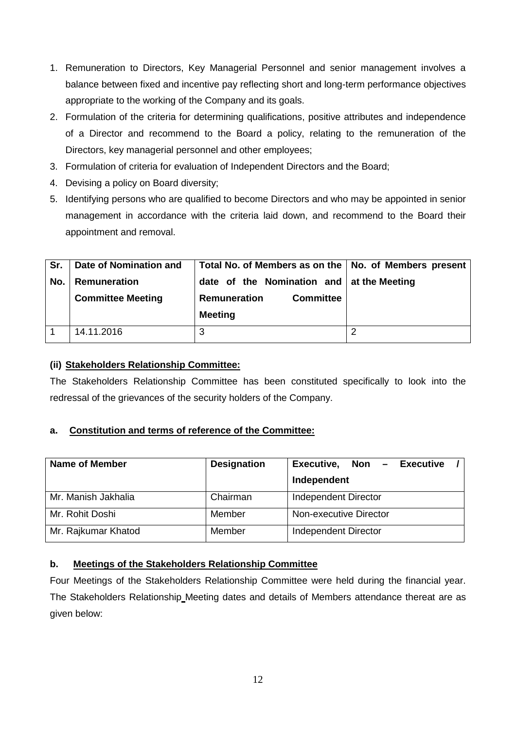- 1. Remuneration to Directors, Key Managerial Personnel and senior management involves a balance between fixed and incentive pay reflecting short and long-term performance objectives appropriate to the working of the Company and its goals.
- 2. Formulation of the criteria for determining qualifications, positive attributes and independence of a Director and recommend to the Board a policy, relating to the remuneration of the Directors, key managerial personnel and other employees;
- 3. Formulation of criteria for evaluation of Independent Directors and the Board;
- 4. Devising a policy on Board diversity;
- 5. Identifying persons who are qualified to become Directors and who may be appointed in senior management in accordance with the criteria laid down, and recommend to the Board their appointment and removal.

| Sr. | Date of Nomination and   | Total No. of Members as on the   No. of Members present |   |
|-----|--------------------------|---------------------------------------------------------|---|
| No. | <b>Remuneration</b>      | date of the Nomination and $\vert$ at the Meeting       |   |
|     | <b>Committee Meeting</b> | <b>Committee</b><br>Remuneration                        |   |
|     |                          | <b>Meeting</b>                                          |   |
|     | 14.11.2016               | 3                                                       | n |

# **(ii) Stakeholders Relationship Committee:**

The Stakeholders Relationship Committee has been constituted specifically to look into the redressal of the grievances of the security holders of the Company.

# **a. Constitution and terms of reference of the Committee:**

| <b>Name of Member</b> | <b>Designation</b> | <b>Executive,</b><br>Non $-$<br><b>Executive</b> |
|-----------------------|--------------------|--------------------------------------------------|
|                       |                    | Independent                                      |
| Mr. Manish Jakhalia   | Chairman           | <b>Independent Director</b>                      |
| Mr. Rohit Doshi       | Member             | Non-executive Director                           |
| Mr. Rajkumar Khatod   | Member             | Independent Director                             |

#### **b. Meetings of the Stakeholders Relationship Committee**

Four Meetings of the Stakeholders Relationship Committee were held during the financial year. The Stakeholders Relationship Meeting dates and details of Members attendance thereat are as given below: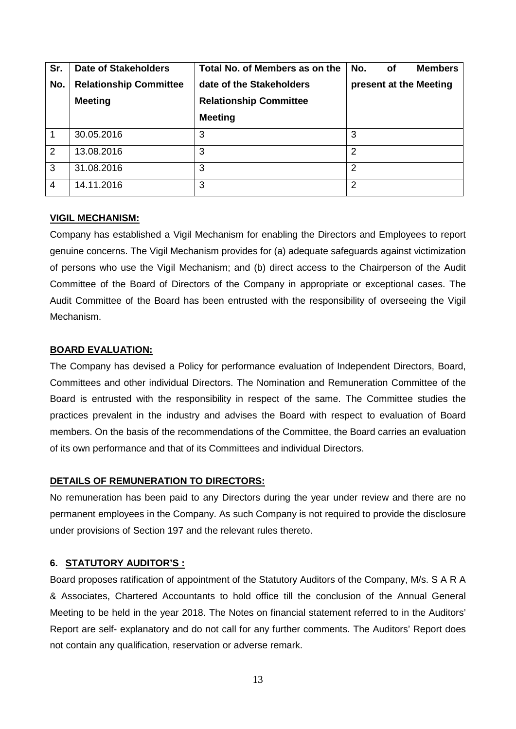| Sr. | <b>Date of Stakeholders</b>   | Total No. of Members as on the | <b>Members</b><br>No.<br><b>of</b> |
|-----|-------------------------------|--------------------------------|------------------------------------|
| No. | <b>Relationship Committee</b> | date of the Stakeholders       | present at the Meeting             |
|     | <b>Meeting</b>                | <b>Relationship Committee</b>  |                                    |
|     |                               | <b>Meeting</b>                 |                                    |
|     | 30.05.2016                    | 3                              | 3                                  |
| 2   | 13.08.2016                    | 3                              | 2                                  |
| 3   | 31.08.2016                    | 3                              | 2                                  |
| 4   | 14.11.2016                    | 3                              |                                    |

#### **VIGIL MECHANISM:**

Company has established a Vigil Mechanism for enabling the Directors and Employees to report genuine concerns. The Vigil Mechanism provides for (a) adequate safeguards against victimization of persons who use the Vigil Mechanism; and (b) direct access to the Chairperson of the Audit Committee of the Board of Directors of the Company in appropriate or exceptional cases. The Audit Committee of the Board has been entrusted with the responsibility of overseeing the Vigil Mechanism.

#### **BOARD EVALUATION:**

The Company has devised a Policy for performance evaluation of Independent Directors, Board, Committees and other individual Directors. The Nomination and Remuneration Committee of the Board is entrusted with the responsibility in respect of the same. The Committee studies the practices prevalent in the industry and advises the Board with respect to evaluation of Board members. On the basis of the recommendations of the Committee, the Board carries an evaluation of its own performance and that of its Committees and individual Directors.

#### **DETAILS OF REMUNERATION TO DIRECTORS:**

No remuneration has been paid to any Directors during the year under review and there are no permanent employees in the Company. As such Company is not required to provide the disclosure under provisions of Section 197 and the relevant rules thereto.

#### **6. STATUTORY AUDITOR'S :**

Board proposes ratification of appointment of the Statutory Auditors of the Company, M/s. S A R A & Associates, Chartered Accountants to hold office till the conclusion of the Annual General Meeting to be held in the year 2018. The Notes on financial statement referred to in the Auditors' Report are self- explanatory and do not call for any further comments. The Auditors' Report does not contain any qualification, reservation or adverse remark.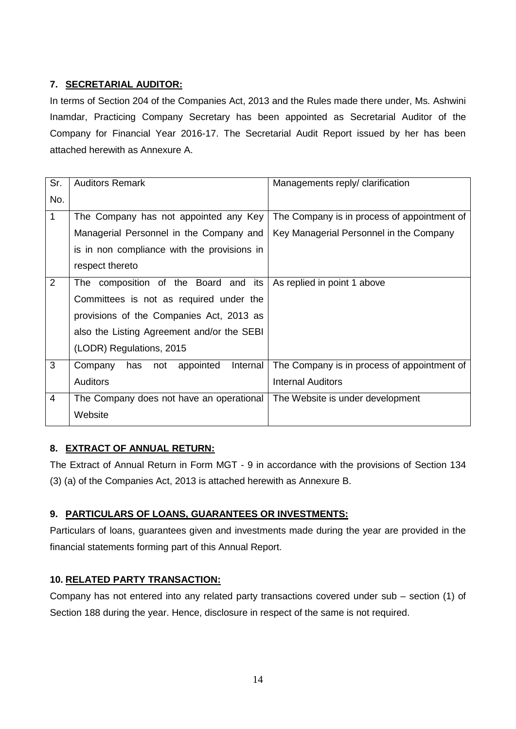# **7. SECRETARIAL AUDITOR:**

In terms of Section 204 of the Companies Act, 2013 and the Rules made there under, Ms. Ashwini Inamdar, Practicing Company Secretary has been appointed as Secretarial Auditor of the Company for Financial Year 2016-17. The Secretarial Audit Report issued by her has been attached herewith as Annexure A.

| Sr.            | <b>Auditors Remark</b>                         | Managements reply/ clarification            |  |  |  |  |
|----------------|------------------------------------------------|---------------------------------------------|--|--|--|--|
| No.            |                                                |                                             |  |  |  |  |
| $\mathbf{1}$   | The Company has not appointed any Key          | The Company is in process of appointment of |  |  |  |  |
|                | Managerial Personnel in the Company and        | Key Managerial Personnel in the Company     |  |  |  |  |
|                | is in non compliance with the provisions in    |                                             |  |  |  |  |
|                | respect thereto                                |                                             |  |  |  |  |
| $\overline{2}$ | The composition of the Board and its           | As replied in point 1 above                 |  |  |  |  |
|                | Committees is not as required under the        |                                             |  |  |  |  |
|                | provisions of the Companies Act, 2013 as       |                                             |  |  |  |  |
|                | also the Listing Agreement and/or the SEBI     |                                             |  |  |  |  |
|                | (LODR) Regulations, 2015                       |                                             |  |  |  |  |
| 3              | Internal<br>appointed<br>Company<br>has<br>not | The Company is in process of appointment of |  |  |  |  |
|                | <b>Auditors</b>                                | Internal Auditors                           |  |  |  |  |
| $\overline{4}$ | The Company does not have an operational       | The Website is under development            |  |  |  |  |
|                | Website                                        |                                             |  |  |  |  |

# **8. EXTRACT OF ANNUAL RETURN:**

The Extract of Annual Return in Form MGT - 9 in accordance with the provisions of Section 134 (3) (a) of the Companies Act, 2013 is attached herewith as Annexure B.

# **9. PARTICULARS OF LOANS, GUARANTEES OR INVESTMENTS:**

Particulars of loans, guarantees given and investments made during the year are provided in the financial statements forming part of this Annual Report.

# **10. RELATED PARTY TRANSACTION:**

Company has not entered into any related party transactions covered under sub – section (1) of Section 188 during the year. Hence, disclosure in respect of the same is not required.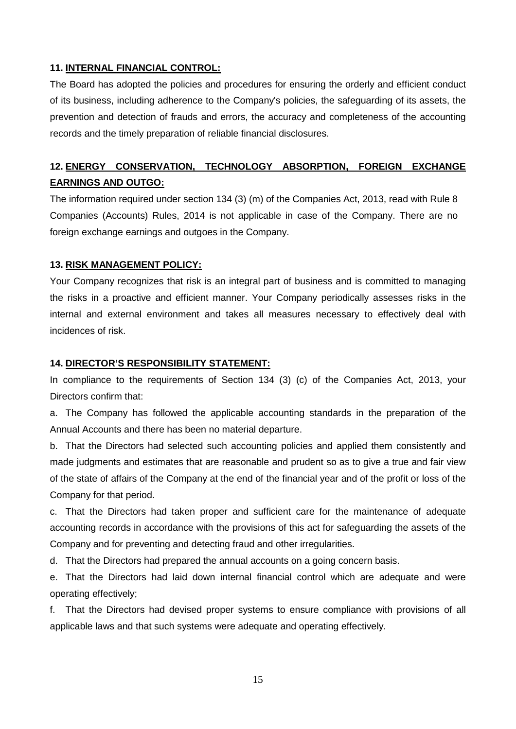# **11. INTERNAL FINANCIAL CONTROL:**

The Board has adopted the policies and procedures for ensuring the orderly and efficient conduct of its business, including adherence to the Company's policies, the safeguarding of its assets, the prevention and detection of frauds and errors, the accuracy and completeness of the accounting records and the timely preparation of reliable financial disclosures.

# **12. ENERGY CONSERVATION, TECHNOLOGY ABSORPTION, FOREIGN EXCHANGE EARNINGS AND OUTGO:**

The information required under section 134 (3) (m) of the Companies Act, 2013, read with Rule 8 Companies (Accounts) Rules, 2014 is not applicable in case of the Company. There are no foreign exchange earnings and outgoes in the Company.

# **13. RISK MANAGEMENT POLICY:**

Your Company recognizes that risk is an integral part of business and is committed to managing the risks in a proactive and efficient manner. Your Company periodically assesses risks in the internal and external environment and takes all measures necessary to effectively deal with incidences of risk.

# **14. DIRECTOR'S RESPONSIBILITY STATEMENT:**

In compliance to the requirements of Section 134 (3) (c) of the Companies Act, 2013, your Directors confirm that:

a. The Company has followed the applicable accounting standards in the preparation of the Annual Accounts and there has been no material departure.

b. That the Directors had selected such accounting policies and applied them consistently and made judgments and estimates that are reasonable and prudent so as to give a true and fair view of the state of affairs of the Company at the end of the financial year and of the profit or loss of the Company for that period.

c. That the Directors had taken proper and sufficient care for the maintenance of adequate accounting records in accordance with the provisions of this act for safeguarding the assets of the Company and for preventing and detecting fraud and other irregularities.

d. That the Directors had prepared the annual accounts on a going concern basis.

e. That the Directors had laid down internal financial control which are adequate and were operating effectively;

f. That the Directors had devised proper systems to ensure compliance with provisions of all applicable laws and that such systems were adequate and operating effectively.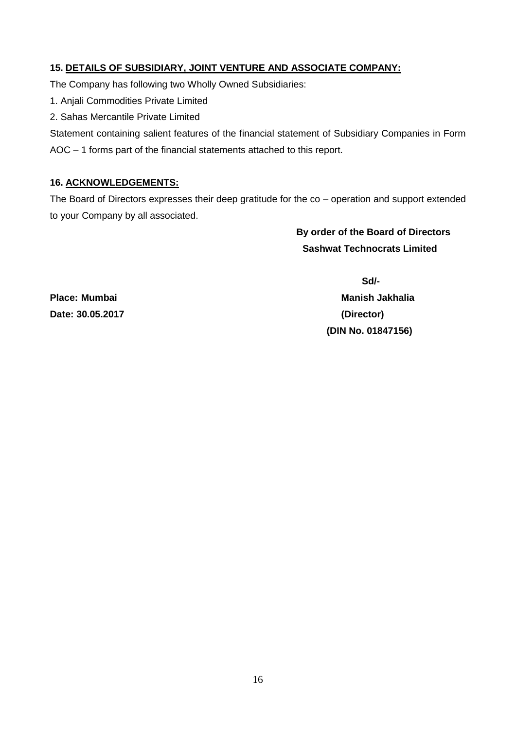# **15. DETAILS OF SUBSIDIARY, JOINT VENTURE AND ASSOCIATE COMPANY:**

The Company has following two Wholly Owned Subsidiaries:

1. Anjali Commodities Private Limited

2. Sahas Mercantile Private Limited

Statement containing salient features of the financial statement of Subsidiary Companies in Form AOC – 1 forms part of the financial statements attached to this report.

# **16. ACKNOWLEDGEMENTS:**

The Board of Directors expresses their deep gratitude for the co – operation and support extended to your Company by all associated.

> **By order of the Board of Directors Sashwat Technocrats Limited**

**Date: 30.05.2017 (Director)**

**Sd/- Place: Mumbai Manish Jakhalia (DIN No. 01847156)**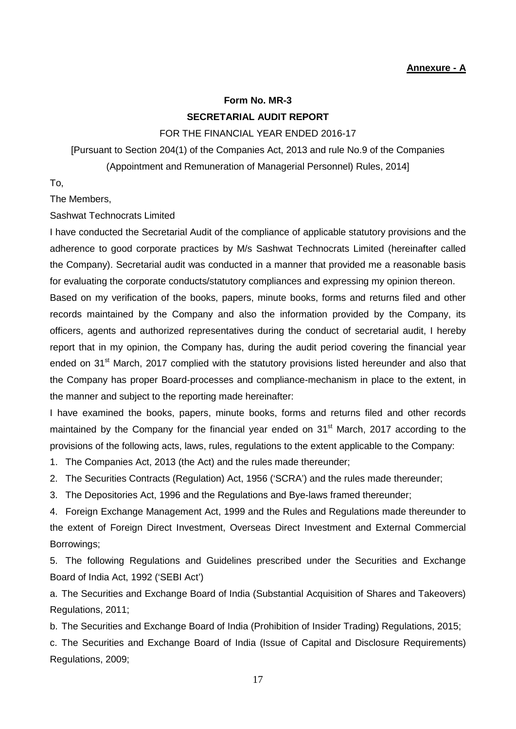## **Annexure - A**

# **Form No. MR-3 SECRETARIAL AUDIT REPORT**

#### FOR THE FINANCIAL YEAR ENDED 2016-17

[Pursuant to Section 204(1) of the Companies Act, 2013 and rule No.9 of the Companies (Appointment and Remuneration of Managerial Personnel) Rules, 2014]

To,

The Members,

Sashwat Technocrats Limited

I have conducted the Secretarial Audit of the compliance of applicable statutory provisions and the adherence to good corporate practices by M/s Sashwat Technocrats Limited (hereinafter called the Company). Secretarial audit was conducted in a manner that provided me a reasonable basis for evaluating the corporate conducts/statutory compliances and expressing my opinion thereon.

Based on my verification of the books, papers, minute books, forms and returns filed and other records maintained by the Company and also the information provided by the Company, its officers, agents and authorized representatives during the conduct of secretarial audit, I hereby report that in my opinion, the Company has, during the audit period covering the financial year ended on 31<sup>st</sup> March, 2017 complied with the statutory provisions listed hereunder and also that the Company has proper Board-processes and compliance-mechanism in place to the extent, in the manner and subject to the reporting made hereinafter:

I have examined the books, papers, minute books, forms and returns filed and other records maintained by the Company for the financial year ended on 31<sup>st</sup> March, 2017 according to the provisions of the following acts, laws, rules, regulations to the extent applicable to the Company:

1. The Companies Act, 2013 (the Act) and the rules made thereunder;

2. The Securities Contracts (Regulation) Act, 1956 ('SCRA') and the rules made thereunder;

3. The Depositories Act, 1996 and the Regulations and Bye-laws framed thereunder;

4. Foreign Exchange Management Act, 1999 and the Rules and Regulations made thereunder to the extent of Foreign Direct Investment, Overseas Direct Investment and External Commercial Borrowings;

5. The following Regulations and Guidelines prescribed under the Securities and Exchange Board of India Act, 1992 ('SEBI Act')

a. The Securities and Exchange Board of India (Substantial Acquisition of Shares and Takeovers) Regulations, 2011;

b. The Securities and Exchange Board of India (Prohibition of Insider Trading) Regulations, 2015;

c. The Securities and Exchange Board of India (Issue of Capital and Disclosure Requirements) Regulations, 2009;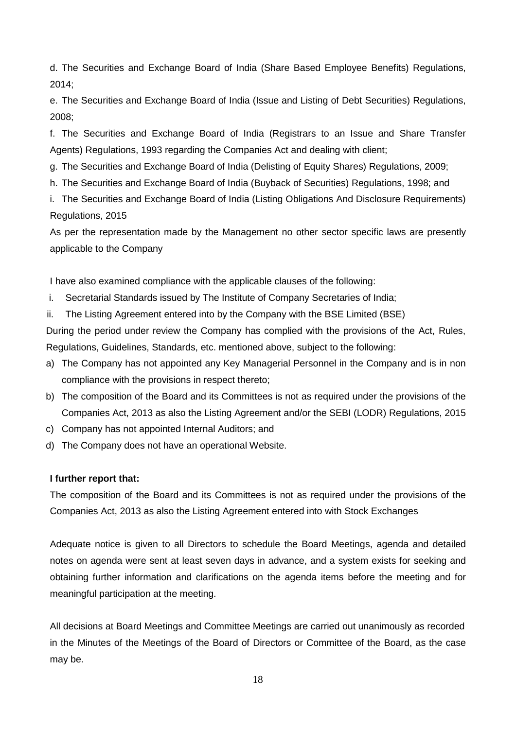d. The Securities and Exchange Board of India (Share Based Employee Benefits) Regulations, 2014;

e. The Securities and Exchange Board of India (Issue and Listing of Debt Securities) Regulations, 2008;

f. The Securities and Exchange Board of India (Registrars to an Issue and Share Transfer Agents) Regulations, 1993 regarding the Companies Act and dealing with client;

g. The Securities and Exchange Board of India (Delisting of Equity Shares) Regulations, 2009;

h. The Securities and Exchange Board of India (Buyback of Securities) Regulations, 1998; and

i. The Securities and Exchange Board of India (Listing Obligations And Disclosure Requirements) Regulations, 2015

As per the representation made by the Management no other sector specific laws are presently applicable to the Company

I have also examined compliance with the applicable clauses of the following:

- i. Secretarial Standards issued by The Institute of Company Secretaries of India;
- ii. The Listing Agreement entered into by the Company with the BSE Limited (BSE)

During the period under review the Company has complied with the provisions of the Act, Rules, Regulations, Guidelines, Standards, etc. mentioned above, subject to the following:

- a) The Company has not appointed any Key Managerial Personnel in the Company and is in non compliance with the provisions in respect thereto;
- b) The composition of the Board and its Committees is not as required under the provisions of the Companies Act, 2013 as also the Listing Agreement and/or the SEBI (LODR) Regulations, 2015
- c) Company has not appointed Internal Auditors; and
- d) The Company does not have an operational Website.

#### **I further report that:**

The composition of the Board and its Committees is not as required under the provisions of the Companies Act, 2013 as also the Listing Agreement entered into with Stock Exchanges

Adequate notice is given to all Directors to schedule the Board Meetings, agenda and detailed notes on agenda were sent at least seven days in advance, and a system exists for seeking and obtaining further information and clarifications on the agenda items before the meeting and for meaningful participation at the meeting.

All decisions at Board Meetings and Committee Meetings are carried out unanimously as recorded in the Minutes of the Meetings of the Board of Directors or Committee of the Board, as the case may be.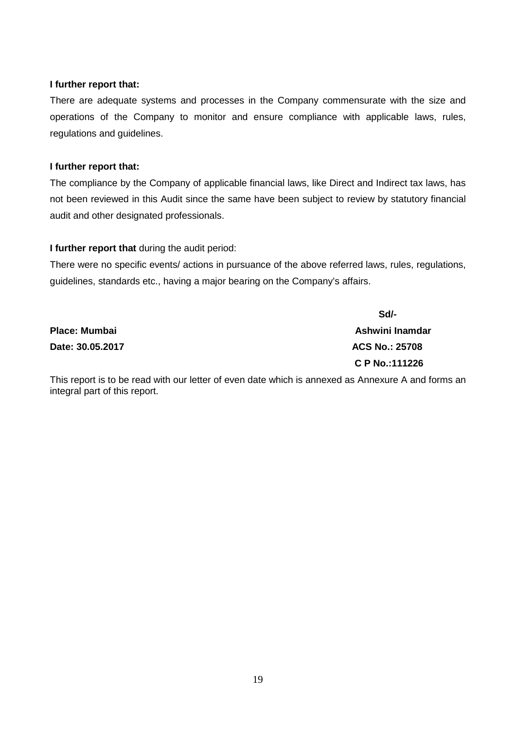#### **I further report that:**

There are adequate systems and processes in the Company commensurate with the size and operations of the Company to monitor and ensure compliance with applicable laws, rules, regulations and guidelines.

#### **I further report that:**

The compliance by the Company of applicable financial laws, like Direct and Indirect tax laws, has not been reviewed in this Audit since the same have been subject to review by statutory financial audit and other designated professionals.

#### **I further report that during the audit period:**

There were no specific events/ actions in pursuance of the above referred laws, rules, regulations, guidelines, standards etc., having a major bearing on the Company's affairs.

|                      | Sd/-                  |
|----------------------|-----------------------|
| <b>Place: Mumbai</b> | Ashwini Inamdar       |
| Date: 30.05.2017     | <b>ACS No.: 25708</b> |
|                      | C P No.:111226        |

This report is to be read with our letter of even date which is annexed as Annexure A and forms an integral part of this report.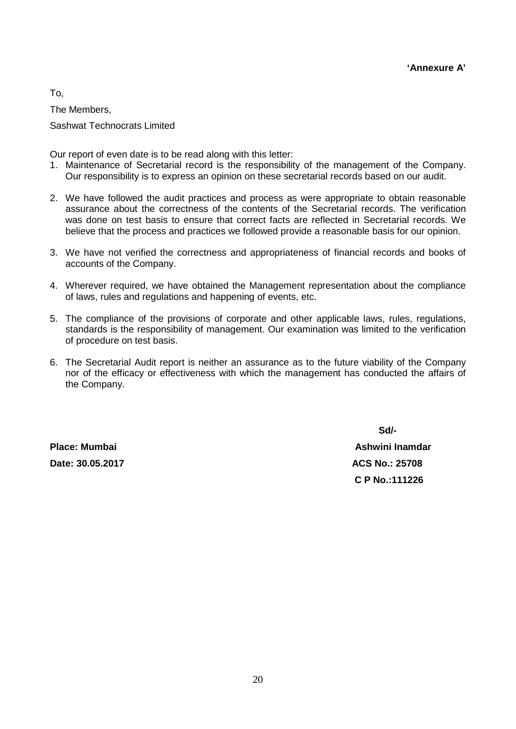To,

The Members,

Sashwat Technocrats Limited

Our report of even date is to be read along with this letter:

- 1. Maintenance of Secretarial record is the responsibility of the management of the Company. Our responsibility is to express an opinion on these secretarial records based on our audit.
- 2. We have followed the audit practices and process as were appropriate to obtain reasonable assurance about the correctness of the contents of the Secretarial records. The verification was done on test basis to ensure that correct facts are reflected in Secretarial records. We believe that the process and practices we followed provide a reasonable basis for our opinion.
- 3. We have not verified the correctness and appropriateness of financial records and books of accounts of the Company.
- 4. Wherever required, we have obtained the Management representation about the compliance of laws, rules and regulations and happening of events, etc.
- 5. The compliance of the provisions of corporate and other applicable laws, rules, regulations, standards is the responsibility of management. Our examination was limited to the verification of procedure on test basis.
- 6. The Secretarial Audit report is neither an assurance as to the future viability of the Company nor of the efficacy or effectiveness with which the management has conducted the affairs of the Company.

**Place: Mumbai Ashwini Inamdar Date: 30.05.2017 CONSERVITY ACS No.: 25708** 

**Sd/-** Sales and the state of the state of the state of the State of the State of the State of the State of the State of the State of the State of the State of the State of the State of the State of the State of the State  **C P No.:111226**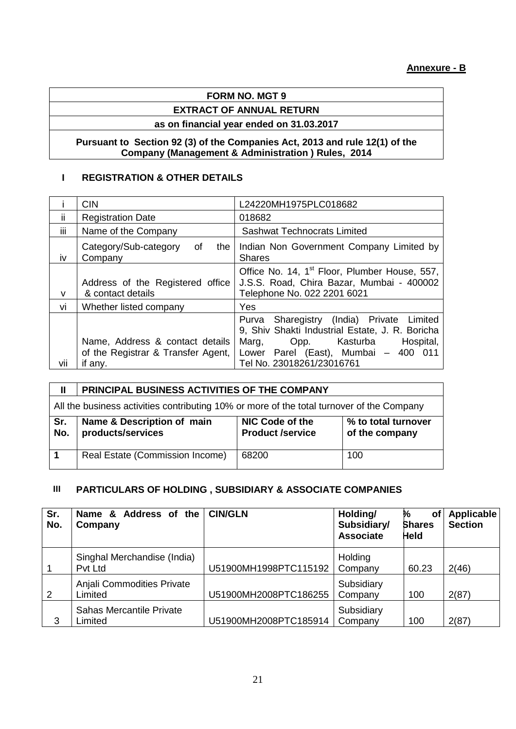# **FORM NO. MGT 9**

# **EXTRACT OF ANNUAL RETURN**

# **as on financial year ended on 31.03.2017**

# **Pursuant to Section 92 (3) of the Companies Act, 2013 and rule 12(1) of the Company (Management & Administration ) Rules, 2014**

# **I REGISTRATION & OTHER DETAILS**

|     | <b>CIN</b>                                                            | L24220MH1975PLC018682                                                                                                                                                                                    |  |  |  |  |
|-----|-----------------------------------------------------------------------|----------------------------------------------------------------------------------------------------------------------------------------------------------------------------------------------------------|--|--|--|--|
| ii. | <b>Registration Date</b>                                              | 018682                                                                                                                                                                                                   |  |  |  |  |
| iii | Name of the Company                                                   | <b>Sashwat Technocrats Limited</b>                                                                                                                                                                       |  |  |  |  |
| iv  | Category/Sub-category<br>of<br>the l<br>Company                       | Indian Non Government Company Limited by<br><b>Shares</b>                                                                                                                                                |  |  |  |  |
| v   | Address of the Registered office<br>& contact details                 | Office No. 14, 1 <sup>st</sup> Floor, Plumber House, 557,<br>J.S.S. Road, Chira Bazar, Mumbai - 400002<br>Telephone No. 022 2201 6021                                                                    |  |  |  |  |
| vi  | Whether listed company                                                | <b>Yes</b>                                                                                                                                                                                               |  |  |  |  |
|     | Name, Address & contact details<br>of the Registrar & Transfer Agent, | Purva Sharegistry (India) Private Limited<br>9, Shiv Shakti Industrial Estate, J. R. Boricha<br>Opp. Kasturba<br>Hospital,<br>Marg,<br>Lower Parel (East), Mumbai - 400 011<br>Tel No. 23018261/23016761 |  |  |  |  |
| VII | if any.                                                               |                                                                                                                                                                                                          |  |  |  |  |

| Ш          | PRINCIPAL BUSINESS ACTIVITIES OF THE COMPANY                                                                                           |       |     |  |  |  |  |  |  |  |  |
|------------|----------------------------------------------------------------------------------------------------------------------------------------|-------|-----|--|--|--|--|--|--|--|--|
|            | All the business activities contributing 10% or more of the total turnover of the Company                                              |       |     |  |  |  |  |  |  |  |  |
| Sr.<br>No. | % to total turnover<br>Name & Description of main<br>NIC Code of the<br>products/services<br><b>Product /service</b><br>of the company |       |     |  |  |  |  |  |  |  |  |
|            | Real Estate (Commission Income)                                                                                                        | 68200 | 100 |  |  |  |  |  |  |  |  |

# **III PARTICULARS OF HOLDING , SUBSIDIARY & ASSOCIATE COMPANIES**

| Sr.<br>No. | Name & Address of the<br>Company           | <b>CIN/GLN</b>        | Holding/<br>Subsidiary/<br><b>Associate</b> | ℅<br>Οf<br><b>Shares</b><br><b>Held</b> | Applicable<br><b>Section</b> |
|------------|--------------------------------------------|-----------------------|---------------------------------------------|-----------------------------------------|------------------------------|
|            | Singhal Merchandise (India)<br>Pvt Ltd     | U51900MH1998PTC115192 | Holding<br>Company                          | 60.23                                   | 2(46)                        |
| 2          | Anjali Commodities Private<br>Limited      | U51900MH2008PTC186255 | Subsidiary<br>Company                       | 100                                     | 2(87)                        |
| 3          | <b>Sahas Mercantile Private</b><br>Limited | U51900MH2008PTC185914 | Subsidiary<br>Company                       | 100                                     | 2(87)                        |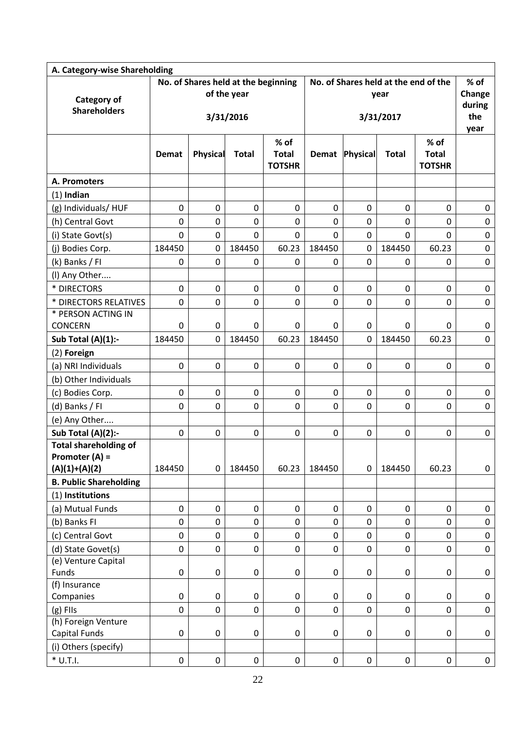| A. Category-wise Shareholding                  |              |                  |                                                    |                               |                                      |                          |              |                               |             |
|------------------------------------------------|--------------|------------------|----------------------------------------------------|-------------------------------|--------------------------------------|--------------------------|--------------|-------------------------------|-------------|
| <b>Category of</b>                             |              |                  | No. of Shares held at the beginning<br>of the year |                               | No. of Shares held at the end of the | % of<br>Change<br>during |              |                               |             |
| <b>Shareholders</b>                            |              |                  | 3/31/2016                                          |                               |                                      |                          | the          |                               |             |
|                                                | % of<br>% of |                  |                                                    |                               |                                      |                          |              |                               | year        |
|                                                | <b>Demat</b> | <b>Physical</b>  | <b>Total</b>                                       | <b>Total</b><br><b>TOTSHR</b> | Demat                                | Physical                 | <b>Total</b> | <b>Total</b><br><b>TOTSHR</b> |             |
| A. Promoters                                   |              |                  |                                                    |                               |                                      |                          |              |                               |             |
| $(1)$ Indian                                   |              |                  |                                                    |                               |                                      |                          |              |                               |             |
| (g) Individuals/HUF                            | 0            | 0                | 0                                                  | 0                             | $\mathbf{0}$                         | 0                        | 0            | 0                             | 0           |
| (h) Central Govt                               | 0            | 0                | 0                                                  | 0                             | 0                                    | 0                        | 0            | 0                             | 0           |
| (i) State Govt(s)                              | 0            | 0                | 0                                                  | 0                             | $\mathbf 0$                          | 0                        | 0            | 0                             | 0           |
| (j) Bodies Corp.                               | 184450       | $\mathbf 0$      | 184450                                             | 60.23                         | 184450                               | $\mathbf 0$              | 184450       | 60.23                         | 0           |
| (k) Banks / FI                                 | 0            | $\mathbf 0$      | 0                                                  | 0                             | 0                                    | $\mathbf 0$              | 0            | 0                             | 0           |
| (I) Any Other                                  |              |                  |                                                    |                               |                                      |                          |              |                               |             |
| * DIRECTORS                                    | 0            | $\mathbf 0$      | 0                                                  | $\mathbf 0$                   | $\mathbf 0$                          | $\mathbf 0$              | 0            | 0                             | 0           |
| * DIRECTORS RELATIVES                          | 0            | 0                | 0                                                  | 0                             | 0                                    | 0                        | 0            | 0                             | 0           |
| * PERSON ACTING IN                             |              |                  |                                                    |                               |                                      |                          |              |                               |             |
| <b>CONCERN</b>                                 | 0            | $\boldsymbol{0}$ | 0                                                  | 0                             | 0                                    | 0                        | 0            | 0                             | 0           |
| Sub Total $(A)(1)$ :-                          | 184450       | $\mathbf 0$      | 184450                                             | 60.23                         | 184450                               | $\mathbf 0$              | 184450       | 60.23                         | $\mathbf 0$ |
| (2) Foreign                                    |              |                  |                                                    |                               |                                      |                          |              |                               |             |
| (a) NRI Individuals                            | $\pmb{0}$    | $\boldsymbol{0}$ | 0                                                  | $\mathbf 0$                   | $\pmb{0}$                            | $\mathbf 0$              | $\pmb{0}$    | $\mathbf 0$                   | 0           |
| (b) Other Individuals                          |              |                  |                                                    |                               |                                      |                          |              |                               |             |
| (c) Bodies Corp.                               | 0            | $\mathbf 0$      | 0                                                  | 0                             | 0                                    | 0                        | 0            | 0                             | 0           |
| (d) Banks / FI                                 | 0            | $\mathbf 0$      | 0                                                  | 0                             | $\mathbf 0$                          | 0                        | 0            | $\mathbf 0$                   | 0           |
| (e) Any Other                                  |              |                  |                                                    |                               |                                      |                          |              |                               |             |
| Sub Total (A)(2):-                             | $\pmb{0}$    | $\mathbf 0$      | 0                                                  | $\mathbf 0$                   | $\pmb{0}$                            | $\mathbf 0$              | $\pmb{0}$    | $\mathbf 0$                   | 0           |
| <b>Total shareholding of</b><br>Promoter (A) = |              |                  |                                                    |                               |                                      |                          |              |                               |             |
| $(A)(1)+(A)(2)$                                | 184450       | $\mathbf 0$      | 184450                                             | 60.23                         | 184450                               | $\pmb{0}$                | 184450       | 60.23                         | 0           |
| <b>B. Public Shareholding</b>                  |              |                  |                                                    |                               |                                      |                          |              |                               |             |
| (1) Institutions                               |              |                  |                                                    |                               |                                      |                          |              |                               |             |
| (a) Mutual Funds                               | $\pmb{0}$    | $\pmb{0}$        | 0                                                  | $\pmb{0}$                     | $\mathbf 0$                          | $\mathsf 0$              | 0            | $\mathbf 0$                   | 0           |
| (b) Banks FI                                   | 0            | $\pmb{0}$        | 0                                                  | 0                             | 0                                    | $\boldsymbol{0}$         | 0            | 0                             | 0           |
| (c) Central Govt                               | 0            | $\mathbf 0$      | 0                                                  | $\pmb{0}$                     | 0                                    | $\mathbf 0$              | 0            | 0                             | 0           |
| (d) State Govet(s)                             | $\mathbf 0$  | $\pmb{0}$        | 0                                                  | $\pmb{0}$                     | 0                                    | $\pmb{0}$                | 0            | 0                             | 0           |
| (e) Venture Capital                            |              |                  |                                                    |                               |                                      |                          |              |                               |             |
| Funds                                          | 0            | $\pmb{0}$        | 0                                                  | 0                             | $\pmb{0}$                            | $\mathbf 0$              | 0            | 0                             | 0           |
| (f) Insurance                                  |              |                  |                                                    |                               |                                      |                          |              |                               |             |
| Companies                                      | $\pmb{0}$    | $\boldsymbol{0}$ | 0                                                  | $\pmb{0}$                     | $\pmb{0}$                            | $\mathbf 0$              | $\pmb{0}$    | 0                             | 0           |
| $(g)$ FIIs                                     | $\pmb{0}$    | $\pmb{0}$        | 0                                                  | 0                             | $\pmb{0}$                            | $\mathbf 0$              | $\pmb{0}$    | 0                             | 0           |
| (h) Foreign Venture<br>Capital Funds           | $\pmb{0}$    | $\pmb{0}$        | 0                                                  | $\pmb{0}$                     | $\pmb{0}$                            | $\mathbf 0$              | 0            | 0                             | 0           |
| (i) Others (specify)                           |              |                  |                                                    |                               |                                      |                          |              |                               |             |
| $*$ U.T.I.                                     | 0            | $\pmb{0}$        | 0                                                  | 0                             | 0                                    | 0                        | 0            | 0                             | $\mathbf 0$ |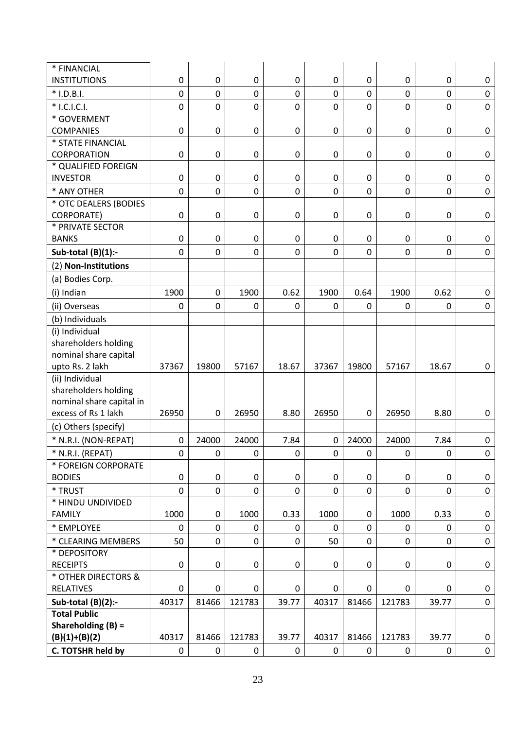| * FINANCIAL              |           |             |             |                  |           |             |        |       |             |
|--------------------------|-----------|-------------|-------------|------------------|-----------|-------------|--------|-------|-------------|
| <b>INSTITUTIONS</b>      | $\pmb{0}$ | 0           | 0           | 0                | $\pmb{0}$ | $\pmb{0}$   | 0      | 0     | $\mathbf 0$ |
| $*$ I.D.B.I.             | 0         | 0           | 0           | 0                | 0         | 0           | 0      | 0     | $\pmb{0}$   |
| $*$ I.C.I.C.I.           | 0         | 0           | 0           | $\mathbf 0$      | 0         | $\mathbf 0$ | 0      | 0     | $\mathbf 0$ |
| * GOVERMENT              |           |             |             |                  |           |             |        |       |             |
| <b>COMPANIES</b>         | 0         | $\pmb{0}$   | 0           | $\boldsymbol{0}$ | 0         | $\pmb{0}$   | 0      | 0     | 0           |
| * STATE FINANCIAL        |           |             |             |                  |           |             |        |       |             |
| CORPORATION              | $\pmb{0}$ | 0           | $\pmb{0}$   | $\boldsymbol{0}$ | 0         | 0           | 0      | 0     | 0           |
| * QUALIFIED FOREIGN      |           |             |             |                  |           |             |        |       |             |
| <b>INVESTOR</b>          | $\pmb{0}$ | 0           | 0           | $\mathbf 0$      | 0         | 0           | 0      | 0     | 0           |
| * ANY OTHER              | 0         | 0           | 0           | 0                | 0         | 0           | 0      | 0     | $\mathbf 0$ |
| * OTC DEALERS (BODIES    |           |             |             |                  |           |             |        |       |             |
| <b>CORPORATE)</b>        | 0         | $\pmb{0}$   | 0           | $\boldsymbol{0}$ | $\pmb{0}$ | $\pmb{0}$   | 0      | 0     | $\mathbf 0$ |
| * PRIVATE SECTOR         |           |             |             |                  |           |             |        |       |             |
| <b>BANKS</b>             | 0         | 0           | 0           | $\mathbf 0$      | 0         | 0           | 0      | 0     | $\pmb{0}$   |
| Sub-total $(B)(1)$ :-    | 0         | 0           | 0           | $\mathbf 0$      | 0         | 0           | 0      | 0     | $\mathbf 0$ |
| (2) Non-Institutions     |           |             |             |                  |           |             |        |       |             |
| (a) Bodies Corp.         |           |             |             |                  |           |             |        |       |             |
| (i) Indian               | 1900      | $\mathbf 0$ | 1900        | 0.62             | 1900      | 0.64        | 1900   | 0.62  | $\mathbf 0$ |
| (ii) Overseas            | 0         | 0           | 0           | $\Omega$         | 0         | 0           | 0      | 0     | 0           |
| (b) Individuals          |           |             |             |                  |           |             |        |       |             |
| (i) Individual           |           |             |             |                  |           |             |        |       |             |
| shareholders holding     |           |             |             |                  |           |             |        |       |             |
| nominal share capital    |           |             |             |                  |           |             |        |       |             |
| upto Rs. 2 lakh          | 37367     | 19800       | 57167       | 18.67            | 37367     | 19800       | 57167  | 18.67 | $\mathbf 0$ |
| (ii) Individual          |           |             |             |                  |           |             |        |       |             |
| shareholders holding     |           |             |             |                  |           |             |        |       |             |
| nominal share capital in |           |             |             |                  |           |             |        |       |             |
| excess of Rs 1 lakh      | 26950     | 0           | 26950       | 8.80             | 26950     | 0           | 26950  | 8.80  | $\mathbf 0$ |
| (c) Others (specify)     |           |             |             |                  |           |             |        |       |             |
| * N.R.I. (NON-REPAT)     | 0         | 24000       | 24000       | 7.84             | $\pmb{0}$ | 24000       | 24000  | 7.84  | $\pmb{0}$   |
| * N.R.I. (REPAT)         | 0         | 0           | $\mathbf 0$ | $\mathbf 0$      | 0         | 0           | 0      | 0     | 0           |
| * FOREIGN CORPORATE      |           |             |             |                  |           |             |        |       |             |
| <b>BODIES</b>            | 0         | 0           | $\mathbf 0$ | $\mathbf 0$      | 0         | 0           | 0      | 0     | 0           |
| * TRUST                  | 0         | 0           | $\mathbf 0$ | $\mathbf 0$      | 0         | 0           | 0      | 0     | $\mathsf 0$ |
| * HINDU UNDIVIDED        |           |             |             |                  |           |             |        |       |             |
| <b>FAMILY</b>            | 1000      | 0           | 1000        | 0.33             | 1000      | 0           | 1000   | 0.33  | 0           |
| * EMPLOYEE               | 0         | 0           | 0           | 0                | 0         | 0           | 0      | 0     | $\mathbf 0$ |
| * CLEARING MEMBERS       | 50        | 0           | $\mathbf 0$ | 0                | 50        | $\mathbf 0$ | 0      | 0     | $\mathbf 0$ |
| * DEPOSITORY             |           |             |             |                  |           |             |        |       |             |
| <b>RECEIPTS</b>          | 0         | 0           | 0           | $\mathbf 0$      | 0         | 0           | 0      | 0     | 0           |
| * OTHER DIRECTORS &      |           |             |             |                  |           |             |        |       |             |
| <b>RELATIVES</b>         | 0         | 0           | 0           | 0                | 0         | 0           | 0      | 0     | 0           |
| Sub-total $(B)(2)$ :-    | 40317     | 81466       | 121783      | 39.77            | 40317     | 81466       | 121783 | 39.77 | 0           |
| <b>Total Public</b>      |           |             |             |                  |           |             |        |       |             |
| Shareholding $(B) =$     |           |             |             |                  |           |             |        |       |             |
| $(B)(1)+(B)(2)$          | 40317     | 81466       | 121783      | 39.77            | 40317     | 81466       | 121783 | 39.77 | $\mathbf 0$ |
| C. TOTSHR held by        | 0         | 0           | 0           | $\mathbf 0$      | 0         | 0           | 0      | 0     | $\mathbf 0$ |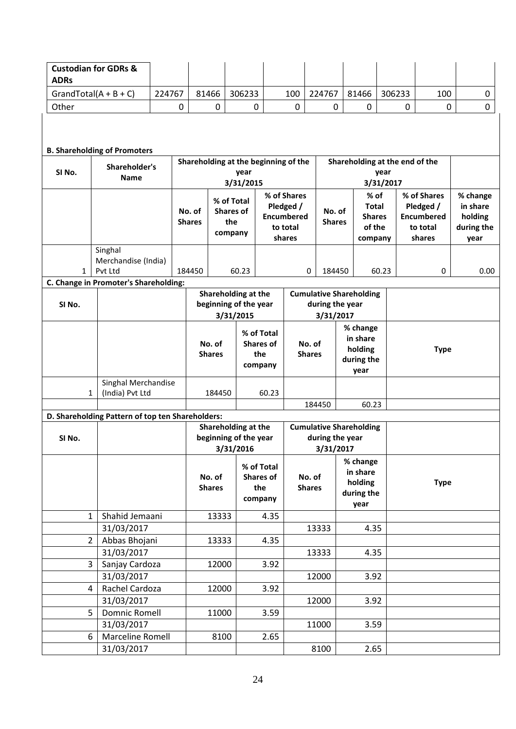| <b>ADRs</b>       | <b>Custodian for GDRs &amp;</b>                  |        |                         |                                                  |                                                           |                                                                     |                 |                                |        |                                                              |                   |                                |                                                                     |                                                       |
|-------------------|--------------------------------------------------|--------|-------------------------|--------------------------------------------------|-----------------------------------------------------------|---------------------------------------------------------------------|-----------------|--------------------------------|--------|--------------------------------------------------------------|-------------------|--------------------------------|---------------------------------------------------------------------|-------------------------------------------------------|
|                   | GrandTotal( $A + B + C$ )                        | 224767 |                         | 81466                                            | 306233                                                    |                                                                     | 100             | 224767                         |        | 81466                                                        | 306233            |                                | 100                                                                 | 0                                                     |
| Other             |                                                  | 0      |                         | 0                                                | 0                                                         |                                                                     | $\mathbf 0$     |                                | 0      | 0                                                            |                   | 0                              | 0                                                                   | $\mathbf 0$                                           |
|                   |                                                  |        |                         |                                                  |                                                           |                                                                     |                 |                                |        |                                                              |                   |                                |                                                                     |                                                       |
|                   | <b>B. Shareholding of Promoters</b>              |        |                         |                                                  |                                                           |                                                                     |                 |                                |        |                                                              |                   |                                |                                                                     |                                                       |
| SI <sub>No.</sub> | Shareholder's<br><b>Name</b>                     |        |                         |                                                  | year<br>3/31/2015                                         | Shareholding at the beginning of the                                |                 |                                |        |                                                              | year<br>3/31/2017 | Shareholding at the end of the |                                                                     |                                                       |
|                   |                                                  |        | No. of<br><b>Shares</b> | % of Total<br><b>Shares of</b><br>the<br>company |                                                           | % of Shares<br>Pledged /<br><b>Encumbered</b><br>to total<br>shares |                 | <b>Shares</b>                  | No. of | $%$ of<br><b>Total</b><br><b>Shares</b><br>of the<br>company |                   |                                | % of Shares<br>Pledged /<br><b>Encumbered</b><br>to total<br>shares | % change<br>in share<br>holding<br>during the<br>year |
|                   | Singhal<br>Merchandise (India)                   |        |                         |                                                  |                                                           |                                                                     |                 |                                |        |                                                              |                   |                                |                                                                     |                                                       |
| 1                 | Pyt Ltd                                          |        | 184450                  |                                                  | 60.23                                                     |                                                                     |                 | 0                              | 184450 |                                                              | 60.23             |                                | 0                                                                   | 0.00                                                  |
|                   | C. Change in Promoter's Shareholding:            |        |                         |                                                  | Shareholding at the                                       |                                                                     |                 | <b>Cumulative Shareholding</b> |        |                                                              |                   |                                |                                                                     |                                                       |
| SI No.            |                                                  |        |                         |                                                  | beginning of the year<br>3/31/2015                        |                                                                     |                 | during the year<br>3/31/2017   |        |                                                              |                   |                                |                                                                     |                                                       |
|                   |                                                  |        |                         | No. of<br><b>Shares</b>                          |                                                           | % of Total<br><b>Shares of</b><br>the<br>company                    |                 | No. of<br><b>Shares</b>        |        | % change<br>in share<br>holding<br>during the<br>year        |                   | <b>Type</b>                    |                                                                     |                                                       |
| 1                 | Singhal Merchandise<br>(India) Pvt Ltd           |        |                         | 184450                                           |                                                           | 60.23                                                               |                 |                                |        |                                                              |                   |                                |                                                                     |                                                       |
|                   |                                                  |        |                         |                                                  |                                                           |                                                                     | 184450<br>60.23 |                                |        |                                                              |                   |                                |                                                                     |                                                       |
|                   | D. Shareholding Pattern of top ten Shareholders: |        |                         |                                                  |                                                           |                                                                     |                 |                                |        |                                                              |                   |                                |                                                                     |                                                       |
| SI No.            |                                                  |        |                         |                                                  | Shareholding at the<br>beginning of the year<br>3/31/2016 | <b>Cumulative Shareholding</b><br>during the year<br>3/31/2017      |                 |                                |        |                                                              |                   |                                |                                                                     |                                                       |
|                   |                                                  |        |                         | No. of<br><b>Shares</b>                          |                                                           | % of Total<br><b>Shares of</b><br>the<br>company                    |                 | No. of<br><b>Shares</b>        |        | % change<br>in share<br>holding<br>during the<br>year        |                   | <b>Type</b>                    |                                                                     |                                                       |
|                   | 1<br>Shahid Jemaani                              |        |                         | 13333                                            |                                                           | 4.35                                                                |                 |                                |        |                                                              |                   |                                |                                                                     |                                                       |
|                   | 31/03/2017                                       |        |                         |                                                  |                                                           |                                                                     |                 | 13333                          |        | 4.35                                                         |                   |                                |                                                                     |                                                       |
| 2 <sup>7</sup>    | Abbas Bhojani                                    |        |                         | 13333                                            |                                                           | 4.35                                                                |                 |                                |        |                                                              |                   |                                |                                                                     |                                                       |
|                   | 31/03/2017                                       |        |                         |                                                  |                                                           |                                                                     |                 | 13333                          |        | 4.35                                                         |                   |                                |                                                                     |                                                       |
| $\overline{3}$    | Sanjay Cardoza                                   |        |                         | 12000                                            |                                                           | 3.92                                                                |                 |                                |        |                                                              |                   |                                |                                                                     |                                                       |
|                   | 31/03/2017                                       |        |                         |                                                  |                                                           |                                                                     |                 | 12000                          |        | 3.92                                                         |                   |                                |                                                                     |                                                       |
| 4                 | Rachel Cardoza                                   |        |                         | 12000                                            |                                                           | 3.92                                                                |                 |                                |        |                                                              |                   |                                |                                                                     |                                                       |
|                   | 31/03/2017                                       |        |                         |                                                  |                                                           |                                                                     |                 | 12000                          |        | 3.92                                                         |                   |                                |                                                                     |                                                       |
| 5                 | <b>Domnic Romell</b>                             |        |                         | 11000                                            |                                                           | 3.59                                                                |                 |                                |        |                                                              |                   |                                |                                                                     |                                                       |
|                   | 31/03/2017                                       |        |                         |                                                  |                                                           |                                                                     |                 | 11000                          |        | 3.59                                                         |                   |                                |                                                                     |                                                       |
| 6                 | Marceline Romell<br>31/03/2017                   |        |                         | 8100                                             |                                                           | 2.65                                                                |                 | 8100                           |        | 2.65                                                         |                   |                                |                                                                     |                                                       |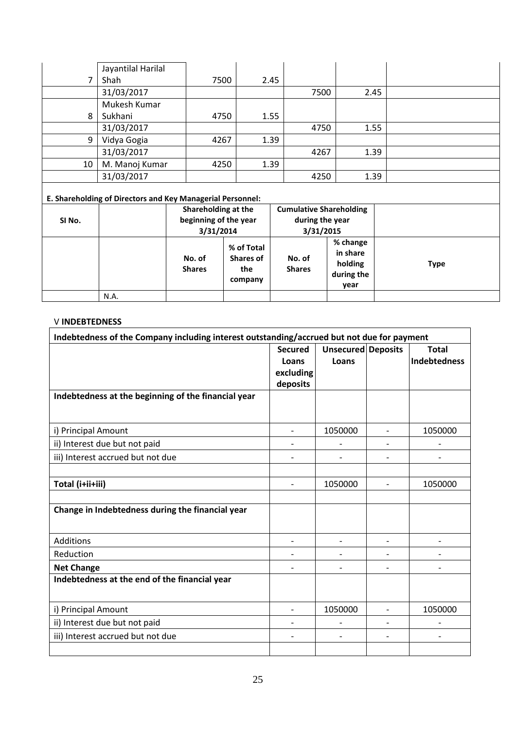| $\overline{7}$ | Jayantilal Harilal<br>Shah<br>31/03/2017                   | 7500                                                      |                                           | 2.45<br>7500                                                   |                                                       | 2.45        |
|----------------|------------------------------------------------------------|-----------------------------------------------------------|-------------------------------------------|----------------------------------------------------------------|-------------------------------------------------------|-------------|
|                | Mukesh Kumar                                               |                                                           |                                           |                                                                |                                                       |             |
| 8              | Sukhani                                                    | 4750                                                      |                                           | 1.55                                                           |                                                       |             |
| 9              | 31/03/2017<br>Vidya Gogia                                  | 4267                                                      |                                           | 4750<br>1.39                                                   |                                                       | 1.55        |
|                | 31/03/2017                                                 |                                                           |                                           | 4267                                                           |                                                       | 1.39        |
| 10             | M. Manoj Kumar                                             | 4250                                                      |                                           | 1.39                                                           |                                                       |             |
|                | 31/03/2017                                                 |                                                           |                                           | 4250                                                           |                                                       | 1.39        |
|                | E. Shareholding of Directors and Key Managerial Personnel: |                                                           |                                           |                                                                |                                                       |             |
| SI No.         |                                                            | Shareholding at the<br>beginning of the year<br>3/31/2014 |                                           | <b>Cumulative Shareholding</b><br>during the year<br>3/31/2015 |                                                       |             |
|                |                                                            | No. of<br><b>Shares</b>                                   | % of Total<br>Shares of<br>the<br>company | No. of<br><b>Shares</b>                                        | % change<br>in share<br>holding<br>during the<br>year | <b>Type</b> |
|                | N.A.                                                       |                                                           |                                           |                                                                |                                                       |             |

#### V **INDEBTEDNESS**

| Indebtedness of the Company including interest outstanding/accrued but not due for payment<br><b>Unsecured Deposits</b> |                              |              |                          |              |  |  |  |  |  |
|-------------------------------------------------------------------------------------------------------------------------|------------------------------|--------------|--------------------------|--------------|--|--|--|--|--|
|                                                                                                                         | <b>Secured</b>               | <b>Total</b> |                          |              |  |  |  |  |  |
|                                                                                                                         | Loans                        | Loans        |                          | Indebtedness |  |  |  |  |  |
|                                                                                                                         | excluding                    |              |                          |              |  |  |  |  |  |
|                                                                                                                         | deposits                     |              |                          |              |  |  |  |  |  |
| Indebtedness at the beginning of the financial year                                                                     |                              |              |                          |              |  |  |  |  |  |
|                                                                                                                         |                              |              |                          |              |  |  |  |  |  |
| i) Principal Amount                                                                                                     | $\overline{a}$               | 1050000      | $\overline{\phantom{0}}$ | 1050000      |  |  |  |  |  |
| ii) Interest due but not paid                                                                                           |                              |              |                          |              |  |  |  |  |  |
| iii) Interest accrued but not due                                                                                       |                              |              |                          |              |  |  |  |  |  |
|                                                                                                                         |                              |              |                          |              |  |  |  |  |  |
| Total (i+ii+iii)                                                                                                        | $\qquad \qquad \blacksquare$ | 1050000      | $\overline{\phantom{0}}$ | 1050000      |  |  |  |  |  |
|                                                                                                                         |                              |              |                          |              |  |  |  |  |  |
| Change in Indebtedness during the financial year                                                                        |                              |              |                          |              |  |  |  |  |  |
|                                                                                                                         |                              |              |                          |              |  |  |  |  |  |
| Additions                                                                                                               | $\overline{\phantom{a}}$     |              | $\overline{a}$           |              |  |  |  |  |  |
| Reduction                                                                                                               |                              |              |                          |              |  |  |  |  |  |
| <b>Net Change</b>                                                                                                       |                              |              |                          |              |  |  |  |  |  |
| Indebtedness at the end of the financial year                                                                           |                              |              |                          |              |  |  |  |  |  |
|                                                                                                                         |                              |              |                          |              |  |  |  |  |  |
| i) Principal Amount                                                                                                     |                              | 1050000      |                          | 1050000      |  |  |  |  |  |
| ii) Interest due but not paid                                                                                           |                              |              |                          |              |  |  |  |  |  |
| iii) Interest accrued but not due                                                                                       |                              |              |                          |              |  |  |  |  |  |
|                                                                                                                         |                              |              |                          |              |  |  |  |  |  |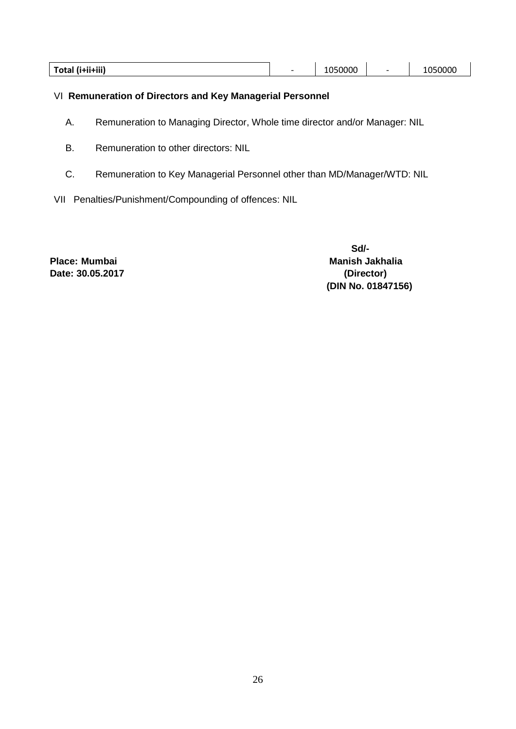| $(i+iii+iii)$<br>. | .050000 | 5000C |
|--------------------|---------|-------|
|                    |         |       |

#### VI **Remuneration of Directors and Key Managerial Personnel**

- A. Remuneration to Managing Director, Whole time director and/or Manager: NIL
- B. Remuneration to other directors: NIL
- C. Remuneration to Key Managerial Personnel other than MD/Manager/WTD: NIL
- VII Penalties/Punishment/Compounding of offences: NIL

**Date: 30.05.2017 (Director)**

 **Sd/- Place: Mumbai Manish Jakhalia (DIN No. 01847156)**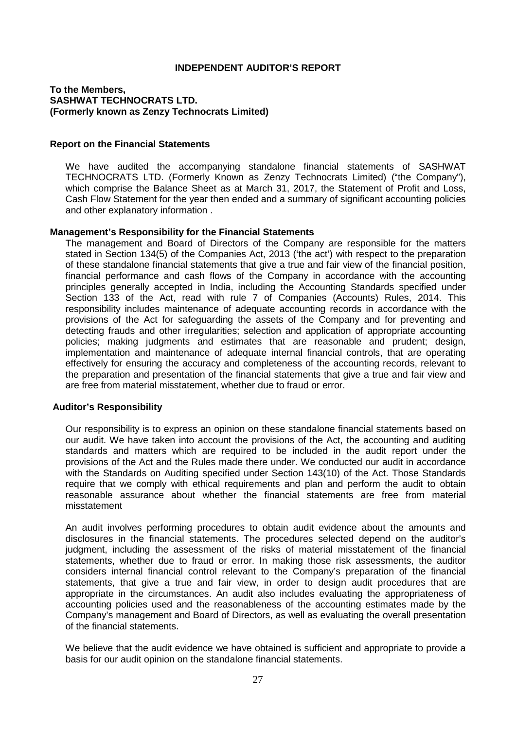#### **INDEPENDENT AUDITOR'S REPORT**

#### **To the Members, SASHWAT TECHNOCRATS LTD. (Formerly known as Zenzy Technocrats Limited)**

#### **Report on the Financial Statements**

We have audited the accompanying standalone financial statements of SASHWAT TECHNOCRATS LTD. (Formerly Known as Zenzy Technocrats Limited) ("the Company"), which comprise the Balance Sheet as at March 31, 2017, the Statement of Profit and Loss, Cash Flow Statement for the year then ended and a summary of significant accounting policies and other explanatory information .

#### **Management's Responsibility for the Financial Statements**

The management and Board of Directors of the Company are responsible for the matters stated in Section 134(5) of the Companies Act, 2013 ('the act') with respect to the preparation of these standalone financial statements that give a true and fair view of the financial position, financial performance and cash flows of the Company in accordance with the accounting principles generally accepted in India, including the Accounting Standards specified under Section 133 of the Act, read with rule 7 of Companies (Accounts) Rules, 2014. This responsibility includes maintenance of adequate accounting records in accordance with the provisions of the Act for safeguarding the assets of the Company and for preventing and detecting frauds and other irregularities; selection and application of appropriate accounting policies; making judgments and estimates that are reasonable and prudent; design, implementation and maintenance of adequate internal financial controls, that are operating effectively for ensuring the accuracy and completeness of the accounting records, relevant to the preparation and presentation of the financial statements that give a true and fair view and are free from material misstatement, whether due to fraud or error.

#### **Auditor's Responsibility**

Our responsibility is to express an opinion on these standalone financial statements based on our audit. We have taken into account the provisions of the Act, the accounting and auditing standards and matters which are required to be included in the audit report under the provisions of the Act and the Rules made there under. We conducted our audit in accordance with the Standards on Auditing specified under Section 143(10) of the Act. Those Standards require that we comply with ethical requirements and plan and perform the audit to obtain reasonable assurance about whether the financial statements are free from material misstatement

An audit involves performing procedures to obtain audit evidence about the amounts and disclosures in the financial statements. The procedures selected depend on the auditor's judgment, including the assessment of the risks of material misstatement of the financial statements, whether due to fraud or error. In making those risk assessments, the auditor considers internal financial control relevant to the Company's preparation of the financial statements, that give a true and fair view, in order to design audit procedures that are appropriate in the circumstances. An audit also includes evaluating the appropriateness of accounting policies used and the reasonableness of the accounting estimates made by the Company's management and Board of Directors, as well as evaluating the overall presentation of the financial statements.

We believe that the audit evidence we have obtained is sufficient and appropriate to provide a basis for our audit opinion on the standalone financial statements.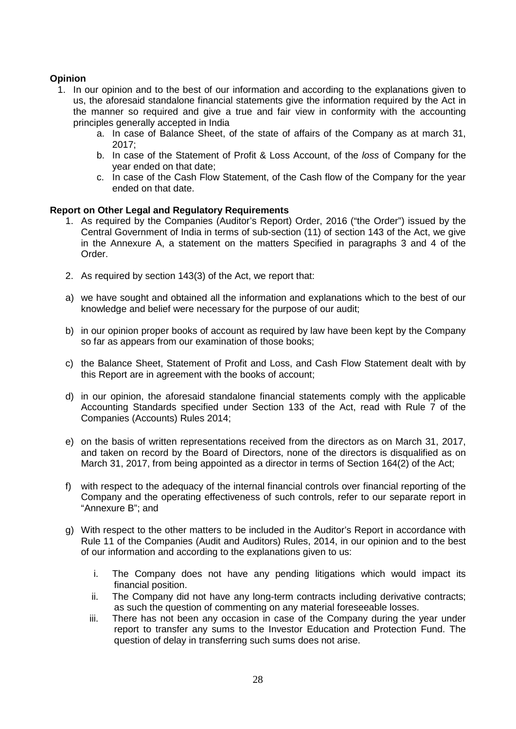# **Opinion**

- 1. In our opinion and to the best of our information and according to the explanations given to us, the aforesaid standalone financial statements give the information required by the Act in the manner so required and give a true and fair view in conformity with the accounting principles generally accepted in India
	- a. In case of Balance Sheet, of the state of affairs of the Company as at march 31, 2017;
	- b. In case of the Statement of Profit & Loss Account, of the *loss* of Company for the year ended on that date;
	- c. In case of the Cash Flow Statement, of the Cash flow of the Company for the year ended on that date.

#### **Report on Other Legal and Regulatory Requirements**

- 1. As required by the Companies (Auditor's Report) Order, 2016 ("the Order") issued by the Central Government of India in terms of sub-section (11) of section 143 of the Act, we give in the Annexure A, a statement on the matters Specified in paragraphs 3 and 4 of the Order.
- 2. As required by section 143(3) of the Act, we report that:
- a) we have sought and obtained all the information and explanations which to the best of our knowledge and belief were necessary for the purpose of our audit;
- b) in our opinion proper books of account as required by law have been kept by the Company so far as appears from our examination of those books;
- c) the Balance Sheet, Statement of Profit and Loss, and Cash Flow Statement dealt with by this Report are in agreement with the books of account;
- d) in our opinion, the aforesaid standalone financial statements comply with the applicable Accounting Standards specified under Section 133 of the Act, read with Rule 7 of the Companies (Accounts) Rules 2014;
- e) on the basis of written representations received from the directors as on March 31, 2017, and taken on record by the Board of Directors, none of the directors is disqualified as on March 31, 2017, from being appointed as a director in terms of Section 164(2) of the Act;
- f) with respect to the adequacy of the internal financial controls over financial reporting of the Company and the operating effectiveness of such controls, refer to our separate report in "Annexure B"; and
- g) With respect to the other matters to be included in the Auditor's Report in accordance with Rule 11 of the Companies (Audit and Auditors) Rules, 2014, in our opinion and to the best of our information and according to the explanations given to us:
	- i. The Company does not have any pending litigations which would impact its financial position.
	- ii. The Company did not have any long-term contracts including derivative contracts; as such the question of commenting on any material foreseeable losses.
	- iii. There has not been any occasion in case of the Company during the year under report to transfer any sums to the Investor Education and Protection Fund. The question of delay in transferring such sums does not arise.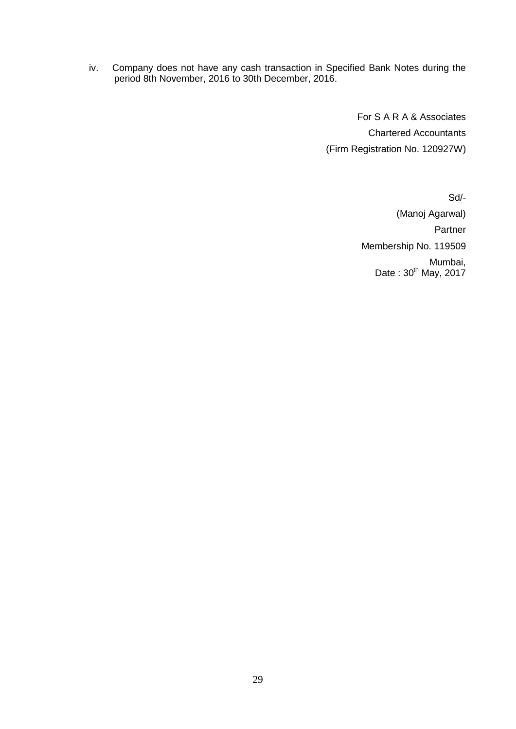iv. Company does not have any cash transaction in Specified Bank Notes during the period 8th November, 2016 to 30th December, 2016.

> For S A R A & Associates Chartered Accountants (Firm Registration No. 120927W)

> > Sd/- (Manoj Agarwal) Partner Membership No. 119509 Mumbai, Date: 30<sup>th</sup> May, 2017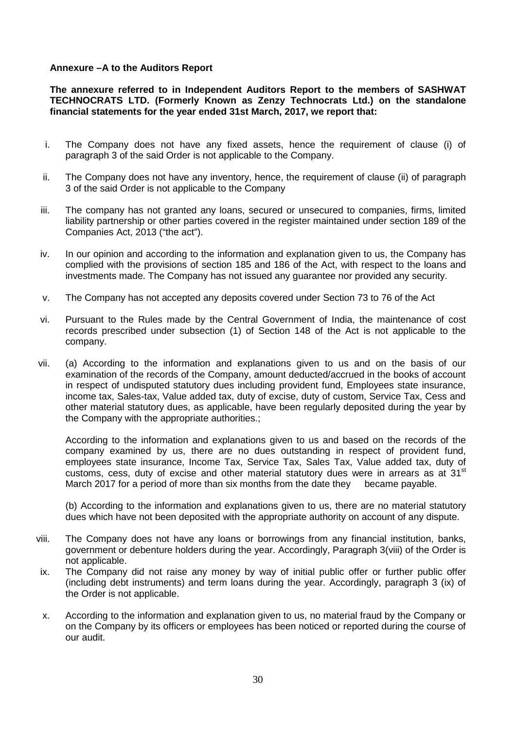#### **Annexure –A to the Auditors Report**

**The annexure referred to in Independent Auditors Report to the members of SASHWAT TECHNOCRATS LTD. (Formerly Known as Zenzy Technocrats Ltd.) on the standalone financial statements for the year ended 31st March, 2017, we report that:** 

- i. The Company does not have any fixed assets, hence the requirement of clause (i) of paragraph 3 of the said Order is not applicable to the Company.
- ii. The Company does not have any inventory, hence, the requirement of clause (ii) of paragraph 3 of the said Order is not applicable to the Company
- iii. The company has not granted any loans, secured or unsecured to companies, firms, limited liability partnership or other parties covered in the register maintained under section 189 of the Companies Act, 2013 ("the act").
- iv. In our opinion and according to the information and explanation given to us, the Company has complied with the provisions of section 185 and 186 of the Act, with respect to the loans and investments made. The Company has not issued any guarantee nor provided any security.
- v. The Company has not accepted any deposits covered under Section 73 to 76 of the Act
- vi. Pursuant to the Rules made by the Central Government of India, the maintenance of cost records prescribed under subsection (1) of Section 148 of the Act is not applicable to the company.
- vii. (a) According to the information and explanations given to us and on the basis of our examination of the records of the Company, amount deducted/accrued in the books of account in respect of undisputed statutory dues including provident fund, Employees state insurance, income tax, Sales-tax, Value added tax, duty of excise, duty of custom, Service Tax, Cess and other material statutory dues, as applicable, have been regularly deposited during the year by the Company with the appropriate authorities.;

According to the information and explanations given to us and based on the records of the company examined by us, there are no dues outstanding in respect of provident fund, employees state insurance, Income Tax, Service Tax, Sales Tax, Value added tax, duty of customs, cess, duty of excise and other material statutory dues were in arrears as at  $31<sup>st</sup>$ March 2017 for a period of more than six months from the date they became payable.

(b) According to the information and explanations given to us, there are no material statutory dues which have not been deposited with the appropriate authority on account of any dispute.

- viii. The Company does not have any loans or borrowings from any financial institution, banks, government or debenture holders during the year. Accordingly, Paragraph 3(viii) of the Order is not applicable.
- ix. The Company did not raise any money by way of initial public offer or further public offer (including debt instruments) and term loans during the year. Accordingly, paragraph 3 (ix) of the Order is not applicable.
- x. According to the information and explanation given to us, no material fraud by the Company or on the Company by its officers or employees has been noticed or reported during the course of our audit.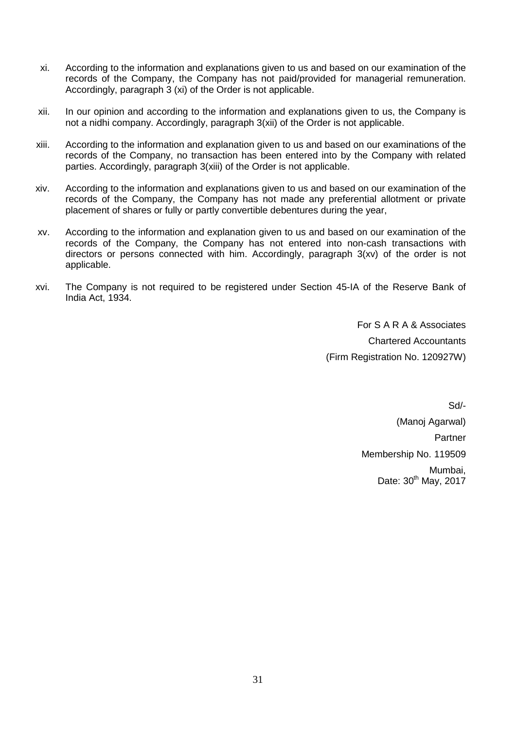- xi. According to the information and explanations given to us and based on our examination of the records of the Company, the Company has not paid/provided for managerial remuneration. Accordingly, paragraph 3 (xi) of the Order is not applicable.
- xii. In our opinion and according to the information and explanations given to us, the Company is not a nidhi company. Accordingly, paragraph 3(xii) of the Order is not applicable.
- xiii. According to the information and explanation given to us and based on our examinations of the records of the Company, no transaction has been entered into by the Company with related parties. Accordingly, paragraph 3(xiii) of the Order is not applicable.
- xiv. According to the information and explanations given to us and based on our examination of the records of the Company, the Company has not made any preferential allotment or private placement of shares or fully or partly convertible debentures during the year,
- xv. According to the information and explanation given to us and based on our examination of the records of the Company, the Company has not entered into non-cash transactions with directors or persons connected with him. Accordingly, paragraph 3(xv) of the order is not applicable.
- xvi. The Company is not required to be registered under Section 45-IA of the Reserve Bank of India Act, 1934.

For S A R A & Associates Chartered Accountants (Firm Registration No. 120927W)

> Sd/- (Manoj Agarwal) Partner Membership No. 119509 Mumbai, Date:  $30<sup>th</sup>$  May, 2017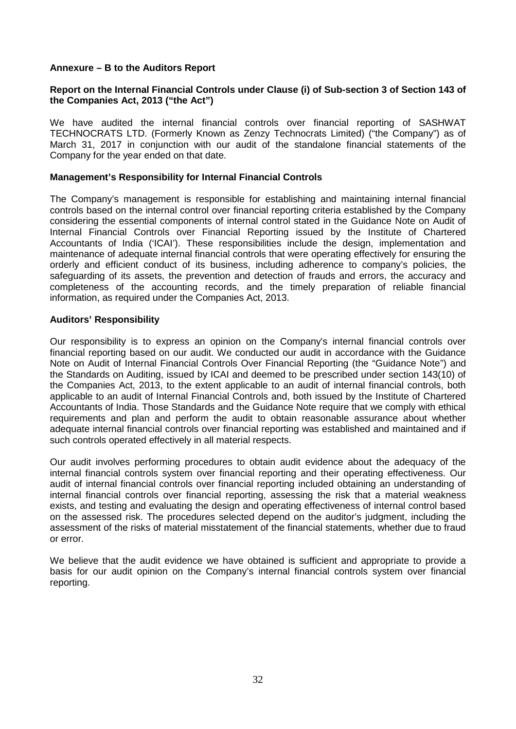#### **Annexure – B to the Auditors Report**

## **Report on the Internal Financial Controls under Clause (i) of Sub-section 3 of Section 143 of the Companies Act, 2013 ("the Act")**

We have audited the internal financial controls over financial reporting of SASHWAT TECHNOCRATS LTD. (Formerly Known as Zenzy Technocrats Limited) ("the Company") as of March 31, 2017 in conjunction with our audit of the standalone financial statements of the Company for the year ended on that date.

#### **Management's Responsibility for Internal Financial Controls**

The Company's management is responsible for establishing and maintaining internal financial controls based on the internal control over financial reporting criteria established by the Company considering the essential components of internal control stated in the Guidance Note on Audit of Internal Financial Controls over Financial Reporting issued by the Institute of Chartered Accountants of India ('ICAI'). These responsibilities include the design, implementation and maintenance of adequate internal financial controls that were operating effectively for ensuring the orderly and efficient conduct of its business, including adherence to company's policies, the safeguarding of its assets, the prevention and detection of frauds and errors, the accuracy and completeness of the accounting records, and the timely preparation of reliable financial information, as required under the Companies Act, 2013.

#### **Auditors' Responsibility**

Our responsibility is to express an opinion on the Company's internal financial controls over financial reporting based on our audit. We conducted our audit in accordance with the Guidance Note on Audit of Internal Financial Controls Over Financial Reporting (the "Guidance Note") and the Standards on Auditing, issued by ICAI and deemed to be prescribed under section 143(10) of the Companies Act, 2013, to the extent applicable to an audit of internal financial controls, both applicable to an audit of Internal Financial Controls and, both issued by the Institute of Chartered Accountants of India. Those Standards and the Guidance Note require that we comply with ethical requirements and plan and perform the audit to obtain reasonable assurance about whether adequate internal financial controls over financial reporting was established and maintained and if such controls operated effectively in all material respects.

Our audit involves performing procedures to obtain audit evidence about the adequacy of the internal financial controls system over financial reporting and their operating effectiveness. Our audit of internal financial controls over financial reporting included obtaining an understanding of internal financial controls over financial reporting, assessing the risk that a material weakness exists, and testing and evaluating the design and operating effectiveness of internal control based on the assessed risk. The procedures selected depend on the auditor's judgment, including the assessment of the risks of material misstatement of the financial statements, whether due to fraud or error.

We believe that the audit evidence we have obtained is sufficient and appropriate to provide a basis for our audit opinion on the Company's internal financial controls system over financial reporting.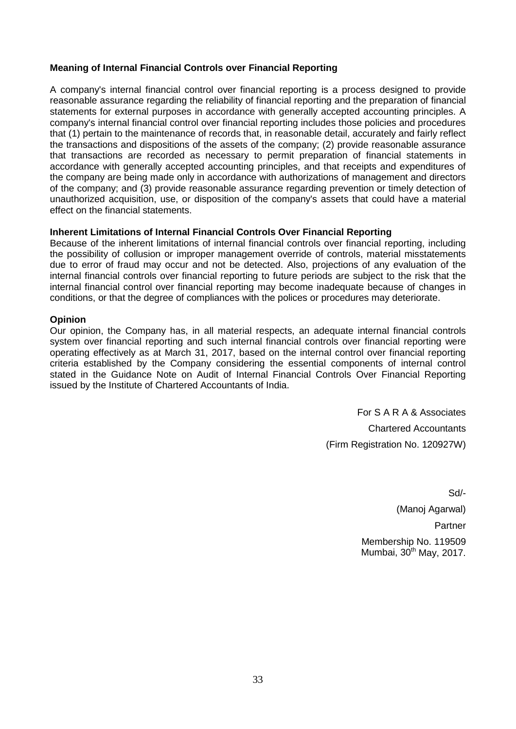## **Meaning of Internal Financial Controls over Financial Reporting**

A company's internal financial control over financial reporting is a process designed to provide reasonable assurance regarding the reliability of financial reporting and the preparation of financial statements for external purposes in accordance with generally accepted accounting principles. A company's internal financial control over financial reporting includes those policies and procedures that (1) pertain to the maintenance of records that, in reasonable detail, accurately and fairly reflect the transactions and dispositions of the assets of the company; (2) provide reasonable assurance that transactions are recorded as necessary to permit preparation of financial statements in accordance with generally accepted accounting principles, and that receipts and expenditures of the company are being made only in accordance with authorizations of management and directors of the company; and (3) provide reasonable assurance regarding prevention or timely detection of unauthorized acquisition, use, or disposition of the company's assets that could have a material effect on the financial statements.

#### **Inherent Limitations of Internal Financial Controls Over Financial Reporting**

Because of the inherent limitations of internal financial controls over financial reporting, including the possibility of collusion or improper management override of controls, material misstatements due to error of fraud may occur and not be detected. Also, projections of any evaluation of the internal financial controls over financial reporting to future periods are subject to the risk that the internal financial control over financial reporting may become inadequate because of changes in conditions, or that the degree of compliances with the polices or procedures may deteriorate.

#### **Opinion**

Our opinion, the Company has, in all material respects, an adequate internal financial controls system over financial reporting and such internal financial controls over financial reporting were operating effectively as at March 31, 2017, based on the internal control over financial reporting criteria established by the Company considering the essential components of internal control stated in the Guidance Note on Audit of Internal Financial Controls Over Financial Reporting issued by the Institute of Chartered Accountants of India.

> For S A R A & Associates Chartered Accountants (Firm Registration No. 120927W)

> > Sd/-

(Manoj Agarwal) **Partner** Membership No. 119509 Mumbai,  $30<sup>th</sup>$  May, 2017.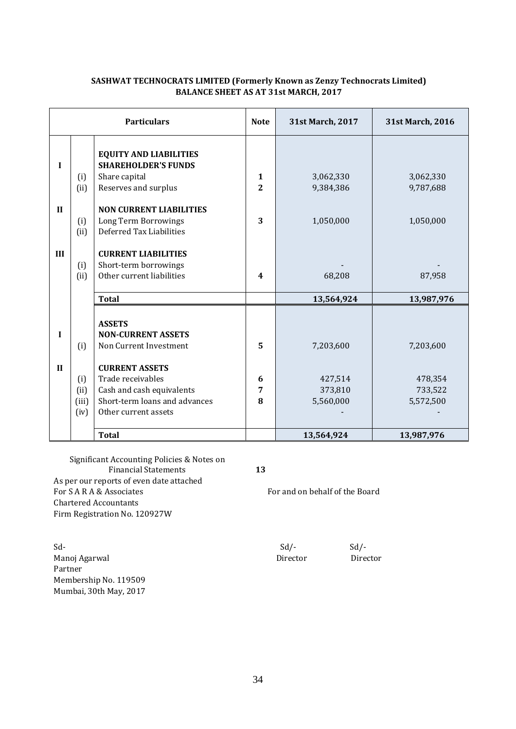|              |             | <b>Particulars</b>                                                                 | <b>Note</b>             | 31st March, 2017 | 31st March, 2016 |
|--------------|-------------|------------------------------------------------------------------------------------|-------------------------|------------------|------------------|
| I            | (i)         | <b>EQUITY AND LIABILITIES</b><br><b>SHAREHOLDER'S FUNDS</b><br>Share capital       | 1<br>$\overline{2}$     | 3,062,330        | 3,062,330        |
|              | (ii)        | Reserves and surplus                                                               |                         | 9,384,386        | 9,787,688        |
| $\mathbf{H}$ | (i)<br>(ii) | <b>NON CURRENT LIABILITIES</b><br>Long Term Borrowings<br>Deferred Tax Liabilities | 3                       | 1,050,000        | 1,050,000        |
| III          | (i)<br>(ii) | <b>CURRENT LIABILITIES</b><br>Short-term borrowings<br>Other current liabilities   | $\overline{\mathbf{4}}$ | 68,208           | 87,958           |
|              |             | <b>Total</b>                                                                       |                         | 13,564,924       | 13,987,976       |
| $\bf{I}$     | (i)         | <b>ASSETS</b><br><b>NON-CURRENT ASSETS</b><br>Non Current Investment               | 5                       | 7,203,600        | 7,203,600        |
| $\mathbf{I}$ |             | <b>CURRENT ASSETS</b>                                                              |                         |                  |                  |
|              | (i)         | Trade receivables                                                                  | 6                       | 427,514          | 478,354          |
|              | (ii)        | Cash and cash equivalents                                                          | 7                       | 373,810          | 733,522          |
|              | (iii)       | Short-term loans and advances                                                      | 8                       | 5,560,000        | 5,572,500        |
|              | (iv)        | Other current assets                                                               |                         |                  |                  |
|              |             | <b>Total</b>                                                                       |                         | 13,564,924       | 13,987,976       |

# **SASHWAT TECHNOCRATS LIMITED (Formerly Known as Zenzy Technocrats Limited) BALANCE SHEET AS AT 31st MARCH, 2017**

Significant Accounting Policies & Notes on Financial Statements **13** As per our reports of even date attached<br>For S A R A & Associates Chartered Accountants Firm Registration No. 120927W

For and on behalf of the Board

 $Sd$ - Sd-  $Sd$ - Sd-Manoj Agarwal **Director** Director Director Director Partner Membership No. 119509 Mumbai, 30th May, 2017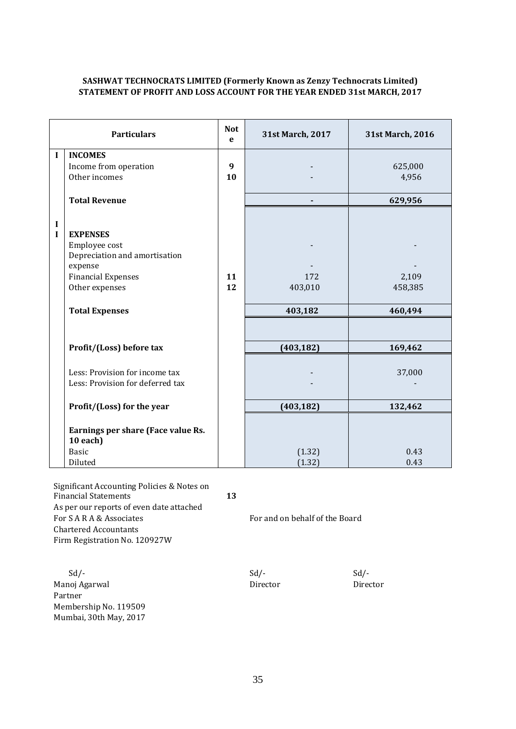#### **SASHWAT TECHNOCRATS LIMITED (Formerly Known as Zenzy Technocrats Limited) STATEMENT OF PROFIT AND LOSS ACCOUNT FOR THE YEAR ENDED 31st MARCH, 2017**

|                  | <b>Particulars</b>                                                                                                                                   | <b>Not</b><br>$\mathbf e$ | 31st March, 2017          | 31st March, 2016            |
|------------------|------------------------------------------------------------------------------------------------------------------------------------------------------|---------------------------|---------------------------|-----------------------------|
| $\mathbf I$      | <b>INCOMES</b><br>Income from operation<br>Other incomes                                                                                             | 9<br>10                   |                           | 625,000<br>4,956            |
|                  | <b>Total Revenue</b>                                                                                                                                 |                           |                           | 629,956                     |
| I<br>$\mathbf I$ | <b>EXPENSES</b><br>Employee cost<br>Depreciation and amortisation<br>expense<br><b>Financial Expenses</b><br>Other expenses<br><b>Total Expenses</b> | 11<br>12                  | 172<br>403,010<br>403,182 | 2,109<br>458,385<br>460,494 |
|                  | Profit/(Loss) before tax                                                                                                                             |                           | (403, 182)                | 169,462                     |
|                  | Less: Provision for income tax<br>Less: Provision for deferred tax                                                                                   |                           |                           | 37,000                      |
|                  | Profit/(Loss) for the year                                                                                                                           |                           | (403, 182)                | 132,462                     |
|                  | Earnings per share (Face value Rs.<br>10 each)                                                                                                       |                           |                           |                             |
|                  | <b>Basic</b><br>Diluted                                                                                                                              |                           | (1.32)<br>(1.32)          | 0.43<br>0.43                |

Significant Accounting Policies & Notes on Financial Statements **13** As per our reports of even date attached<br>For S A R A & Associates Chartered Accountants Firm Registration No. 120927W

Sd/- Sd/- Sd/- Manoj Agarwal **Director** Director **Director** Director Partner Membership No. 119509 Mumbai, 30th May, 2017

For and on behalf of the Board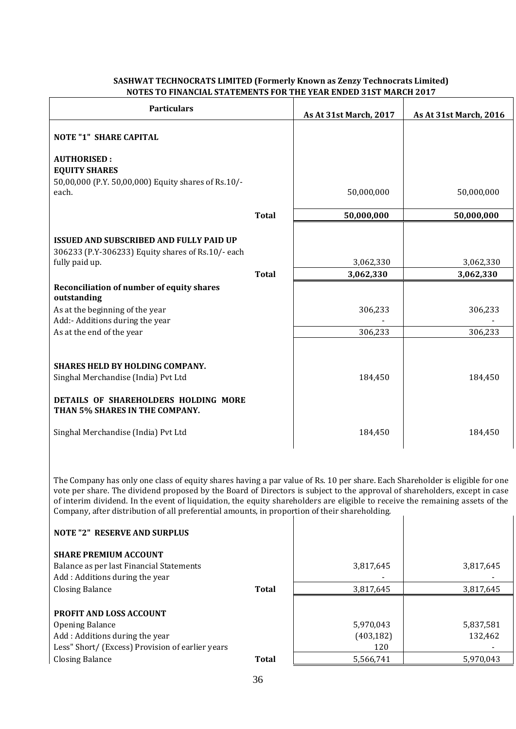|                                                                                                                       |              | o i iningini jihi bribn iyi on tiib tehn ended yiyi ringin evi <i>n</i> |                        |
|-----------------------------------------------------------------------------------------------------------------------|--------------|-------------------------------------------------------------------------|------------------------|
| <b>Particulars</b>                                                                                                    |              | As At 31st March, 2017                                                  | As At 31st March, 2016 |
| <b>NOTE "1" SHARE CAPITAL</b>                                                                                         |              |                                                                         |                        |
| <b>AUTHORISED:</b><br><b>EQUITY SHARES</b>                                                                            |              |                                                                         |                        |
| 50,00,000 (P.Y. 50,00,000) Equity shares of Rs.10/-<br>each.                                                          |              | 50,000,000                                                              | 50,000,000             |
|                                                                                                                       | <b>Total</b> | 50,000,000                                                              | 50,000,000             |
| <b>ISSUED AND SUBSCRIBED AND FULLY PAID UP</b><br>306233 (P.Y-306233) Equity shares of Rs.10/- each                   |              |                                                                         |                        |
| fully paid up.                                                                                                        |              | 3,062,330                                                               | 3,062,330              |
|                                                                                                                       | <b>Total</b> | 3,062,330                                                               | 3,062,330              |
| <b>Reconciliation of number of equity shares</b><br>outstanding                                                       |              |                                                                         |                        |
| As at the beginning of the year<br>Add:- Additions during the year                                                    |              | 306,233                                                                 | 306,233                |
| As at the end of the year                                                                                             |              | 306,233                                                                 | 306,233                |
| <b>SHARES HELD BY HOLDING COMPANY.</b><br>Singhal Merchandise (India) Pvt Ltd<br>DETAILS OF SHAREHOLDERS HOLDING MORE |              | 184,450                                                                 | 184,450                |
| THAN 5% SHARES IN THE COMPANY.<br>Singhal Merchandise (India) Pvt Ltd                                                 |              | 184,450                                                                 | 184,450                |

#### **SASHWAT TECHNOCRATS LIMITED (Formerly Known as Zenzy Technocrats Limited) NOTES TO FINANCIAL STATEMENTS FOR THE YEAR ENDED 31ST MARCH 2017**

The Company has only one class of equity shares having a par value of Rs. 10 per share. Each Shareholder is eligible for one vote per share. The dividend proposed by the Board of Directors is subject to the approval of shareholders, except in case of interim dividend. In the event of liquidation, the equity shareholders are eligible to receive the remaining assets of the Company, after distribution of all preferential amounts, in proportion of their shareholding.  $\overline{1}$ 

| <b>NOTE "2" RESERVE AND SURPLUS</b>                                                                                                                               |              |                                             |                                   |
|-------------------------------------------------------------------------------------------------------------------------------------------------------------------|--------------|---------------------------------------------|-----------------------------------|
| <b>SHARE PREMIUM ACCOUNT</b><br>Balance as per last Financial Statements<br>Add: Additions during the year                                                        |              | 3,817,645                                   | 3,817,645                         |
| Closing Balance                                                                                                                                                   | <b>Total</b> | 3,817,645                                   | 3,817,645                         |
| <b>PROFIT AND LOSS ACCOUNT</b><br>Opening Balance<br>Add: Additions during the year<br>Less" Short/ (Excess) Provision of earlier years<br><b>Closing Balance</b> | Total        | 5,970,043<br>(403, 182)<br>120<br>5,566,741 | 5,837,581<br>132,462<br>5,970,043 |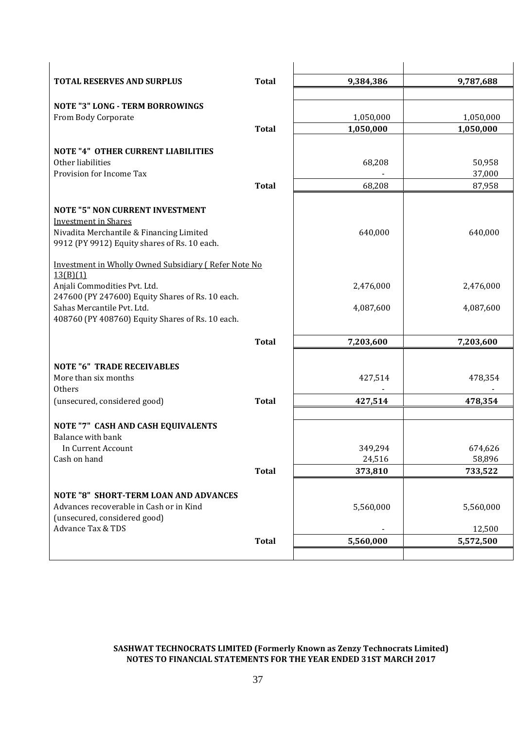| <b>TOTAL RESERVES AND SURPLUS</b>                                                        | <b>Total</b> | 9,384,386 | 9,787,688        |
|------------------------------------------------------------------------------------------|--------------|-----------|------------------|
| <b>NOTE "3" LONG - TERM BORROWINGS</b>                                                   |              |           |                  |
| From Body Corporate                                                                      |              | 1,050,000 | 1,050,000        |
|                                                                                          | <b>Total</b> | 1,050,000 | 1,050,000        |
|                                                                                          |              |           |                  |
| <b>NOTE "4" OTHER CURRENT LIABILITIES</b><br>Other liabilities                           |              |           |                  |
| Provision for Income Tax                                                                 |              | 68,208    | 50,958<br>37,000 |
|                                                                                          | <b>Total</b> | 68,208    | 87,958           |
|                                                                                          |              |           |                  |
| <b>NOTE "5" NON CURRENT INVESTMENT</b>                                                   |              |           |                  |
| <b>Investment in Shares</b>                                                              |              |           |                  |
| Nivadita Merchantile & Financing Limited<br>9912 (PY 9912) Equity shares of Rs. 10 each. |              | 640,000   | 640,000          |
|                                                                                          |              |           |                  |
| Investment in Wholly Owned Subsidiary (Refer Note No                                     |              |           |                  |
| 13(B)(1)                                                                                 |              |           |                  |
| Anjali Commodities Pvt. Ltd.<br>247600 (PY 247600) Equity Shares of Rs. 10 each.         |              | 2,476,000 | 2,476,000        |
| Sahas Mercantile Pvt. Ltd.                                                               |              | 4,087,600 | 4,087,600        |
| 408760 (PY 408760) Equity Shares of Rs. 10 each.                                         |              |           |                  |
|                                                                                          | <b>Total</b> | 7,203,600 | 7,203,600        |
|                                                                                          |              |           |                  |
| <b>NOTE "6" TRADE RECEIVABLES</b>                                                        |              |           |                  |
| More than six months                                                                     |              | 427,514   | 478,354          |
| Others                                                                                   |              |           |                  |
| (unsecured, considered good)                                                             | <b>Total</b> | 427,514   | 478,354          |
| <b>NOTE "7" CASH AND CASH EQUIVALENTS</b>                                                |              |           |                  |
| <b>Balance with bank</b>                                                                 |              |           |                  |
| In Current Account                                                                       |              | 349,294   | 674,626          |
| Cash on hand                                                                             |              | 24,516    | 58,896           |
|                                                                                          | <b>Total</b> | 373,810   | 733,522          |
| <b>NOTE "8" SHORT-TERM LOAN AND ADVANCES</b>                                             |              |           |                  |
| Advances recoverable in Cash or in Kind                                                  |              | 5,560,000 | 5,560,000        |
| (unsecured, considered good)                                                             |              |           |                  |
| Advance Tax & TDS                                                                        |              |           | 12,500           |
|                                                                                          | <b>Total</b> | 5,560,000 | 5,572,500        |

**SASHWAT TECHNOCRATS LIMITED (Formerly Known as Zenzy Technocrats Limited) NOTES TO FINANCIAL STATEMENTS FOR THE YEAR ENDED 31ST MARCH 2017**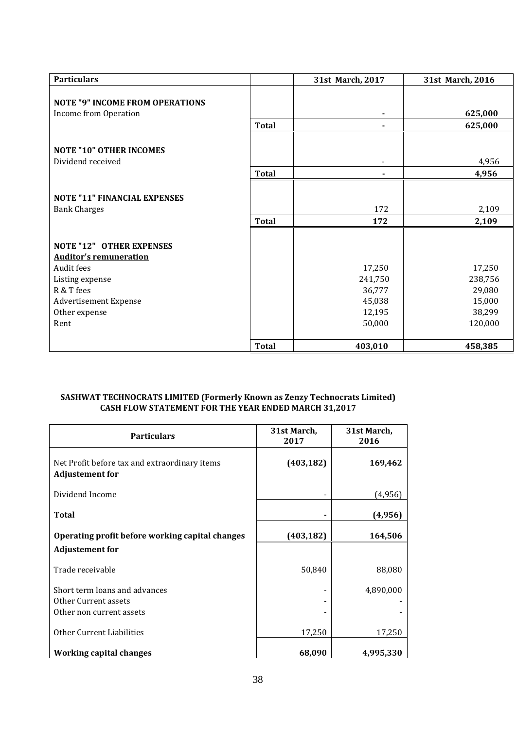| <b>Particulars</b>                     |              | 31st March, 2017 | 31st March, 2016 |
|----------------------------------------|--------------|------------------|------------------|
|                                        |              |                  |                  |
| <b>NOTE "9" INCOME FROM OPERATIONS</b> |              |                  |                  |
| Income from Operation                  |              | ٠                | 625,000          |
|                                        | <b>Total</b> |                  | 625,000          |
|                                        |              |                  |                  |
| <b>NOTE "10" OTHER INCOMES</b>         |              |                  |                  |
| Dividend received                      |              |                  | 4,956            |
|                                        | <b>Total</b> |                  | 4,956            |
|                                        |              |                  |                  |
| <b>NOTE "11" FINANCIAL EXPENSES</b>    |              |                  |                  |
| <b>Bank Charges</b>                    |              | 172              | 2,109            |
|                                        | <b>Total</b> | 172              | 2,109            |
|                                        |              |                  |                  |
| <b>NOTE "12" OTHER EXPENSES</b>        |              |                  |                  |
| <b>Auditor's remuneration</b>          |              |                  |                  |
| Audit fees                             |              | 17,250           | 17,250           |
| Listing expense                        |              | 241,750          | 238,756          |
| R & T fees                             |              | 36,777           | 29,080           |
| <b>Advertisement Expense</b>           |              | 45,038           | 15,000           |
| Other expense                          |              | 12,195           | 38,299           |
| Rent                                   |              | 50,000           | 120,000          |
|                                        |              |                  |                  |
|                                        | <b>Total</b> | 403,010          | 458,385          |

#### **SASHWAT TECHNOCRATS LIMITED (Formerly Known as Zenzy Technocrats Limited) CASH FLOW STATEMENT FOR THE YEAR ENDED MARCH 31,2017**

| <b>Particulars</b>                                                      | 31st March,<br>2017 | 31st March,<br>2016 |
|-------------------------------------------------------------------------|---------------------|---------------------|
| Net Profit before tax and extraordinary items<br><b>Adjustement for</b> | (403, 182)          | 169,462             |
| Dividend Income                                                         |                     | (4,956)             |
| <b>Total</b>                                                            |                     | (4,956)             |
| Operating profit before working capital changes                         | (403, 182)          | 164,506             |
| <b>Adjustement for</b>                                                  |                     |                     |
| Trade receivable                                                        | 50,840              | 88,080              |
| Short term loans and advances                                           |                     | 4,890,000           |
| Other Current assets                                                    |                     |                     |
| Other non current assets                                                |                     |                     |
| Other Current Liabilities                                               | 17,250              | 17,250              |
| <b>Working capital changes</b>                                          | 68,090              | 4,995,330           |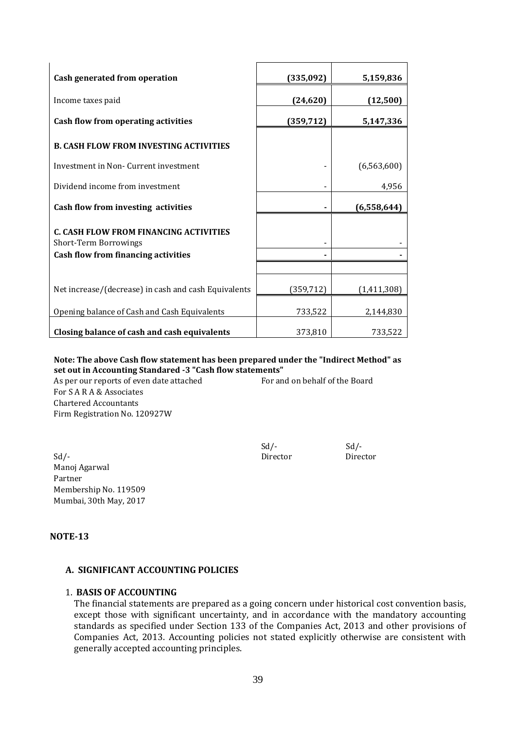| Cash generated from operation                                                                                        | (335, 092) | 5,159,836   |
|----------------------------------------------------------------------------------------------------------------------|------------|-------------|
| Income taxes paid                                                                                                    | (24, 620)  | (12,500)    |
| Cash flow from operating activities                                                                                  | (359, 712) | 5,147,336   |
| <b>B. CASH FLOW FROM INVESTING ACTIVITIES</b>                                                                        |            |             |
| Investment in Non- Current investment                                                                                |            | (6,563,600) |
| Dividend income from investment                                                                                      |            | 4,956       |
| Cash flow from investing activities                                                                                  |            | (6,558,644) |
| C. CASH FLOW FROM FINANCING ACTIVITIES<br><b>Short-Term Borrowings</b><br><b>Cash flow from financing activities</b> |            |             |
|                                                                                                                      |            |             |
| Net increase/(decrease) in cash and cash Equivalents                                                                 | (359, 712) | (1,411,308) |
| Opening balance of Cash and Cash Equivalents                                                                         | 733,522    | 2,144,830   |
| Closing balance of cash and cash equivalents                                                                         | 373,810    | 733,522     |

#### **Note: The above Cash flow statement has been prepared under the "Indirect Method" as set out in Accounting Standared -3 "Cash flow statements"**

As per our reports of even date attached For and on behalf of the Board For S A R A & Associates Chartered Accountants Firm Registration No. 120927W

Sd/-<br>Director Director

 $Sd$  /-Manoj Agarwal Partner Membership No. 119509 Mumbai, 30th May, 2017

**NOTE-13**

#### **A. SIGNIFICANT ACCOUNTING POLICIES**

#### 1. **BASIS OF ACCOUNTING**

The financial statements are prepared as a going concern under historical cost convention basis, except those with significant uncertainty, and in accordance with the mandatory accounting standards as specified under Section 133 of the Companies Act, 2013 and other provisions of Companies Act, 2013. Accounting policies not stated explicitly otherwise are consistent with generally accepted accounting principles.

Director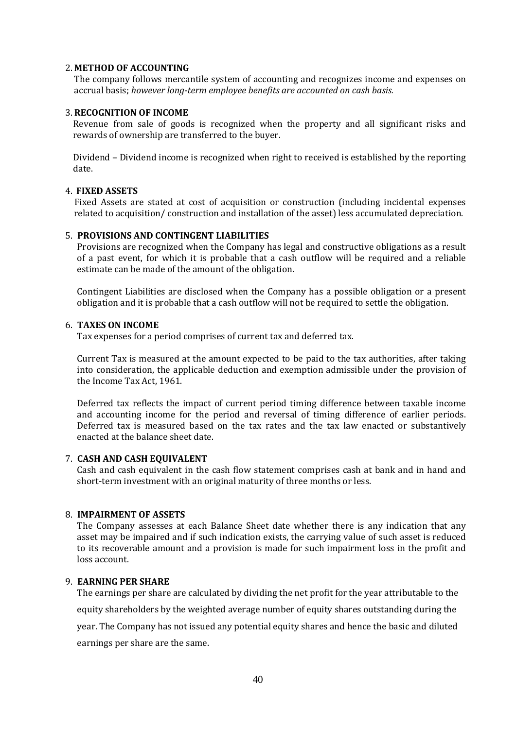#### 2. **METHOD OF ACCOUNTING**

The company follows mercantile system of accounting and recognizes income and expenses on accrual basis; *however long-term employee benefits are accounted on cash basis.*

#### 3.**RECOGNITION OF INCOME**

Revenue from sale of goods is recognized when the property and all significant risks and rewards of ownership are transferred to the buyer.

Dividend – Dividend income is recognized when right to received is established by the reporting date.

#### 4. **FIXED ASSETS**

Fixed Assets are stated at cost of acquisition or construction (including incidental expenses related to acquisition/ construction and installation of the asset) less accumulated depreciation.

#### 5. **PROVISIONS AND CONTINGENT LIABILITIES**

Provisions are recognized when the Company has legal and constructive obligations as a result of a past event, for which it is probable that a cash outflow will be required and a reliable estimate can be made of the amount of the obligation.

Contingent Liabilities are disclosed when the Company has a possible obligation or a present obligation and it is probable that a cash outflow will not be required to settle the obligation.

#### 6. **TAXES ON INCOME**

Tax expenses for a period comprises of current tax and deferred tax.

Current Tax is measured at the amount expected to be paid to the tax authorities, after taking into consideration, the applicable deduction and exemption admissible under the provision of the Income Tax Act, 1961.

Deferred tax reflects the impact of current period timing difference between taxable income and accounting income for the period and reversal of timing difference of earlier periods. Deferred tax is measured based on the tax rates and the tax law enacted or substantively enacted at the balance sheet date.

#### 7. **CASH AND CASH EQUIVALENT**

Cash and cash equivalent in the cash flow statement comprises cash at bank and in hand and short-term investment with an original maturity of three months or less.

#### 8. **IMPAIRMENT OF ASSETS**

The Company assesses at each Balance Sheet date whether there is any indication that any asset may be impaired and if such indication exists, the carrying value of such asset is reduced to its recoverable amount and a provision is made for such impairment loss in the profit and loss account.

#### 9. **EARNING PER SHARE**

The earnings per share are calculated by dividing the net profit for the year attributable to the

equity shareholders by the weighted average number of equity shares outstanding during the

year. The Company has not issued any potential equity shares and hence the basic and diluted

earnings per share are the same.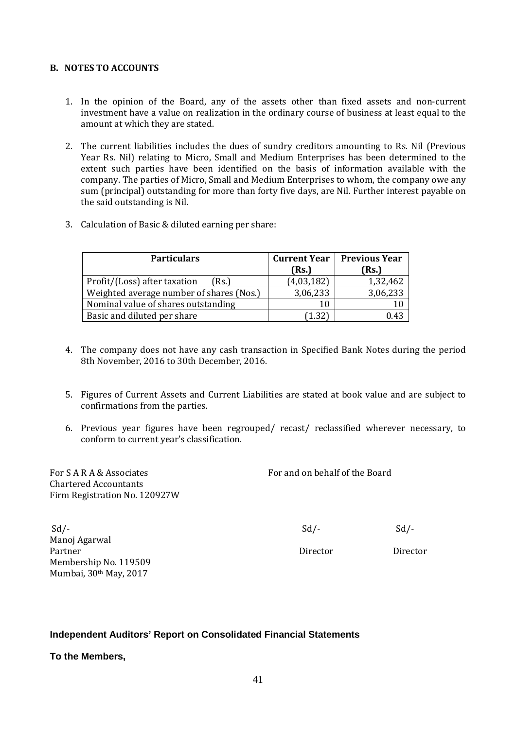#### **B. NOTES TO ACCOUNTS**

- 1. In the opinion of the Board, any of the assets other than fixed assets and non-current investment have a value on realization in the ordinary course of business at least equal to the amount at which they are stated.
- 2. The current liabilities includes the dues of sundry creditors amounting to Rs. Nil (Previous Year Rs. Nil) relating to Micro, Small and Medium Enterprises has been determined to the extent such parties have been identified on the basis of information available with the company. The parties of Micro, Small and Medium Enterprises to whom, the company owe any sum (principal) outstanding for more than forty five days, are Nil. Further interest payable on the said outstanding is Nil.
- 3. Calculation of Basic & diluted earning per share:

| <b>Particulars</b>                       | <b>Current Year</b> | <b>Previous Year</b> |
|------------------------------------------|---------------------|----------------------|
|                                          | (Rs.)               | (Rs.)                |
| Profit/(Loss) after taxation<br>(Rs.)    | (4,03,182)          | 1,32,462             |
| Weighted average number of shares (Nos.) | 3,06,233            | 3,06,233             |
| Nominal value of shares outstanding      |                     |                      |
| Basic and diluted per share              | (1.32               | 0.43                 |

- 4. The company does not have any cash transaction in Specified Bank Notes during the period 8th November, 2016 to 30th December, 2016.
- 5. Figures of Current Assets and Current Liabilities are stated at book value and are subject to confirmations from the parties.
- 6. Previous year figures have been regrouped/ recast/ reclassified wherever necessary, to conform to current year's classification.

| For SARA & Associates<br><b>Chartered Accountants</b><br>Firm Registration No. 120927W | For and on behalf of the Board |          |
|----------------------------------------------------------------------------------------|--------------------------------|----------|
| $Sd$ /-                                                                                | $Sd$ /-                        | $Sd$ /-  |
| Manoj Agarwal<br>Partner                                                               | Director                       | Director |

#### **Independent Auditors' Report on Consolidated Financial Statements**

**To the Members,**

Membership No. 119509 Mumbai, 30th May, 2017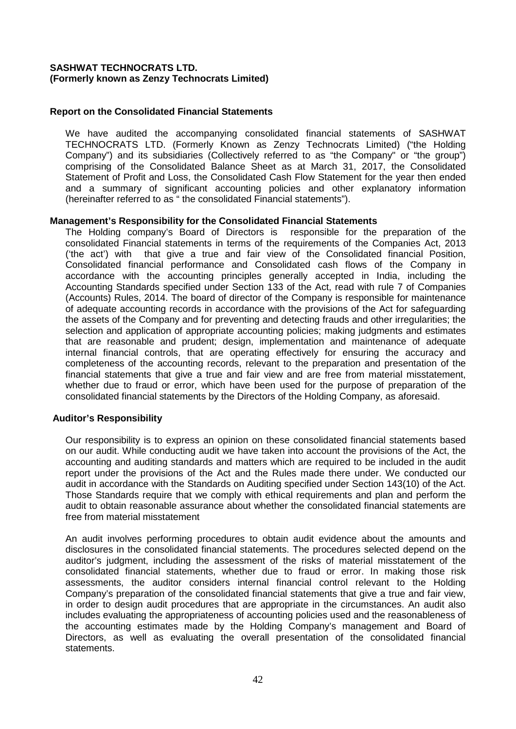#### **SASHWAT TECHNOCRATS LTD. (Formerly known as Zenzy Technocrats Limited)**

#### **Report on the Consolidated Financial Statements**

We have audited the accompanying consolidated financial statements of SASHWAT TECHNOCRATS LTD. (Formerly Known as Zenzy Technocrats Limited) ("the Holding Company") and its subsidiaries (Collectively referred to as "the Company" or "the group") comprising of the Consolidated Balance Sheet as at March 31, 2017, the Consolidated Statement of Profit and Loss, the Consolidated Cash Flow Statement for the year then ended and a summary of significant accounting policies and other explanatory information (hereinafter referred to as " the consolidated Financial statements").

#### **Management's Responsibility for the Consolidated Financial Statements**

The Holding company's Board of Directors is responsible for the preparation of the consolidated Financial statements in terms of the requirements of the Companies Act, 2013 that give a true and fair view of the Consolidated financial Position, Consolidated financial performance and Consolidated cash flows of the Company in accordance with the accounting principles generally accepted in India, including the Accounting Standards specified under Section 133 of the Act, read with rule 7 of Companies (Accounts) Rules, 2014. The board of director of the Company is responsible for maintenance of adequate accounting records in accordance with the provisions of the Act for safeguarding the assets of the Company and for preventing and detecting frauds and other irregularities; the selection and application of appropriate accounting policies; making judgments and estimates that are reasonable and prudent; design, implementation and maintenance of adequate internal financial controls, that are operating effectively for ensuring the accuracy and completeness of the accounting records, relevant to the preparation and presentation of the financial statements that give a true and fair view and are free from material misstatement, whether due to fraud or error, which have been used for the purpose of preparation of the consolidated financial statements by the Directors of the Holding Company, as aforesaid.

#### **Auditor's Responsibility**

Our responsibility is to express an opinion on these consolidated financial statements based on our audit. While conducting audit we have taken into account the provisions of the Act, the accounting and auditing standards and matters which are required to be included in the audit report under the provisions of the Act and the Rules made there under. We conducted our audit in accordance with the Standards on Auditing specified under Section 143(10) of the Act. Those Standards require that we comply with ethical requirements and plan and perform the audit to obtain reasonable assurance about whether the consolidated financial statements are free from material misstatement

An audit involves performing procedures to obtain audit evidence about the amounts and disclosures in the consolidated financial statements. The procedures selected depend on the auditor's judgment, including the assessment of the risks of material misstatement of the consolidated financial statements, whether due to fraud or error. In making those risk assessments, the auditor considers internal financial control relevant to the Holding Company's preparation of the consolidated financial statements that give a true and fair view, in order to design audit procedures that are appropriate in the circumstances. An audit also includes evaluating the appropriateness of accounting policies used and the reasonableness of the accounting estimates made by the Holding Company's management and Board of Directors, as well as evaluating the overall presentation of the consolidated financial statements.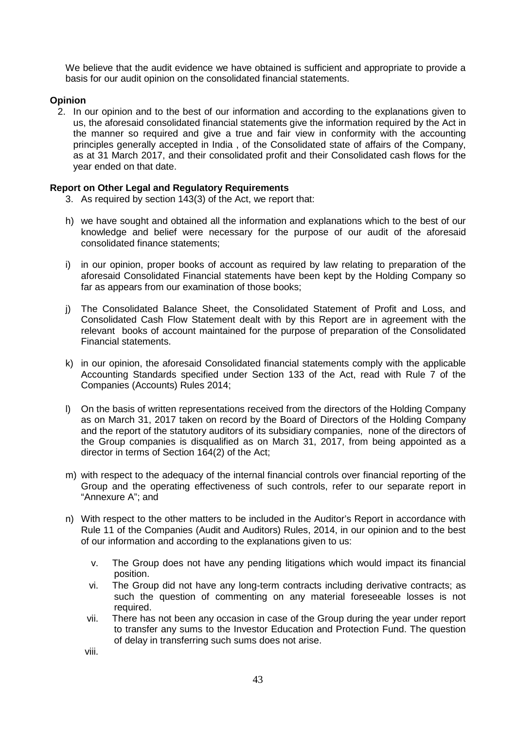We believe that the audit evidence we have obtained is sufficient and appropriate to provide a basis for our audit opinion on the consolidated financial statements.

#### **Opinion**

2. In our opinion and to the best of our information and according to the explanations given to us, the aforesaid consolidated financial statements give the information required by the Act in the manner so required and give a true and fair view in conformity with the accounting principles generally accepted in India , of the Consolidated state of affairs of the Company, as at 31 March 2017, and their consolidated profit and their Consolidated cash flows for the year ended on that date.

#### **Report on Other Legal and Regulatory Requirements**

- 3. As required by section 143(3) of the Act, we report that:
- h) we have sought and obtained all the information and explanations which to the best of our knowledge and belief were necessary for the purpose of our audit of the aforesaid consolidated finance statements;
- i) in our opinion, proper books of account as required by law relating to preparation of the aforesaid Consolidated Financial statements have been kept by the Holding Company so far as appears from our examination of those books;
- j) The Consolidated Balance Sheet, the Consolidated Statement of Profit and Loss, and Consolidated Cash Flow Statement dealt with by this Report are in agreement with the relevant books of account maintained for the purpose of preparation of the Consolidated Financial statements.
- k) in our opinion, the aforesaid Consolidated financial statements comply with the applicable Accounting Standards specified under Section 133 of the Act, read with Rule 7 of the Companies (Accounts) Rules 2014;
- l) On the basis of written representations received from the directors of the Holding Company as on March 31, 2017 taken on record by the Board of Directors of the Holding Company and the report of the statutory auditors of its subsidiary companies, none of the directors of the Group companies is disqualified as on March 31, 2017, from being appointed as a director in terms of Section 164(2) of the Act;
- m) with respect to the adequacy of the internal financial controls over financial reporting of the Group and the operating effectiveness of such controls, refer to our separate report in "Annexure A"; and
- n) With respect to the other matters to be included in the Auditor's Report in accordance with Rule 11 of the Companies (Audit and Auditors) Rules, 2014, in our opinion and to the best of our information and according to the explanations given to us:
	- v. The Group does not have any pending litigations which would impact its financial position.
	- vi. The Group did not have any long-term contracts including derivative contracts; as such the question of commenting on any material foreseeable losses is not required.
	- vii. There has not been any occasion in case of the Group during the year under report to transfer any sums to the Investor Education and Protection Fund. The question of delay in transferring such sums does not arise.

viii.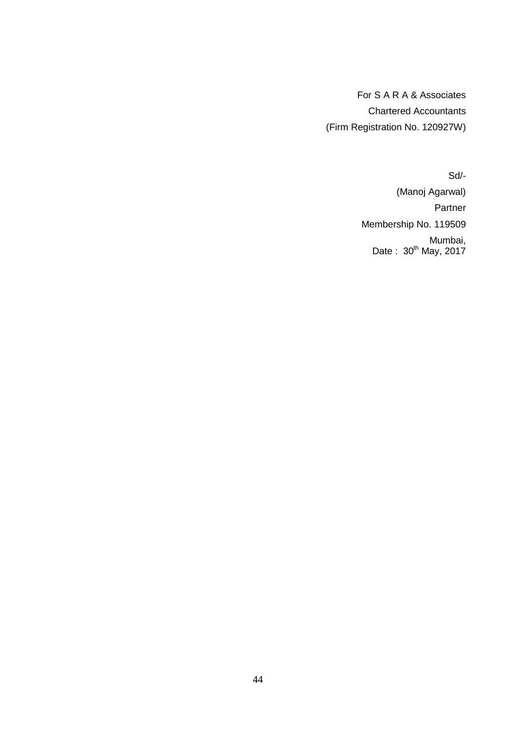For S A R A & Associates Chartered Accountants (Firm Registration No. 120927W)

> Sd/- (Manoj Agarwal) Partner Membership No. 119509 Mumbai, Date: 30<sup>th</sup> May, 2017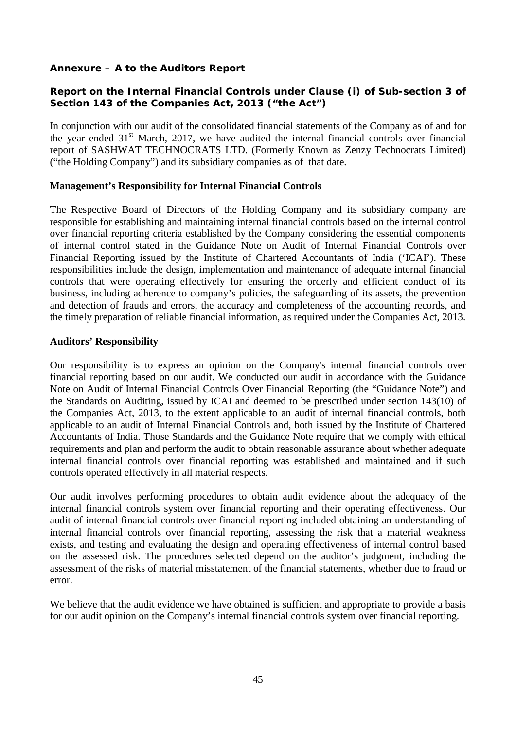# **Annexure – A to the Auditors Report**

# **Report on the Internal Financial Controls under Clause (i) of Sub-section 3 of Section 143 of the Companies Act, 2013 ("the Act")**

In conjunction with our audit of the consolidated financial statements of the Company as of and for the year ended  $31<sup>st</sup>$  March, 2017, we have audited the internal financial controls over financial report of SASHWAT TECHNOCRATS LTD. (Formerly Known as Zenzy Technocrats Limited) ("the Holding Company") and its subsidiary companies as of that date.

# **Management's Responsibility for Internal Financial Controls**

The Respective Board of Directors of the Holding Company and its subsidiary company are responsible for establishing and maintaining internal financial controls based on the internal control over financial reporting criteria established by the Company considering the essential components of internal control stated in the Guidance Note on Audit of Internal Financial Controls over Financial Reporting issued by the Institute of Chartered Accountants of India ('ICAI'). These responsibilities include the design, implementation and maintenance of adequate internal financial controls that were operating effectively for ensuring the orderly and efficient conduct of its business, including adherence to company's policies, the safeguarding of its assets, the prevention and detection of frauds and errors, the accuracy and completeness of the accounting records, and the timely preparation of reliable financial information, as required under the Companies Act, 2013.

#### **Auditors' Responsibility**

Our responsibility is to express an opinion on the Company's internal financial controls over financial reporting based on our audit. We conducted our audit in accordance with the Guidance Note on Audit of Internal Financial Controls Over Financial Reporting (the "Guidance Note") and the Standards on Auditing, issued by ICAI and deemed to be prescribed under section 143(10) of the Companies Act, 2013, to the extent applicable to an audit of internal financial controls, both applicable to an audit of Internal Financial Controls and, both issued by the Institute of Chartered Accountants of India. Those Standards and the Guidance Note require that we comply with ethical requirements and plan and perform the audit to obtain reasonable assurance about whether adequate internal financial controls over financial reporting was established and maintained and if such controls operated effectively in all material respects.

Our audit involves performing procedures to obtain audit evidence about the adequacy of the internal financial controls system over financial reporting and their operating effectiveness. Our audit of internal financial controls over financial reporting included obtaining an understanding of internal financial controls over financial reporting, assessing the risk that a material weakness exists, and testing and evaluating the design and operating effectiveness of internal control based on the assessed risk. The procedures selected depend on the auditor's judgment, including the assessment of the risks of material misstatement of the financial statements, whether due to fraud or error.

We believe that the audit evidence we have obtained is sufficient and appropriate to provide a basis for our audit opinion on the Company's internal financial controls system over financial reporting.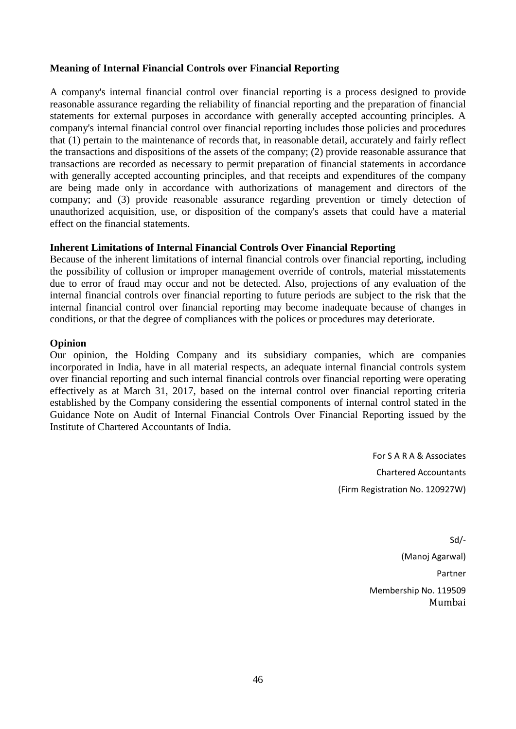#### **Meaning of Internal Financial Controls over Financial Reporting**

A company's internal financial control over financial reporting is a process designed to provide reasonable assurance regarding the reliability of financial reporting and the preparation of financial statements for external purposes in accordance with generally accepted accounting principles. A company's internal financial control over financial reporting includes those policies and procedures that (1) pertain to the maintenance of records that, in reasonable detail, accurately and fairly reflect the transactions and dispositions of the assets of the company; (2) provide reasonable assurance that transactions are recorded as necessary to permit preparation of financial statements in accordance with generally accepted accounting principles, and that receipts and expenditures of the company are being made only in accordance with authorizations of management and directors of the company; and (3) provide reasonable assurance regarding prevention or timely detection of unauthorized acquisition, use, or disposition of the company's assets that could have a material effect on the financial statements.

#### **Inherent Limitations of Internal Financial Controls Over Financial Reporting**

Because of the inherent limitations of internal financial controls over financial reporting, including the possibility of collusion or improper management override of controls, material misstatements due to error of fraud may occur and not be detected. Also, projections of any evaluation of the internal financial controls over financial reporting to future periods are subject to the risk that the internal financial control over financial reporting may become inadequate because of changes in conditions, or that the degree of compliances with the polices or procedures may deteriorate.

#### **Opinion**

Our opinion, the Holding Company and its subsidiary companies, which are companies incorporated in India, have in all material respects, an adequate internal financial controls system over financial reporting and such internal financial controls over financial reporting were operating effectively as at March 31, 2017, based on the internal control over financial reporting criteria established by the Company considering the essential components of internal control stated in the Guidance Note on Audit of Internal Financial Controls Over Financial Reporting issued by the Institute of Chartered Accountants of India.

> For S A R A & Associates Chartered Accountants (Firm Registration No. 120927W)

> > Sd/- (Manoj Agarwal) Partner Membership No. 119509 Mumbai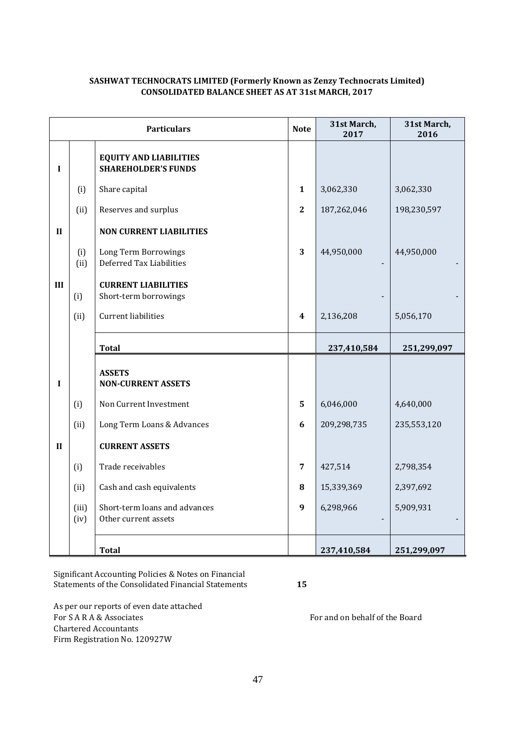|              |               | <b>Particulars</b>                                          | <b>Note</b>      | 31st March,<br>2017 | 31st March,<br>2016 |
|--------------|---------------|-------------------------------------------------------------|------------------|---------------------|---------------------|
| $\mathbf I$  |               | <b>EQUITY AND LIABILITIES</b><br><b>SHAREHOLDER'S FUNDS</b> |                  |                     |                     |
|              | (i)           | Share capital                                               | $\mathbf{1}$     | 3,062,330           | 3,062,330           |
|              | (ii)          | Reserves and surplus                                        | $\overline{2}$   | 187,262,046         | 198,230,597         |
| $\mathbf{I}$ |               | <b>NON CURRENT LIABILITIES</b>                              |                  |                     |                     |
|              | (i)<br>(ii)   | Long Term Borrowings<br>Deferred Tax Liabilities            | 3                | 44,950,000          | 44,950,000          |
| III          | (i)           | <b>CURRENT LIABILITIES</b><br>Short-term borrowings         |                  |                     |                     |
|              | (ii)          | <b>Current liabilities</b>                                  | $\boldsymbol{4}$ | 2,136,208           | 5,056,170           |
|              |               | <b>Total</b>                                                |                  | 237,410,584         | 251,299,097         |
| L            |               | <b>ASSETS</b><br><b>NON-CURRENT ASSETS</b>                  |                  |                     |                     |
|              | (i)           | Non Current Investment                                      | 5                | 6,046,000           | 4,640,000           |
|              | (ii)          | Long Term Loans & Advances                                  | 6                | 209,298,735         | 235,553,120         |
| $\mathbf{I}$ |               | <b>CURRENT ASSETS</b>                                       |                  |                     |                     |
|              | (i)           | Trade receivables                                           | $\overline{7}$   | 427,514             | 2,798,354           |
|              | (ii)          | Cash and cash equivalents                                   | 8                | 15,339,369          | 2,397,692           |
|              | (iii)<br>(iv) | Short-term loans and advances<br>Other current assets       | 9                | 6,298,966           | 5,909,931           |
|              |               | <b>Total</b>                                                |                  | 237,410,584         | 251,299,097         |

#### **SASHWAT TECHNOCRATS LIMITED (Formerly Known as Zenzy Technocrats Limited) CONSOLIDATED BALANCE SHEET AS AT 31st MARCH, 2017**

Significant Accounting Policies & Notes on Financial Statements of the Consolidated Financial Statements **15**

As per our reports of even date attached<br>For S A R A & Associates Chartered Accountants Firm Registration No. 120927W

For and on behalf of the Board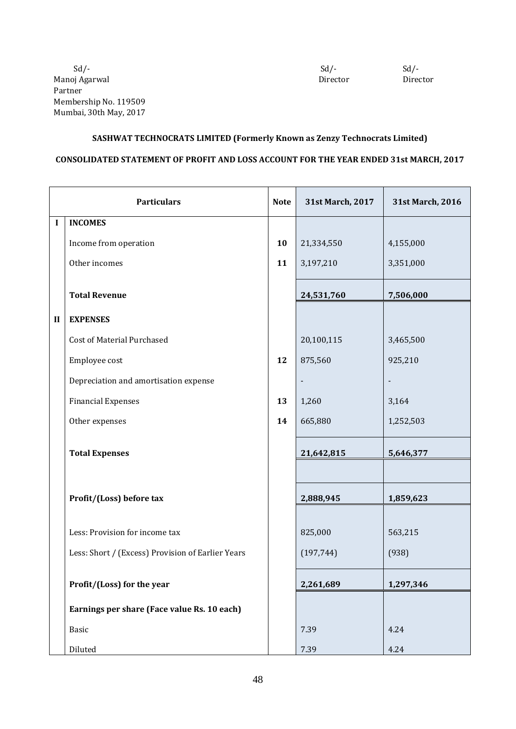Manoj Agarwal **Director** Director **Director** Director Partner Membership No. 119509 Mumbai, 30th May, 2017

| Sd/-      | Sd/-     | Sd/  |
|-----------|----------|------|
| j Agarwal | Director | Dire |

# **SASHWAT TECHNOCRATS LIMITED (Formerly Known as Zenzy Technocrats Limited)**

# **CONSOLIDATED STATEMENT OF PROFIT AND LOSS ACCOUNT FOR THE YEAR ENDED 31st MARCH, 2017**

|              | <b>Particulars</b>                                | <b>Note</b> | 31st March, 2017 | 31st March, 2016 |
|--------------|---------------------------------------------------|-------------|------------------|------------------|
| $\mathbf I$  | <b>INCOMES</b>                                    |             |                  |                  |
|              | Income from operation                             | 10          | 21,334,550       | 4,155,000        |
|              | Other incomes                                     | 11          | 3,197,210        | 3,351,000        |
|              | <b>Total Revenue</b>                              |             | 24,531,760       | 7,506,000        |
| $\mathbf{I}$ | <b>EXPENSES</b>                                   |             |                  |                  |
|              | <b>Cost of Material Purchased</b>                 |             | 20,100,115       | 3,465,500        |
|              | Employee cost                                     | 12          | 875,560          | 925,210          |
|              | Depreciation and amortisation expense             |             |                  |                  |
|              | <b>Financial Expenses</b>                         | 13          | 1,260            | 3,164            |
|              | Other expenses                                    | 14          | 665,880          | 1,252,503        |
|              | <b>Total Expenses</b>                             |             | 21,642,815       | 5,646,377        |
|              |                                                   |             |                  |                  |
|              | Profit/(Loss) before tax                          |             | 2,888,945        | 1,859,623        |
|              |                                                   |             |                  |                  |
|              | Less: Provision for income tax                    |             | 825,000          | 563,215          |
|              | Less: Short / (Excess) Provision of Earlier Years |             | (197, 744)       | (938)            |
|              | Profit/(Loss) for the year                        |             | 2,261,689        | 1,297,346        |
|              | Earnings per share (Face value Rs. 10 each)       |             |                  |                  |
|              | Basic                                             |             | 7.39             | 4.24             |
|              | Diluted                                           |             | 7.39             | 4.24             |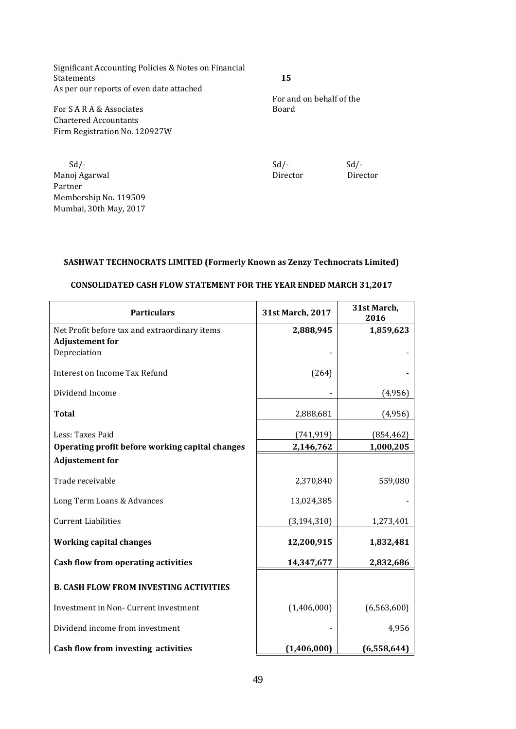Significant Accounting Policies & Notes on Financial Statements **15** As per our reports of even date attached

For S A R A & Associates Chartered Accountants Firm Registration No. 120927W

For and on behalf of the Board

 $Sd$ <sup>-</sup>  $Sd$ <sup>-</sup>  $Sd$ <sup>-</sup> Manoj Agarwal **Director** Director **Director** Director Partner Membership No. 119509 Mumbai, 30th May, 2017

 $\overline{1}$ 

# **SASHWAT TECHNOCRATS LIMITED (Formerly Known as Zenzy Technocrats Limited)**

# **CONSOLIDATED CASH FLOW STATEMENT FOR THE YEAR ENDED MARCH 31,2017**

| <b>Particulars</b>                              | 31st March, 2017 | 31st March,<br>2016 |
|-------------------------------------------------|------------------|---------------------|
| Net Profit before tax and extraordinary items   | 2,888,945        | 1,859,623           |
| <b>Adjustement for</b>                          |                  |                     |
| Depreciation                                    |                  |                     |
| Interest on Income Tax Refund                   | (264)            |                     |
| Dividend Income                                 |                  | (4,956)             |
| <b>Total</b>                                    | 2,888,681        | (4,956)             |
| Less: Taxes Paid                                | (741, 919)       | (854, 462)          |
| Operating profit before working capital changes | 2,146,762        | 1,000,205           |
| <b>Adjustement for</b>                          |                  |                     |
| Trade receivable                                | 2,370,840        | 559,080             |
| Long Term Loans & Advances                      | 13,024,385       |                     |
| <b>Current Liabilities</b>                      | (3, 194, 310)    | 1,273,401           |
| <b>Working capital changes</b>                  | 12,200,915       | 1,832,481           |
| Cash flow from operating activities             | 14,347,677       | 2,832,686           |
| <b>B. CASH FLOW FROM INVESTING ACTIVITIES</b>   |                  |                     |
| Investment in Non- Current investment           | (1,406,000)      | (6,563,600)         |
| Dividend income from investment                 |                  | 4,956               |
| Cash flow from investing activities             | (1,406,000)      | (6,558,644)         |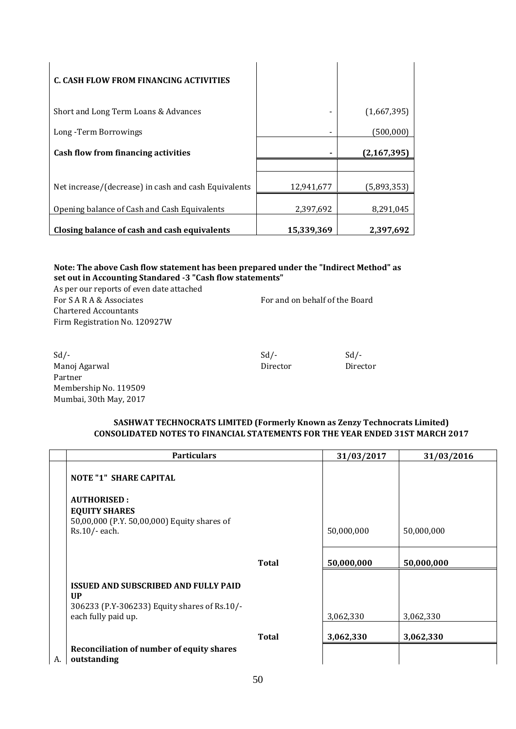| C. CASH FLOW FROM FINANCING ACTIVITIES               |            |             |
|------------------------------------------------------|------------|-------------|
| Short and Long Term Loans & Advances                 |            | (1,667,395) |
| Long - Term Borrowings                               |            | (500,000)   |
| Cash flow from financing activities                  |            | (2,167,395) |
|                                                      |            |             |
| Net increase/(decrease) in cash and cash Equivalents | 12,941,677 | (5,893,353) |
| Opening balance of Cash and Cash Equivalents         | 2,397,692  | 8,291,045   |
| Closing balance of cash and cash equivalents         | 15,339,369 | 2,397,692   |

#### **Note: The above Cash flow statement has been prepared under the "Indirect Method" as set out in Accounting Standared -3 "Cash flow statements"**

As per our reports of even date attached<br>For S A R A & Associates Chartered Accountants Firm Registration No. 120927W

Mumbai, 30th May, 2017

For and on behalf of the Board

| $Sd$ /-               | $Sd/-$   | $Sd$ /-  |
|-----------------------|----------|----------|
| Manoj Agarwal         | Director | Director |
| Partner               |          |          |
| Membership No. 119509 |          |          |

#### **SASHWAT TECHNOCRATS LIMITED (Formerly Known as Zenzy Technocrats Limited) CONSOLIDATED NOTES TO FINANCIAL STATEMENTS FOR THE YEAR ENDED 31ST MARCH 2017**

|    | <b>Particulars</b>                                                                                       |              | 31/03/2017 | 31/03/2016 |
|----|----------------------------------------------------------------------------------------------------------|--------------|------------|------------|
|    | <b>NOTE "1" SHARE CAPITAL</b>                                                                            |              |            |            |
|    | <b>AUTHORISED:</b><br><b>EQUITY SHARES</b>                                                               |              |            |            |
|    | 50,00,000 (P.Y. 50,00,000) Equity shares of<br>Rs.10/- each.                                             |              | 50,000,000 | 50,000,000 |
|    |                                                                                                          | <b>Total</b> | 50,000,000 | 50,000,000 |
|    | <b>ISSUED AND SUBSCRIBED AND FULLY PAID</b><br><b>UP</b><br>306233 (P.Y-306233) Equity shares of Rs.10/- |              |            |            |
|    | each fully paid up.                                                                                      |              | 3,062,330  | 3,062,330  |
|    |                                                                                                          | <b>Total</b> | 3,062,330  | 3,062,330  |
| А. | Reconciliation of number of equity shares<br>outstanding                                                 |              |            |            |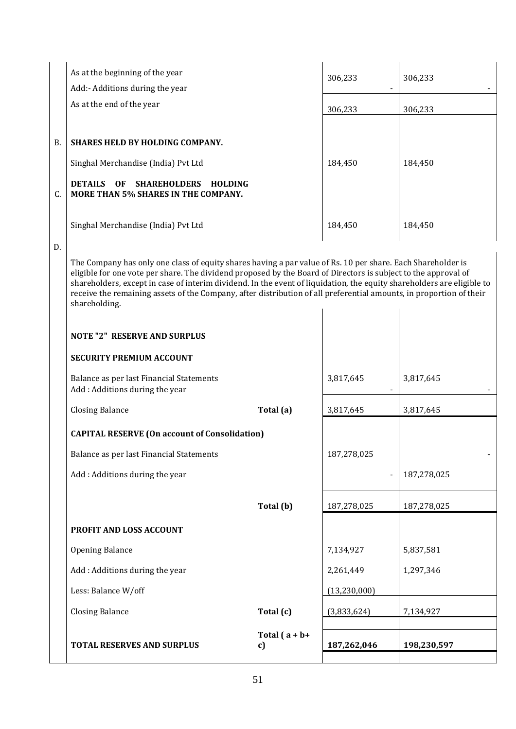|           | As at the beginning of the year                                                                                                                                                                                                                                                                                                                                                                                                                                                                 | 306,233 | 306,233 |
|-----------|-------------------------------------------------------------------------------------------------------------------------------------------------------------------------------------------------------------------------------------------------------------------------------------------------------------------------------------------------------------------------------------------------------------------------------------------------------------------------------------------------|---------|---------|
|           | Add:- Additions during the year                                                                                                                                                                                                                                                                                                                                                                                                                                                                 |         |         |
|           | As at the end of the year                                                                                                                                                                                                                                                                                                                                                                                                                                                                       | 306,233 | 306,233 |
|           |                                                                                                                                                                                                                                                                                                                                                                                                                                                                                                 |         |         |
| <b>B.</b> | <b>SHARES HELD BY HOLDING COMPANY.</b>                                                                                                                                                                                                                                                                                                                                                                                                                                                          |         |         |
|           | Singhal Merchandise (India) Pvt Ltd                                                                                                                                                                                                                                                                                                                                                                                                                                                             | 184,450 | 184,450 |
| C.        | <b>DETAILS</b><br>0F<br><b>SHAREHOLDERS</b><br><b>HOLDING</b><br><b>MORE THAN 5% SHARES IN THE COMPANY.</b>                                                                                                                                                                                                                                                                                                                                                                                     |         |         |
|           | Singhal Merchandise (India) Pvt Ltd                                                                                                                                                                                                                                                                                                                                                                                                                                                             | 184,450 | 184,450 |
| D.        |                                                                                                                                                                                                                                                                                                                                                                                                                                                                                                 |         |         |
|           | The Company has only one class of equity shares having a par value of Rs. 10 per share. Each Shareholder is<br>eligible for one vote per share. The dividend proposed by the Board of Directors is subject to the approval of<br>shareholders, except in case of interim dividend. In the event of liquidation, the equity shareholders are eligible to<br>receive the remaining assets of the Company, after distribution of all preferential amounts, in proportion of their<br>shareholding. |         |         |
|           |                                                                                                                                                                                                                                                                                                                                                                                                                                                                                                 |         |         |
|           | <b>NOTE "2" RESERVE AND SURPLUS</b>                                                                                                                                                                                                                                                                                                                                                                                                                                                             |         |         |
|           | CECUDITY DDEMIUM ACCOUNT                                                                                                                                                                                                                                                                                                                                                                                                                                                                        |         |         |

# **SECURITY PREMIUM ACCOUNT** Balance as per last Financial Statements Add : Additions during the year Closing Balance **Total (a) CAPITAL RESERVE (On account of Consolidation)** Balance as per last Financial Statements Add : Additions during the year  $\vert$

#### **Total (b)** 187,278,025 187,278,025 **PROFIT AND LOSS ACCOUNT** Opening Balance 7,134,927 5,837,581 Add : Additions during the year 2,261,449 1,297,346 Less: Balance W/off (13,230,000) Closing Balance **Total (c)** (3,833,624) 7,134,927 **TOTAL RESERVES AND SURPLUS Total ( a + b+ c) 187,262,046 198,230,597**

3,817,645

3,817,645

3,817,645

3,817,645

187,278,025

187,278,025 -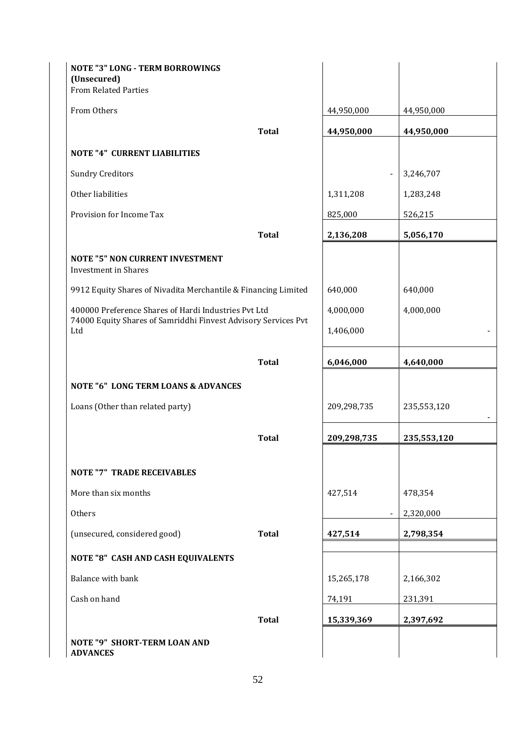| <b>NOTE "3" LONG - TERM BORROWINGS</b><br>(Unsecured)<br><b>From Related Parties</b> |             |                                       |
|--------------------------------------------------------------------------------------|-------------|---------------------------------------|
| From Others                                                                          | 44,950,000  | 44,950,000                            |
| <b>Total</b>                                                                         | 44,950,000  | 44,950,000                            |
| <b>NOTE "4" CURRENT LIABILITIES</b>                                                  |             |                                       |
| <b>Sundry Creditors</b>                                                              |             | 3,246,707                             |
| Other liabilities                                                                    | 1,311,208   | 1,283,248                             |
| Provision for Income Tax                                                             | 825,000     | 526,215                               |
| <b>Total</b>                                                                         | 2,136,208   | 5,056,170                             |
| <b>NOTE "5" NON CURRENT INVESTMENT</b><br><b>Investment</b> in Shares                |             |                                       |
| 9912 Equity Shares of Nivadita Merchantile & Financing Limited                       | 640,000     | 640,000                               |
| 400000 Preference Shares of Hardi Industries Pvt Ltd                                 | 4,000,000   | 4,000,000                             |
| 74000 Equity Shares of Samriddhi Finvest Advisory Services Pvt<br>Ltd                | 1,406,000   |                                       |
| <b>Total</b>                                                                         | 6,046,000   | 4,640,000                             |
| <b>NOTE "6" LONG TERM LOANS &amp; ADVANCES</b>                                       |             |                                       |
| Loans (Other than related party)                                                     | 209,298,735 | 235,553,120                           |
| <b>Total</b>                                                                         | 209,298,735 | 235,553,120                           |
| <b>NOTE "7" TRADE RECEIVABLES</b>                                                    |             |                                       |
| More than six months                                                                 | 427,514     | 478,354                               |
| Others                                                                               |             | 2,320,000<br>$\overline{\phantom{a}}$ |
| (unsecured, considered good)<br><b>Total</b>                                         | 427,514     | 2,798,354                             |
| <b>NOTE "8" CASH AND CASH EQUIVALENTS</b>                                            |             |                                       |
| <b>Balance with bank</b>                                                             | 15,265,178  | 2,166,302                             |
| Cash on hand                                                                         | 74,191      | 231,391                               |
| <b>Total</b>                                                                         | 15,339,369  | 2,397,692                             |
| <b>NOTE "9" SHORT-TERM LOAN AND</b><br><b>ADVANCES</b>                               |             |                                       |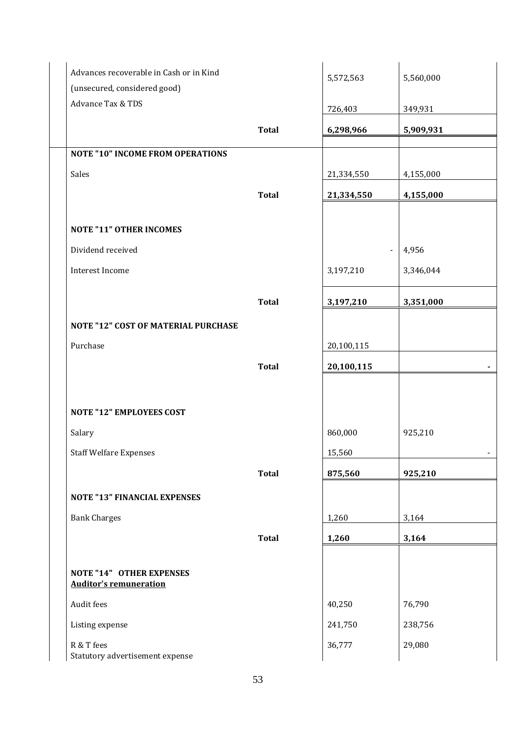| Advances recoverable in Cash or in Kind                          |              | 5,572,563  | 5,560,000 |
|------------------------------------------------------------------|--------------|------------|-----------|
| (unsecured, considered good)<br>Advance Tax & TDS                |              |            |           |
|                                                                  |              | 726,403    | 349,931   |
|                                                                  | <b>Total</b> | 6,298,966  | 5,909,931 |
| <b>NOTE "10" INCOME FROM OPERATIONS</b>                          |              |            |           |
| Sales                                                            |              | 21,334,550 | 4,155,000 |
|                                                                  | <b>Total</b> | 21,334,550 | 4,155,000 |
| <b>NOTE "11" OTHER INCOMES</b>                                   |              |            |           |
| Dividend received                                                |              |            | 4,956     |
| <b>Interest Income</b>                                           |              | 3,197,210  | 3,346,044 |
|                                                                  | <b>Total</b> | 3,197,210  | 3,351,000 |
| <b>NOTE "12" COST OF MATERIAL PURCHASE</b>                       |              |            |           |
| Purchase                                                         |              | 20,100,115 |           |
|                                                                  | <b>Total</b> | 20,100,115 |           |
|                                                                  |              |            |           |
| <b>NOTE "12" EMPLOYEES COST</b>                                  |              |            |           |
| Salary                                                           |              | 860,000    | 925,210   |
| <b>Staff Welfare Expenses</b>                                    |              | 15,560     |           |
|                                                                  | <b>Total</b> | 875,560    | 925,210   |
| <b>NOTE "13" FINANCIAL EXPENSES</b>                              |              |            |           |
| <b>Bank Charges</b>                                              |              | 1,260      | 3,164     |
|                                                                  | <b>Total</b> | 1,260      | 3,164     |
| <b>NOTE "14" OTHER EXPENSES</b><br><b>Auditor's remuneration</b> |              |            |           |
| Audit fees                                                       |              | 40,250     | 76,790    |
| Listing expense                                                  |              | 241,750    | 238,756   |
| R & T fees<br>Statutory advertisement expense                    |              | 36,777     | 29,080    |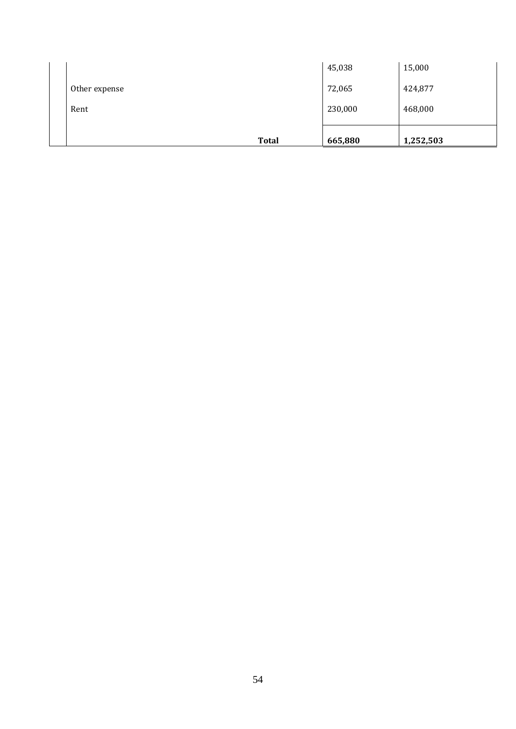|               | <b>Total</b> | 665,880 | 1,252,503 |
|---------------|--------------|---------|-----------|
| Rent          |              | 230,000 | 468,000   |
| Other expense |              | 72,065  | 424,877   |
|               |              | 45,038  | 15,000    |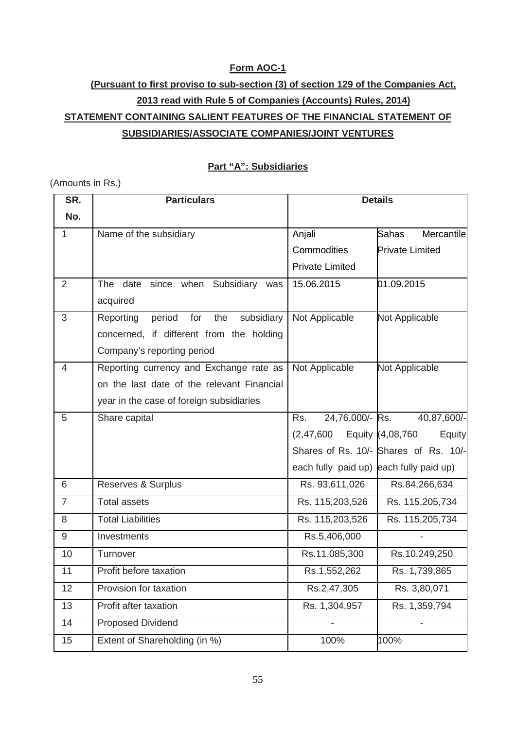# **Form AOC-1**

# **(Pursuant to first proviso to sub-section (3) of section 129 of the Companies Act, 2013 read with Rule 5 of Companies (Accounts) Rules, 2014) STATEMENT CONTAINING SALIENT FEATURES OF THE FINANCIAL STATEMENT OF SUBSIDIARIES/ASSOCIATE COMPANIES/JOINT VENTURES**

# **Part "A": Subsidiaries**

#### (Amounts in Rs.)

| SR.            | <b>Particulars</b>                              | <b>Details</b>                          |                                       |
|----------------|-------------------------------------------------|-----------------------------------------|---------------------------------------|
| No.            |                                                 |                                         |                                       |
| 1              | Name of the subsidiary                          | Anjali                                  | Sahas<br>Mercantile                   |
|                |                                                 | Commodities                             | <b>Private Limited</b>                |
|                |                                                 | <b>Private Limited</b>                  |                                       |
| $\overline{2}$ | since when Subsidiary<br>The<br>date<br>was     | 15.06.2015                              | 01.09.2015                            |
|                | acquired                                        |                                         |                                       |
| 3              | Reporting<br>period<br>for<br>the<br>subsidiary | Not Applicable                          | Not Applicable                        |
|                | concerned, if different from the holding        |                                         |                                       |
|                | Company's reporting period                      |                                         |                                       |
| $\overline{4}$ | Reporting currency and Exchange rate as         | Not Applicable                          | Not Applicable                        |
|                | on the last date of the relevant Financial      |                                         |                                       |
|                | year in the case of foreign subsidiaries        |                                         |                                       |
| 5              | Share capital                                   | 24,76,000/- Rs.<br>Rs.                  | 40,87,600/-                           |
|                |                                                 | (2, 47, 600)                            | Equity (4,08,760<br>Equity            |
|                |                                                 |                                         | Shares of Rs. 10/- Shares of Rs. 10/- |
|                |                                                 | each fully paid up) each fully paid up) |                                       |
| 6              | Reserves & Surplus                              | Rs. 93,611,026                          | Rs.84,266,634                         |
| $\overline{7}$ | <b>Total assets</b>                             | Rs. 115,203,526                         | Rs. 115,205,734                       |
| 8              | <b>Total Liabilities</b>                        | Rs. 115,203,526                         | Rs. 115,205,734                       |
| 9              | Investments                                     | Rs.5,406,000                            |                                       |
| 10             | Turnover                                        | Rs.11,085,300                           | Rs.10,249,250                         |
| 11             | Profit before taxation                          | Rs.1,552,262                            | Rs. 1,739,865                         |
| 12             | Provision for taxation                          | Rs.2,47,305                             | Rs. 3,80,071                          |
| 13             | Profit after taxation                           | Rs. 1,304,957                           | Rs. 1,359,794                         |
| 14             | Proposed Dividend                               |                                         |                                       |
| 15             | Extent of Shareholding (in %)                   | 100%                                    | 100%                                  |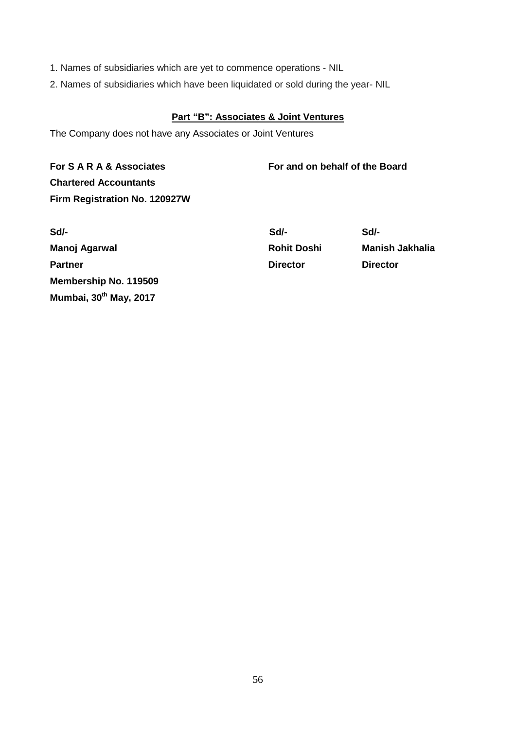- 1. Names of subsidiaries which are yet to commence operations NIL
- 2. Names of subsidiaries which have been liquidated or sold during the year- NIL

# **Part "B": Associates & Joint Ventures**

The Company does not have any Associates or Joint Ventures

**For S A R A & Associates For and on behalf of the Board Chartered Accountants Firm Registration No. 120927W**

| Sd/-                   | Sd/-               | Sd/-            |
|------------------------|--------------------|-----------------|
| Manoj Agarwal          | <b>Rohit Doshi</b> | Manish          |
| <b>Partner</b>         | <b>Director</b>    | <b>Director</b> |
| Membership No. 119509  |                    |                 |
| Mumbai, 30th May, 2017 |                    |                 |

**Sd/- Sd/- Sd/- Manoj Agarwal Rohit Doshi Manish Jakhalia**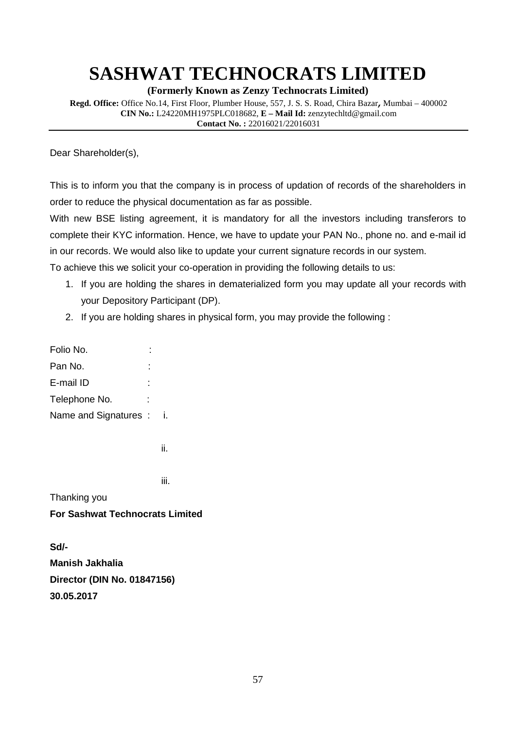**(Formerly Known as Zenzy Technocrats Limited)**

**Regd. Office:** Office No.14, First Floor, Plumber House, 557, J. S. S. Road, Chira Bazar**,** Mumbai – 400002 **CIN No.:** L24220MH1975PLC018682, **E – Mail Id:** zenzytechltd@gmail.com **Contact No. :** 22016021/22016031

Dear Shareholder(s),

This is to inform you that the company is in process of updation of records of the shareholders in order to reduce the physical documentation as far as possible.

With new BSE listing agreement, it is mandatory for all the investors including transferors to complete their KYC information. Hence, we have to update your PAN No., phone no. and e-mail id in our records. We would also like to update your current signature records in our system.

To achieve this we solicit your co-operation in providing the following details to us:

- 1. If you are holding the shares in dematerialized form you may update all your records with your Depository Participant (DP).
- 2. If you are holding shares in physical form, you may provide the following :

| Folio No.             |   |
|-----------------------|---|
| Pan No.               |   |
| E-mail ID             |   |
| Telephone No.         |   |
| Name and Signatures : | L |

ii. In the contract of the contract of the contract of the contract of the contract of the contract of the con

Thanking you

**For Sashwat Technocrats Limited**

**Sd/- Manish Jakhalia Director (DIN No. 01847156) 30.05.2017**

iii. In teensaan on ka siil.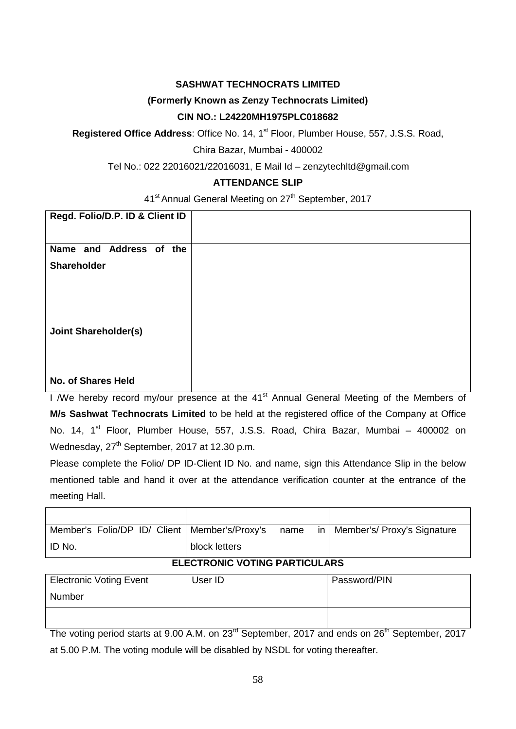# **(Formerly Known as Zenzy Technocrats Limited)**

# **CIN NO.: L24220MH1975PLC018682**

Registered Office Address: Office No. 14, 1<sup>st</sup> Floor, Plumber House, 557, J.S.S. Road,

Chira Bazar, Mumbai - 400002

Tel No.: 022 22016021/22016031, E Mail Id – zenzytechltd@gmail.com

# **ATTENDANCE SLIP**

41<sup>st</sup> Annual General Meeting on 27<sup>th</sup> September, 2017

| Regd. Folio/D.P. ID & Client ID |          |
|---------------------------------|----------|
| Name and Address of the         |          |
| Shareholder                     |          |
|                                 |          |
|                                 |          |
|                                 |          |
| <b>Joint Shareholder(s)</b>     |          |
|                                 |          |
|                                 |          |
| <b>No. of Shares Held</b>       | $. c+$ . |

I /We hereby record my/our presence at the 41<sup>st</sup> Annual General Meeting of the Members of **M/s Sashwat Technocrats Limited** to be held at the registered office of the Company at Office No. 14, 1<sup>st</sup> Floor, Plumber House, 557, J.S.S. Road, Chira Bazar, Mumbai – 400002 on Wednesday, 27<sup>th</sup> September, 2017 at 12.30 p.m.

Please complete the Folio/ DP ID-Client ID No. and name, sign this Attendance Slip in the below mentioned table and hand it over at the attendance verification counter at the entrance of the meeting Hall.

| Member's Folio/DP ID/ Client   Member's/Proxy's | name<br>$\mathsf{in}$ | Member's/ Proxy's Signature |  |  |  |
|-------------------------------------------------|-----------------------|-----------------------------|--|--|--|
| ID No.                                          | block letters         |                             |  |  |  |
| FLEATRAULA VATINA BARTIAUL ARA                  |                       |                             |  |  |  |

# **ELECTRONIC VOTING PARTICULARS**

| <b>Electronic Voting Event</b> | User ID | Password/PIN |  |  |
|--------------------------------|---------|--------------|--|--|
| Number                         |         |              |  |  |
|                                |         |              |  |  |

The voting period starts at 9.00 A.M. on 23<sup>rd</sup> September, 2017 and ends on 26<sup>th</sup> September, 2017 at 5.00 P.M. The voting module will be disabled by NSDL for voting thereafter.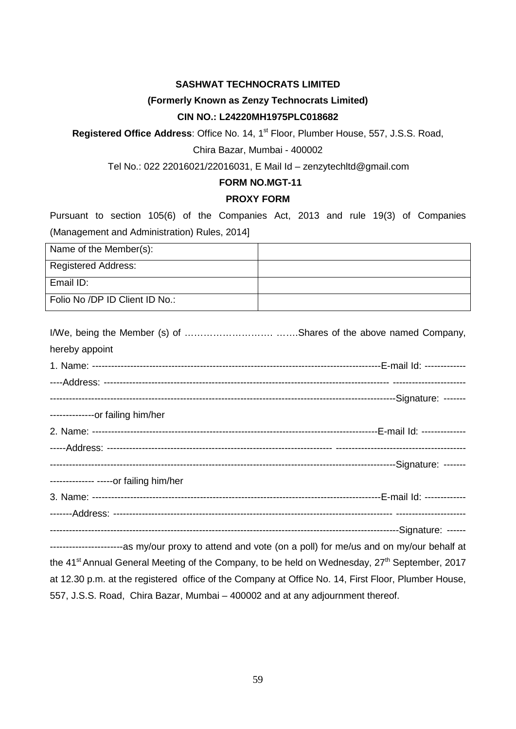# **(Formerly Known as Zenzy Technocrats Limited) CIN NO.: L24220MH1975PLC018682**

Registered Office Address: Office No. 14, 1<sup>st</sup> Floor, Plumber House, 557, J.S.S. Road,

#### Chira Bazar, Mumbai - 400002

Tel No.: 022 22016021/22016031, E Mail Id – zenzytechltd@gmail.com

#### **FORM NO.MGT-11**

#### **PROXY FORM**

Pursuant to section 105(6) of the Companies Act, 2013 and rule 19(3) of Companies (Management and Administration) Rules, 2014]

| Name of the Member(s):         |  |
|--------------------------------|--|
| <b>Registered Address:</b>     |  |
| Email ID:                      |  |
| Folio No /DP ID Client ID No.: |  |

I/We, being the Member (s) of ………………………. …….Shares of the above named Company, hereby appoint 1. Name: -------------------------------------------------------------------------------------------E-mail Id: ------------- ----Address: ------------------------------------------------------------------------------------------ ----------------------- -------------------------------------------------------------------------------------------------------------Signature: -------

--------------or failing him/her

-------------------------------------------------------------------------------------------------------------Signature: -------

-------------- -----or failing him/her

--------------------------------------------------------------------------------------------------------------Signature: ------ -----------------------as my/our proxy to attend and vote (on a poll) for me/us and on my/our behalf at the 41<sup>st</sup> Annual General Meeting of the Company, to be held on Wednesday, 27<sup>th</sup> September, 2017 at 12.30 p.m. at the registered office of the Company at Office No. 14, First Floor, Plumber House,

557, J.S.S. Road, Chira Bazar, Mumbai – 400002 and at any adjournment thereof.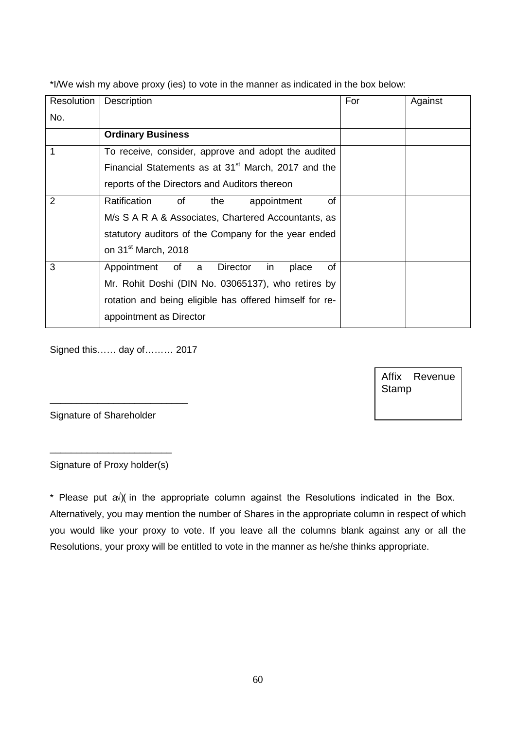\*I/We wish my above proxy (ies) to vote in the manner as indicated in the box below:

| Resolution     | Description                                                     | For | Against |
|----------------|-----------------------------------------------------------------|-----|---------|
| No.            |                                                                 |     |         |
|                | <b>Ordinary Business</b>                                        |     |         |
| 1              | To receive, consider, approve and adopt the audited             |     |         |
|                | Financial Statements as at 31 <sup>st</sup> March, 2017 and the |     |         |
|                | reports of the Directors and Auditors thereon                   |     |         |
| $\overline{2}$ | Ratification<br>οf<br>of<br>the<br>appointment                  |     |         |
|                | M/s S A R A & Associates, Chartered Accountants, as             |     |         |
|                | statutory auditors of the Company for the year ended            |     |         |
|                | on 31 <sup>st</sup> March, 2018                                 |     |         |
| 3              | of<br>Appointment<br>of<br><b>Director</b><br>in<br>place<br>a  |     |         |
|                | Mr. Rohit Doshi (DIN No. 03065137), who retires by              |     |         |
|                | rotation and being eligible has offered himself for re-         |     |         |
|                | appointment as Director                                         |     |         |

Signed this…… day of……… 2017

\_\_\_\_\_\_\_\_\_\_\_\_\_\_\_\_\_\_\_\_\_\_\_\_\_\_

Affix Revenue **Stamp** 

Signature of Shareholder

\_\_\_\_\_\_\_\_\_\_\_\_\_\_\_\_\_\_\_\_\_\_\_ Signature of Proxy holder(s)

\* Please put  $a/\ell$  in the appropriate column against the Resolutions indicated in the Box. Alternatively, you may mention the number of Shares in the appropriate column in respect of which you would like your proxy to vote. If you leave all the columns blank against any or all the Resolutions, your proxy will be entitled to vote in the manner as he/she thinks appropriate.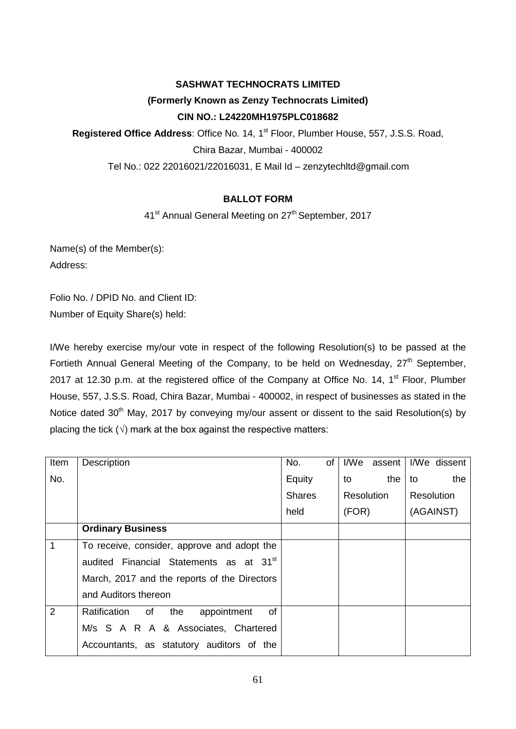# **(Formerly Known as Zenzy Technocrats Limited) CIN NO.: L24220MH1975PLC018682**

Registered Office Address: Office No. 14, 1<sup>st</sup> Floor, Plumber House, 557, J.S.S. Road,

Chira Bazar, Mumbai - 400002

Tel No.: 022 22016021/22016031, E Mail Id – zenzytechltd@gmail.com

# **BALLOT FORM**

41<sup>st</sup> Annual General Meeting on 27<sup>th</sup> September, 2017

Name(s) of the Member(s): Address:

Folio No. / DPID No. and Client ID: Number of Equity Share(s) held:

I/We hereby exercise my/our vote in respect of the following Resolution(s) to be passed at the Fortieth Annual General Meeting of the Company, to be held on Wednesday,  $27<sup>th</sup>$  September, 2017 at 12.30 p.m. at the registered office of the Company at Office No. 14,  $1^{st}$  Floor, Plumber House, 557, J.S.S. Road, Chira Bazar, Mumbai - 400002, in respect of businesses as stated in the Notice dated 30<sup>th</sup> May, 2017 by conveying my/our assent or dissent to the said Resolution(s) by placing the tick  $(\sqrt{ } )$  mark at the box against the respective matters:

| Item | Description                                         | No.                        | of |                   | I/We assent |    | I/We dissent |
|------|-----------------------------------------------------|----------------------------|----|-------------------|-------------|----|--------------|
| No.  |                                                     | Equity                     |    | to                | the         | to | the          |
|      |                                                     | <b>Shares</b>              |    | <b>Resolution</b> |             |    | Resolution   |
|      |                                                     | (FOR)<br>(AGAINST)<br>held |    |                   |             |    |              |
|      | <b>Ordinary Business</b>                            |                            |    |                   |             |    |              |
| 1    | To receive, consider, approve and adopt the         |                            |    |                   |             |    |              |
|      | audited Financial Statements as at 31 <sup>st</sup> |                            |    |                   |             |    |              |
|      | March, 2017 and the reports of the Directors        |                            |    |                   |             |    |              |
|      | and Auditors thereon                                |                            |    |                   |             |    |              |
| 2    | Ratification of<br>the<br>οf<br>appointment         |                            |    |                   |             |    |              |
|      | M/s S A R A & Associates, Chartered                 |                            |    |                   |             |    |              |
|      | Accountants, as statutory auditors of the           |                            |    |                   |             |    |              |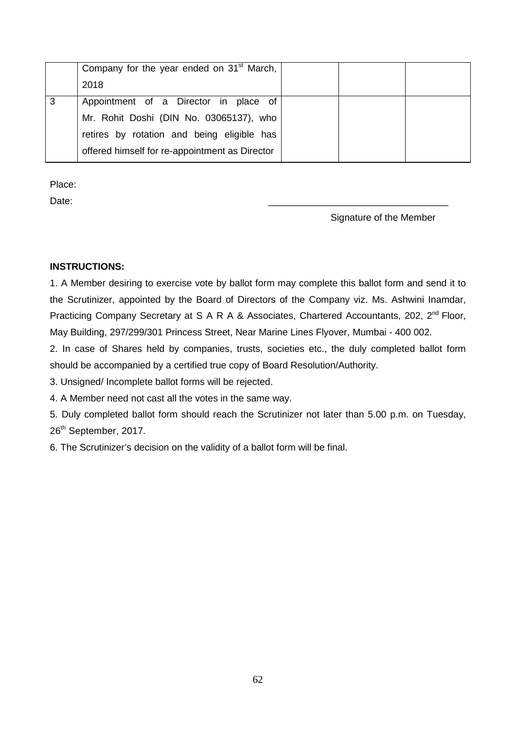| Company for the year ended on 31 <sup>st</sup> March, |  |  |
|-------------------------------------------------------|--|--|
| 2018                                                  |  |  |
| Appointment of a Director in place of                 |  |  |
| Mr. Rohit Doshi (DIN No. 03065137), who               |  |  |
| retires by rotation and being eligible has            |  |  |
| offered himself for re-appointment as Director        |  |  |

Place:

Date: \_\_\_\_\_\_\_\_\_\_\_\_\_\_\_\_\_\_\_\_\_\_\_\_\_\_\_\_\_\_\_\_\_\_

Signature of the Member

# **INSTRUCTIONS:**

1. A Member desiring to exercise vote by ballot form may complete this ballot form and send it to the Scrutinizer, appointed by the Board of Directors of the Company viz. Ms. Ashwini Inamdar, Practicing Company Secretary at S A R A & Associates, Chartered Accountants, 202, 2<sup>nd</sup> Floor, May Building, 297/299/301 Princess Street, Near Marine Lines Flyover, Mumbai - 400 002.

2. In case of Shares held by companies, trusts, societies etc., the duly completed ballot form should be accompanied by a certified true copy of Board Resolution/Authority.

3. Unsigned/ Incomplete ballot forms will be rejected.

4. A Member need not cast all the votes in the same way.

5. Duly completed ballot form should reach the Scrutinizer not later than 5.00 p.m. on Tuesday, 26<sup>th</sup> September, 2017.

6. The Scrutinizer's decision on the validity of a ballot form will be final.